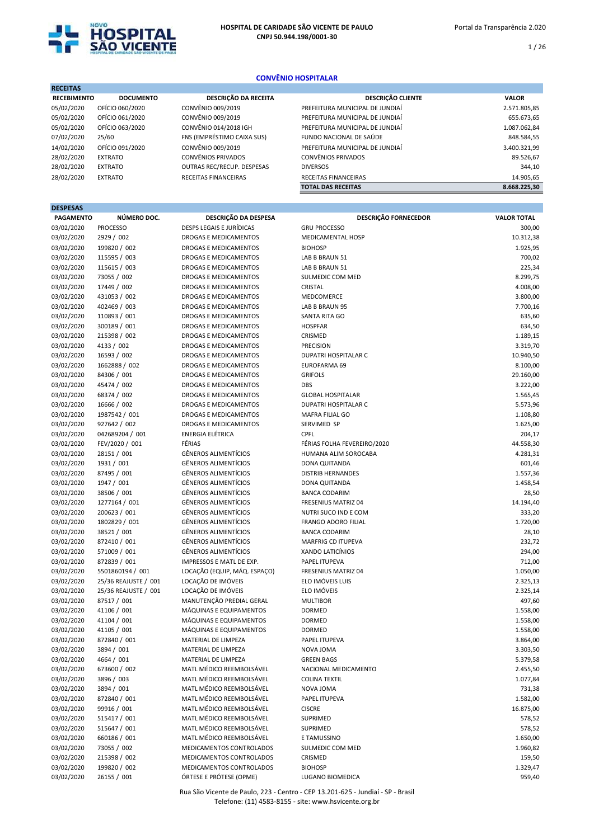

RECEITAS

1 / 26

# CONVÊNIO HOSPITALAR

| печена             |                  |                            |                                 |              |
|--------------------|------------------|----------------------------|---------------------------------|--------------|
| <b>RECEBIMENTO</b> | <b>DOCUMENTO</b> | DESCRIÇÃO DA RECEITA       | <b>DESCRIÇÃO CLIENTE</b>        | <b>VALOR</b> |
| 05/02/2020         | OFÍCIO 060/2020  | CONVÊNIO 009/2019          | PREFEITURA MUNICIPAL DE JUNDIAÍ | 2.571.805,85 |
| 05/02/2020         | OFÍCIO 061/2020  | CONVÊNIO 009/2019          | PREFEITURA MUNICIPAL DE JUNDIAÍ | 655.673,65   |
| 05/02/2020         | OFÍCIO 063/2020  | CONVÊNIO 014/2018 IGH      | PREFEITURA MUNICIPAL DE JUNDIAÍ | 1.087.062,84 |
| 07/02/2020         | 25/60            | FNS (EMPRÉSTIMO CAIXA SUS) | FUNDO NACIONAL DE SAÚDE         | 848.584,55   |
| 14/02/2020         | OFÍCIO 091/2020  | CONVÊNIO 009/2019          | PREFEITURA MUNICIPAL DE JUNDIAÍ | 3.400.321,99 |
| 28/02/2020         | <b>EXTRATO</b>   | CONVÊNIOS PRIVADOS         | <b>CONVÊNIOS PRIVADOS</b>       | 89.526,67    |
| 28/02/2020         | <b>EXTRATO</b>   | OUTRAS REC/RECUP. DESPESAS | <b>DIVERSOS</b>                 | 344,10       |
| 28/02/2020         | <b>EXTRATO</b>   | RECEITAS FINANCEIRAS       | RECEITAS FINANCEIRAS            | 14.905,65    |
|                    |                  |                            | <b>TOTAL DAS RECEITAS</b>       | 8.668.225.30 |

| <b>DESPESAS</b>  |                      |                                 |                             |                    |
|------------------|----------------------|---------------------------------|-----------------------------|--------------------|
| <b>PAGAMENTO</b> | NÚMERO DOC.          | DESCRIÇÃO DA DESPESA            | <b>DESCRIÇÃO FORNECEDOR</b> | <b>VALOR TOTAL</b> |
| 03/02/2020       | <b>PROCESSO</b>      | <b>DESPS LEGAIS E JURÍDICAS</b> | <b>GRU PROCESSO</b>         | 300,00             |
| 03/02/2020       | 2929 / 002           | DROGAS E MEDICAMENTOS           | MEDICAMENTAL HOSP           | 10.312,38          |
| 03/02/2020       | 199820 / 002         | DROGAS E MEDICAMENTOS           | <b>BIOHOSP</b>              | 1.925,95           |
| 03/02/2020       | 115595 / 003         | DROGAS E MEDICAMENTOS           | LAB B BRAUN 51              | 700,02             |
| 03/02/2020       | 115615 / 003         | DROGAS E MEDICAMENTOS           | LAB B BRAUN 51              | 225,34             |
| 03/02/2020       | 73055 / 002          | DROGAS E MEDICAMENTOS           | SULMEDIC COM MED            | 8.299,75           |
| 03/02/2020       | 17449 / 002          | DROGAS E MEDICAMENTOS           | CRISTAL                     | 4.008,00           |
| 03/02/2020       | 431053 / 002         | DROGAS E MEDICAMENTOS           | MEDCOMERCE                  | 3.800,00           |
| 03/02/2020       | 402469 / 003         | DROGAS E MEDICAMENTOS           | LAB B BRAUN 95              | 7.700,16           |
| 03/02/2020       | 110893 / 001         | DROGAS E MEDICAMENTOS           | SANTA RITA GO               | 635,60             |
| 03/02/2020       | 300189 / 001         | DROGAS E MEDICAMENTOS           | <b>HOSPFAR</b>              | 634,50             |
| 03/02/2020       | 215398 / 002         | DROGAS E MEDICAMENTOS           | CRISMED                     | 1.189,15           |
| 03/02/2020       | 4133 / 002           | DROGAS E MEDICAMENTOS           | PRECISION                   | 3.319,70           |
| 03/02/2020       | 16593 / 002          | DROGAS E MEDICAMENTOS           | DUPATRI HOSPITALAR C        | 10.940,50          |
| 03/02/2020       | 1662888 / 002        | DROGAS E MEDICAMENTOS           | EUROFARMA 69                | 8.100,00           |
| 03/02/2020       | 84306 / 001          | DROGAS E MEDICAMENTOS           | <b>GRIFOLS</b>              | 29.160,00          |
| 03/02/2020       | 45474 / 002          | DROGAS E MEDICAMENTOS           | DBS                         | 3.222,00           |
| 03/02/2020       | 68374 / 002          | DROGAS E MEDICAMENTOS           | <b>GLOBAL HOSPITALAR</b>    | 1.565,45           |
| 03/02/2020       | 16666 / 002          | DROGAS E MEDICAMENTOS           | <b>DUPATRI HOSPITALAR C</b> | 5.573,96           |
| 03/02/2020       | 1987542 / 001        | DROGAS E MEDICAMENTOS           | MAFRA FILIAL GO             | 1.108,80           |
| 03/02/2020       | 927642 / 002         | <b>DROGAS E MEDICAMENTOS</b>    | SERVIMED SP                 | 1.625,00           |
| 03/02/2020       | 042689204 / 001      | <b>ENERGIA ELÉTRICA</b>         | CPFL                        | 204,17             |
| 03/02/2020       | FEV/2020 / 001       | FÉRIAS                          | FÉRIAS FOLHA FEVEREIRO/2020 | 44.558,30          |
| 03/02/2020       | 28151 / 001          | <b>GÊNEROS ALIMENTÍCIOS</b>     | HUMANA ALIM SOROCABA        | 4.281,31           |
| 03/02/2020       | 1931 / 001           | <b>GÊNEROS ALIMENTÍCIOS</b>     | DONA QUITANDA               | 601,46             |
| 03/02/2020       | 87495 / 001          | <b>GÊNEROS ALIMENTÍCIOS</b>     | <b>DISTRIB HERNANDES</b>    | 1.557,36           |
| 03/02/2020       | 1947 / 001           | <b>GÊNEROS ALIMENTÍCIOS</b>     | DONA QUITANDA               | 1.458,54           |
| 03/02/2020       | 38506 / 001          | <b>GÊNEROS ALIMENTÍCIOS</b>     | <b>BANCA CODARIM</b>        | 28,50              |
| 03/02/2020       | 1277164 / 001        | <b>GÊNEROS ALIMENTÍCIOS</b>     | FRESENIUS MATRIZ 04         | 14.194,40          |
| 03/02/2020       | 200623 / 001         | <b>GÊNEROS ALIMENTÍCIOS</b>     | NUTRI SUCO IND E COM        | 333,20             |
| 03/02/2020       | 1802829 / 001        | <b>GÊNEROS ALIMENTÍCIOS</b>     | <b>FRANGO ADORO FILIAL</b>  | 1.720,00           |
| 03/02/2020       | 38521 / 001          | <b>GÊNEROS ALIMENTÍCIOS</b>     | <b>BANCA CODARIM</b>        | 28,10              |
| 03/02/2020       | 872410 / 001         | <b>GÊNEROS ALIMENTÍCIOS</b>     | <b>MARFRIG CD ITUPEVA</b>   | 232,72             |
| 03/02/2020       | 571009 / 001         | <b>GÊNEROS ALIMENTÍCIOS</b>     | <b>XANDO LATICÍNIOS</b>     | 294,00             |
| 03/02/2020       | 872839 / 001         | IMPRESSOS E MATL DE EXP.        | PAPEL ITUPEVA               | 712,00             |
| 03/02/2020       | 5501860194 / 001     | LOCAÇÃO (EQUIP, MÁQ. ESPAÇO)    | FRESENIUS MATRIZ 04         | 1.050,00           |
| 03/02/2020       | 25/36 REAJUSTE / 001 | LOCAÇÃO DE IMÓVEIS              | ELO IMÓVEIS LUIS            | 2.325,13           |
| 03/02/2020       | 25/36 REAJUSTE / 001 | LOCAÇÃO DE IMÓVEIS              | ELO IMÓVEIS                 | 2.325,14           |
| 03/02/2020       | 87517 / 001          | MANUTENÇÃO PREDIAL GERAL        | <b>MULTIBOR</b>             | 497,60             |
| 03/02/2020       | 41106 / 001          | MÁQUINAS E EQUIPAMENTOS         | <b>DORMED</b>               | 1.558,00           |
| 03/02/2020       | 41104 / 001          | MÁQUINAS E EQUIPAMENTOS         | <b>DORMED</b>               | 1.558,00           |
| 03/02/2020       | 41105 / 001          | MÁQUINAS E EQUIPAMENTOS         | <b>DORMED</b>               | 1.558,00           |
| 03/02/2020       | 872840 / 001         | MATERIAL DE LIMPEZA             | PAPEL ITUPEVA               | 3.864,00           |
| 03/02/2020       | 3894 / 001           | MATERIAL DE LIMPEZA             | NOVA JOMA                   | 3.303,50           |
| 03/02/2020       | 4664 / 001           | MATERIAL DE LIMPEZA             | <b>GREEN BAGS</b>           | 5.379,58           |
| 03/02/2020       | 673600 / 002         | MATL MÉDICO REEMBOLSÁVEL        | NACIONAL MEDICAMENTO        | 2.455,50           |
| 03/02/2020       | 3896 / 003           | MATL MÉDICO REEMBOLSÁVEL        | <b>COLINA TEXTIL</b>        | 1.077,84           |
| 03/02/2020       | 3894 / 001           | MATL MÉDICO REEMBOLSÁVEL        | NOVA JOMA                   | 731,38             |
| 03/02/2020       | 872840 / 001         | MATL MÉDICO REEMBOLSÁVEL        | PAPEL ITUPEVA               | 1.582,00           |
| 03/02/2020       | 99916 / 001          | MATL MÉDICO REEMBOLSÁVEL        | <b>CISCRE</b>               | 16.875,00          |
| 03/02/2020       | 515417 / 001         | MATL MÉDICO REEMBOLSÁVEL        | SUPRIMED                    | 578,52             |
| 03/02/2020       | 515647 / 001         | MATL MÉDICO REEMBOLSÁVEL        | SUPRIMED                    | 578,52             |
| 03/02/2020       | 660186 / 001         | MATL MÉDICO REEMBOLSÁVEL        | E TAMUSSINO                 | 1.650,00           |
| 03/02/2020       | 73055 / 002          | MEDICAMENTOS CONTROLADOS        | SULMEDIC COM MED            | 1.960,82           |
| 03/02/2020       | 215398 / 002         | MEDICAMENTOS CONTROLADOS        | CRISMED                     | 159,50             |
| 03/02/2020       | 199820 / 002         | MEDICAMENTOS CONTROLADOS        | <b>BIOHOSP</b>              | 1.329,47           |
| 03/02/2020       | 26155 / 001          | ÓRTESE E PRÓTESE (OPME)         | LUGANO BIOMEDICA            | 959,40             |
|                  |                      |                                 |                             |                    |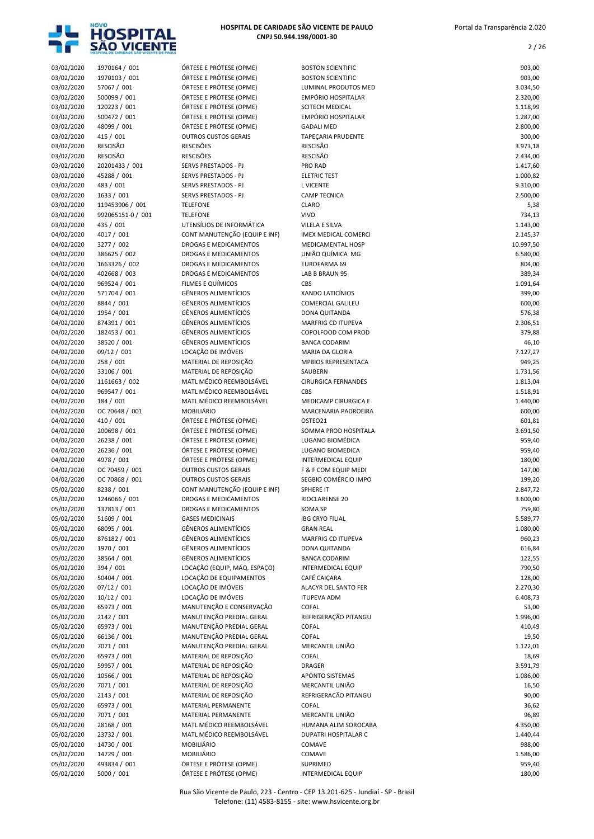

2 / 26

03/02/2020 1970164 / 001 **ÓRTESE E PRÓTESE (OPME)** BOSTON SCIENTIFIC **DE SA ESSECUTADA E DE SA ESCUENTIFIC** DE SA ES 03/02/2020 1970103 / 001 ÓRTESE E PRÓTESE (OPME) BOSTON SCIENTIFIC 903,00 03/02/2020 57067 / 001 ÓRTESE E PRÓTESE (OPME) LUMINAL PRODUTOS MED 3.034,50 03/02/2020 500099 / 001 ÓRTESE E PRÓTESE (OPME) EMPÓRIO HOSPITALAR (OPME) 2.320,00<br>03/02/2020 120223 / 001 ÓRTESE E PRÓTESE (OPME) SCITECH MEDICAL ÓRTESE E PRÓTESE (OPME) 03/02/2020 500472 / 001 ÓRTESE E PRÓTESE (OPME) EMPÓRIO HOSPITALAR 1.287,00 03/02/2020 48099 / 001 ÓRTESE E PRÓTESE (OPME) GADALI MED 2.800,00 03/02/2020 415 / 001 OUTROS CUSTOS GERAIS TAPEÇARIA PRUDENTE CHARGE AND TAPORTE 03/02/2020 RESCISÃO RESCISÕES RESCISÃO 3.973,18 03/02/2020 RESCISÃO RESCISÕES RESCISÃO 2.434,00 03/02/2020 20201433 / 001 SERVS PRESTADOS - PJ PRO RAD 1.417,60 03/02/2020 45288 / 001 SERVS PRESTADOS - PJ ELETRIC TEST 1.000,82 03/02/2020 483 / 001 SERVS PRESTADOS - PJ L VICENTE 9.310,00 03/02/2020 1633 / 001 SERVS PRESTADOS - PJ CAMP TECNICA 2.500,00 03/02/2020 119453906 / 001 TELEFONE CLARO 5,38 03/02/2020 992065151-0 / 001 TELEFONE VIVO VIVO 734,13 03/02/2020 435 / 001 UTENSÍLIOS DE INFORMÁTICA VILELA E SILVA 1.143,00 04/02/2020 4017 / 001 CONT MANUTENÇÃO (EQUIP E INF) IMEX MEDICAL COMERCI COMERCI COMERCI 10.997,50<br>04/02/2020 3277 / 002 DROGAS E MEDICAMENTOS MEDICAMENTAL HOSP 04/02/2020 3277 / 002 DROGAS E MEDICAMENTOS MEDICAMENTAL HOSP 10.997,50 04/02/2020 386625 / 002 DROGAS E MEDICAMENTOS UNIÃO QUÍMICA MG 6.580,00 04/02/2020 1663326 / 002 DROGAS E MEDICAMENTOS EUROFARMA 69 04/02/2020 402668 / 003 **DROGAS E MEDICAMENTOS** LAB B BRAUN 95 389.34 04/02/2020 969524 / 001 FILMES E QUÍMICOS CBS 1.091,64 04/02/2020 571704 / 001 GÊNEROS ALIMENTÍCIOS XANDO LATICÍNIOS 399,00 04/02/2020 8844 / 001 GÊNEROS ALIMENTÍCIOS COMERCIAL GALILEU 600,00 04/02/2020 1954 / 001 GÊNEROS ALIMENTÍCIOS DONA QUITANDA 576,38 04/02/2020 874391 / 001 GÊNEROS ALIMENTÍCIOS MARFRIG CD ITUPEVA 2.306,51 04/02/2020 182453 / 001 GÊNEROS ALIMENTÍCIOS COPOLFOOD COM PROD 379,88 04/02/2020 38520 / 001 GÊNEROS ALIMENTÍCIOS BANCA CODARIM 46,10 04/02/2020 09/12 / 001 LOCAÇÃO DE IMÓVEIS MARIA DA GLORIA A LOCAÇÃO DE IMÓVEIS MARIA DA GLORIA 04/02/2020 258 / 001 MATERIAL DE REPOSIÇÃO MPBIOS REPRESENTACA 949,25 04/02/2020 33106 / 001 MATERIAL DE REPOSIÇÃO SAUBERN 1.731,56 04/02/2020 1161663 / 002 MATL MÉDICO REEMBOLSÁVEL CIRURGICA FERNANDES 1.813,04 04/02/2020 969547 / 001 MATL MÉDICO REEMBOLSÁVEL CBS 1.518,91 04/02/2020 184 / 001 MATL MÉDICO REEMBOLSÁVEL MEDICAMP CIRURGICA E CHARGE A 1.440,00 04/02/2020 OC 70648 / 001 MOBILIÁRIO MARCENARIA PADROEIRA<br>04/02/2020 110 / 001 ÓRTESE E PRÓTESE (OPME) OSTEO21 OSTEO21 (19181 601.81 601.81 04/02/2020 410 / 001 **ÓRTESE E PRÓTESE (OPME)** OSTEO21 601,81 601,81 601,81 601,81 04/02/2020 200698 / 001 ÓRTESE E PRÓTESE (OPME) SOMMA PROD HOSPITALA 3.691,50 04/02/2020 26238 / 001 ÓRTESE E PRÓTESE (OPME) LUGANO BIOMÉDICA 959,40 04/02/2020 26236 / 001 ÓRTESE E PRÓTESE (OPME) LUGANO BIOMEDICA 959,40 04/02/2020 4978 / 001 ÓRTESE E PRÓTESE (OPME) INTERMEDICAL EQUIP 180,00 04/02/2020 OC 70459 / 001 OUTROS CUSTOS GERAIS F & F COM EQUIP MEDI 147,00 04/02/2020 OC 70868 / 001 OUTROS CUSTOS GERAIS SEGBIO COMÉRCIO IMPO 05/02/2020 8238 / 001 CONT MANUTENÇÃO (EQUIP E INF) SPHERE IT<br>05/02/2020 1246066 / 001 DROGAS E MEDICAMENTOS RIOCLARENSE 20 05/02/2020 1246066 / 001 DROGAS E MEDICAMENTOS RIOCLARENSE 20 3.600,00 05/02/2020 137813 / 001 DROGAS E MEDICAMENTOS SOMA SP 30 SOMA SP 359,80 05/02/2020 51609 / 001 GASES MEDICINAIS IBG CRYO FILIAL THE S.589,77 05/02/2020 68095 / 001 GÊNEROS ALIMENTÍCIOS GRAN REAL 1.080,00 05/02/2020 876182 / 001 GÊNEROS ALIMENTÍCIOS MARFRIG CD ITUPEVA 960,23 05/02/2020 1970 / 001 GÊNEROS ALIMENTÍCIOS DONA QUITANDA 616.84 05/02/2020 38564 / 001 GÊNEROS ALIMENTÍCIOS BANCA CODARIM 122,55 05/02/2020 394 / 001 LOCAÇÃO (EQUIP, MÁQ. ESPAÇO) INTERMEDICAL EQUIP 790,50 05/02/2020 50404 / 001 LOCAÇÃO DE EQUIPAMENTOS CAFÉ CAIÇARA 128,00<br>128,00 05/02/2020 07/12 / 001 LOCAÇÃO DE IMÓVEIS ALACYR DEL SANTO FER 05/02/2020 07/12 / 001 LOCAÇÃO DE IMÓVEIS ALACYR DEL SANTO FER 2.270,30 05/02/2020 10/12 / 001 LOCAÇÃO DE IMÓVEIS ITUPEVA ADM CONSTABLE EN 1989,73 05/02/2020 65973 / 001 MANUTENÇÃO E CONSERVAÇÃO COFAL 53,00 05/02/2020 2142 / 001 MANUTENÇÃO PREDIAL GERAL REFRIGERAÇÃO PITANGU 1.996,00 05/02/2020 65973 / 001 MANUTENÇÃO PREDIAL GERAL COFAL 410,49 05/02/2020 66136 / 001 MANUTENÇÃO PREDIAL GERAL COFAL 19,50 05/02/2020 7071 / 001 MANUTENÇÃO PREDIAL GERAL MERCANTIL UNIÃO 1.122,01 05/02/2020 65973 / 001 MATERIAL DE REPOSIÇÃO COFAL 18,69 05/02/2020 59957 / 001 MATERIAL DE REPOSIÇÃO DRAGER 3.591,79 05/02/2020 10566 / 001 MATERIAL DE REPOSIÇÃO APONTO SISTEMAS 1.086,00 05/02/2020 7071 / 001 MATERIAL DE REPOSIÇÃO MERCANTIL UNIÃO 05/02/2020 2143 / 001 MATERIAL DE REPOSIÇÃO REFRIGERACÃO PITANGU 90,00 05/02/2020 65973 / 001 MATERIAL PERMANENTE COFAL 36,62 05/02/2020 7071 / 001 MATERIAL PERMANENTE MERCANTIL UNIÃO 05/02/2020 28168 / 001 MATL MÉDICO REEMBOLSÁVEL HUMANA ALIM SOROCABA 4.350,00 05/02/2020 23732 / 001 MATL MÉDICO REEMBOLSÁVEL DUPATRI HOSPITALAR C 1.440,44 05/02/2020 14730 / 001 MOBILIÁRIO COMAVE 988,00 05/02/2020 14729 / 001 MOBILIÁRIO COMAVE 1.586,00 05/02/2020 493834 / 001 ÓRTESE E PRÓTESE (OPME) SUPRIMED 959,40

> Rua São Vicente de Paulo, 223 - Centro - CEP 13.201-625 - Jundiaí - SP - Brasil Telefone: (11) 4583-8155 - site: www.hsvicente.org.br

05/02/2020 5000 / 001 **ÓRTESE E PRÓTESE (OPME)** INTERMEDICAL EQUIP **180,00** 180,00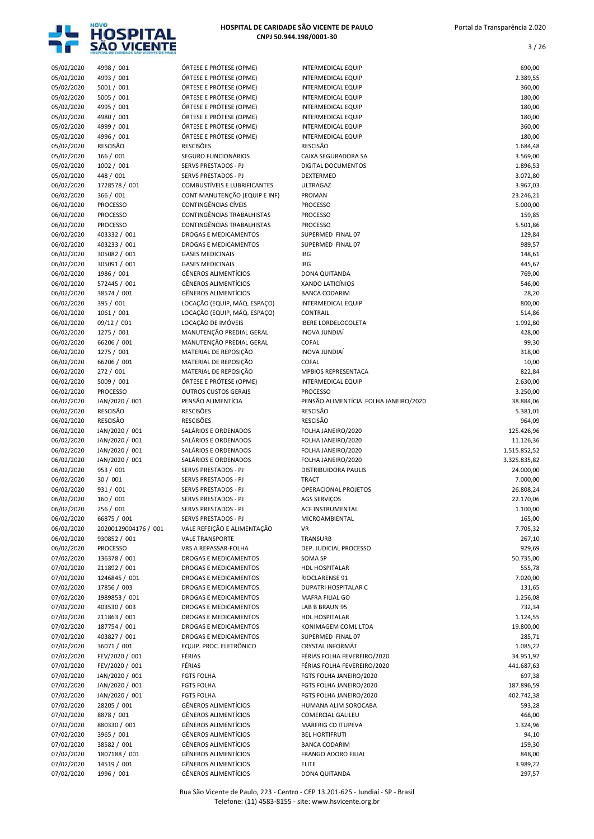

3 / 26

| 05/02/2020               | 4998 / 001                    | ÓRTESE E PRÓTESE (OPME)                          | <b>INTERMEDICAL EQUIP</b>             | 690,00             |
|--------------------------|-------------------------------|--------------------------------------------------|---------------------------------------|--------------------|
| 05/02/2020               | 4993 / 001                    | ÓRTESE E PRÓTESE (OPME)                          | <b>INTERMEDICAL EQUIP</b>             | 2.389,55           |
| 05/02/2020               | 5001 / 001                    | ÓRTESE E PRÓTESE (OPME)                          | <b>INTERMEDICAL EQUIP</b>             | 360,00             |
| 05/02/2020               | 5005 / 001                    | ÓRTESE E PRÓTESE (OPME)                          | <b>INTERMEDICAL EQUIP</b>             | 180,00             |
| 05/02/2020               | 4995 / 001                    | ÓRTESE E PRÓTESE (OPME)                          | INTERMEDICAL EQUIP                    | 180,00             |
| 05/02/2020               | 4980 / 001                    | ÓRTESE E PRÓTESE (OPME)                          | <b>INTERMEDICAL EQUIP</b>             | 180,00             |
| 05/02/2020               | 4999 / 001                    | ÓRTESE E PRÓTESE (OPME)                          | <b>INTERMEDICAL EQUIP</b>             | 360,00             |
| 05/02/2020               | 4996 / 001                    | ÓRTESE E PRÓTESE (OPME)                          | <b>INTERMEDICAL EQUIP</b>             | 180,00             |
| 05/02/2020               | <b>RESCISÃO</b>               | <b>RESCISÕES</b>                                 | <b>RESCISÃO</b>                       | 1.684,48           |
| 05/02/2020               | 166 / 001                     | SEGURO FUNCIONÁRIOS                              | CAIXA SEGURADORA SA                   | 3.569,00           |
| 05/02/2020               | 1002 / 001                    | <b>SERVS PRESTADOS - PJ</b>                      | DIGITAL DOCUMENTOS                    | 1.896,53           |
| 05/02/2020               | 448 / 001                     | SERVS PRESTADOS - PJ                             | DEXTERMED                             | 3.072,80           |
| 06/02/2020               | 1728578 / 001                 | <b>COMBUSTÍVEIS E LUBRIFICANTES</b>              | <b>ULTRAGAZ</b>                       | 3.967,03           |
| 06/02/2020               | 366 / 001                     | CONT MANUTENÇÃO (EQUIP E INF)                    | PROMAN                                | 23.246,21          |
| 06/02/2020               | <b>PROCESSO</b>               | CONTINGÊNCIAS CÍVEIS                             | <b>PROCESSO</b>                       | 5.000,00           |
| 06/02/2020               | <b>PROCESSO</b>               | CONTINGÊNCIAS TRABALHISTAS                       | <b>PROCESSO</b>                       | 159,85             |
| 06/02/2020               | <b>PROCESSO</b>               | CONTINGÊNCIAS TRABALHISTAS                       | <b>PROCESSO</b>                       | 5.501,86           |
| 06/02/2020               | 403332 / 001                  | DROGAS E MEDICAMENTOS                            | SUPERMED FINAL 07                     | 129,84             |
| 06/02/2020               | 403233 / 001<br>305082 / 001  | DROGAS E MEDICAMENTOS<br><b>GASES MEDICINAIS</b> | SUPERMED FINAL 07<br>IBG              | 989,57             |
| 06/02/2020<br>06/02/2020 | 305091 / 001                  | <b>GASES MEDICINAIS</b>                          | IBG                                   | 148,61<br>445,67   |
| 06/02/2020               | 1986 / 001                    | GÊNEROS ALIMENTÍCIOS                             | DONA QUITANDA                         | 769,00             |
| 06/02/2020               | 572445 / 001                  | <b>GÊNEROS ALIMENTÍCIOS</b>                      | <b>XANDO LATICÍNIOS</b>               | 546,00             |
| 06/02/2020               | 38574 / 001                   | <b>GÊNEROS ALIMENTÍCIOS</b>                      | <b>BANCA CODARIM</b>                  | 28,20              |
| 06/02/2020               | 395 / 001                     | LOCAÇÃO (EQUIP, MÁQ. ESPAÇO)                     | INTERMEDICAL EQUIP                    | 800,00             |
| 06/02/2020               | 1061 / 001                    | LOCAÇÃO (EQUIP, MÁQ. ESPAÇO)                     | <b>CONTRAIL</b>                       | 514,86             |
| 06/02/2020               | 09/12 / 001                   | LOCAÇÃO DE IMÓVEIS                               | <b>IBERE LORDELOCOLETA</b>            | 1.992,80           |
| 06/02/2020               | 1275 / 001                    | MANUTENÇÃO PREDIAL GERAL                         | <b>INOVA JUNDIAÍ</b>                  | 428,00             |
| 06/02/2020               | 66206 / 001                   | MANUTENÇÃO PREDIAL GERAL                         | COFAL                                 | 99,30              |
| 06/02/2020               | 1275 / 001                    | MATERIAL DE REPOSIÇÃO                            | <b>INOVA JUNDIAÍ</b>                  | 318,00             |
| 06/02/2020               | 66206 / 001                   | MATERIAL DE REPOSIÇÃO                            | <b>COFAL</b>                          | 10,00              |
| 06/02/2020               | 272 / 001                     | MATERIAL DE REPOSIÇÃO                            | MPBIOS REPRESENTACA                   | 822,84             |
| 06/02/2020               | 5009 / 001                    | ÓRTESE E PRÓTESE (OPME)                          | <b>INTERMEDICAL EQUIP</b>             | 2.630,00           |
| 06/02/2020               | <b>PROCESSO</b>               | <b>OUTROS CUSTOS GERAIS</b>                      | <b>PROCESSO</b>                       | 3.250,00           |
| 06/02/2020               | JAN/2020 / 001                | PENSÃO ALIMENTÍCIA                               | PENSÃO ALIMENTÍCIA FOLHA JANEIRO/2020 | 38.884,06          |
| 06/02/2020               | <b>RESCISÃO</b>               | <b>RESCISÕES</b>                                 | <b>RESCISÃO</b>                       | 5.381,01           |
| 06/02/2020               | <b>RESCISÃO</b>               | <b>RESCISÕES</b>                                 | <b>RESCISÃO</b>                       | 964,09             |
| 06/02/2020               | JAN/2020 / 001                | SALÁRIOS E ORDENADOS                             | FOLHA JANEIRO/2020                    | 125.426,96         |
| 06/02/2020               | JAN/2020 / 001                | SALÁRIOS E ORDENADOS                             | FOLHA JANEIRO/2020                    | 11.126,36          |
| 06/02/2020               | JAN/2020 / 001                | SALÁRIOS E ORDENADOS                             | FOLHA JANEIRO/2020                    | 1.515.852,52       |
| 06/02/2020               | JAN/2020 / 001                | SALÁRIOS E ORDENADOS                             | FOLHA JANEIRO/2020                    | 3.325.835,82       |
| 06/02/2020               | 953 / 001                     | <b>SERVS PRESTADOS - PJ</b>                      | DISTRIBUIDORA PAULIS                  | 24.000,00          |
| 06/02/2020               | 30/001                        | SERVS PRESTADOS - PJ                             | <b>TRACT</b>                          | 7.000,00           |
| 06/02/2020               | 931 / 001                     | <b>SERVS PRESTADOS - PJ</b>                      | OPERACIONAL PROJETOS                  | 26.808,24          |
| 06/02/2020               | 160 / 001                     | <b>SERVS PRESTADOS - PJ</b>                      | <b>AGS SERVIÇOS</b>                   | 22.170,06          |
| 06/02/2020               | 256 / 001                     | SERVS PRESTADOS - PJ                             | ACF INSTRUMENTAL                      | 1.100,00           |
| 06/02/2020               | 66875 / 001                   | SERVS PRESTADOS - PJ                             | MICROAMBIENTAL                        | 165,00             |
| 06/02/2020               | 20200129004176 / 001          | VALE REFEIÇÃO E ALIMENTAÇÃO                      | VR                                    | 7.705,32           |
| 06/02/2020               | 930852 / 001                  | <b>VALE TRANSPORTE</b>                           | TRANSURB                              | 267,10             |
| 06/02/2020               | <b>PROCESSO</b>               | VRS A REPASSAR-FOLHA                             | DEP. JUDICIAL PROCESSO                | 929,69             |
| 07/02/2020<br>07/02/2020 | 136378 / 001                  | DROGAS E MEDICAMENTOS<br>DROGAS E MEDICAMENTOS   | SOMA SP                               | 50.735,00          |
| 07/02/2020               | 211892 / 001<br>1246845 / 001 | DROGAS E MEDICAMENTOS                            | HDL HOSPITALAR<br>RIOCLARENSE 91      | 555,78             |
| 07/02/2020               | 17856 / 003                   | DROGAS E MEDICAMENTOS                            | DUPATRI HOSPITALAR C                  | 7.020,00<br>131,65 |
| 07/02/2020               | 1989853 / 001                 | DROGAS E MEDICAMENTOS                            | MAFRA FILIAL GO                       | 1.256,08           |
| 07/02/2020               | 403530 / 003                  | DROGAS E MEDICAMENTOS                            | LAB B BRAUN 95                        | 732,34             |
| 07/02/2020               | 211863 / 001                  | DROGAS E MEDICAMENTOS                            | HDL HOSPITALAR                        | 1.124,55           |
| 07/02/2020               | 187754 / 001                  | DROGAS E MEDICAMENTOS                            | KONIMAGEM COML LTDA                   | 19.800,00          |
| 07/02/2020               | 403827 / 001                  | DROGAS E MEDICAMENTOS                            | SUPERMED FINAL 07                     | 285,71             |
| 07/02/2020               | 36071 / 001                   | EQUIP. PROC. ELETRÔNICO                          | <b>CRYSTAL INFORMÁT</b>               | 1.085,22           |
| 07/02/2020               | FEV/2020 / 001                | FÉRIAS                                           | FÉRIAS FOLHA FEVEREIRO/2020           | 34.951,92          |
| 07/02/2020               | FEV/2020 / 001                | FÉRIAS                                           | FÉRIAS FOLHA FEVEREIRO/2020           | 441.687,63         |
| 07/02/2020               | JAN/2020 / 001                | <b>FGTS FOLHA</b>                                | FGTS FOLHA JANEIRO/2020               | 697,38             |
| 07/02/2020               | JAN/2020 / 001                | <b>FGTS FOLHA</b>                                | FGTS FOLHA JANEIRO/2020               | 187.896,59         |
| 07/02/2020               | JAN/2020 / 001                | <b>FGTS FOLHA</b>                                | FGTS FOLHA JANEIRO/2020               | 402.742,38         |
| 07/02/2020               | 28205 / 001                   | <b>GÊNEROS ALIMENTÍCIOS</b>                      | HUMANA ALIM SOROCABA                  | 593,28             |
| 07/02/2020               | 8878 / 001                    | GÊNEROS ALIMENTÍCIOS                             | COMERCIAL GALILEU                     | 468,00             |
| 07/02/2020               | 880330 / 001                  | GÊNEROS ALIMENTÍCIOS                             | MARFRIG CD ITUPEVA                    | 1.324,96           |
| 07/02/2020               | 3965 / 001                    | GÊNEROS ALIMENTÍCIOS                             | <b>BEL HORTIFRUTI</b>                 | 94,10              |
| 07/02/2020               | 38582 / 001                   | GÊNEROS ALIMENTÍCIOS                             | <b>BANCA CODARIM</b>                  | 159,30             |
| 07/02/2020               | 1807188 / 001                 | GÊNEROS ALIMENTÍCIOS                             | <b>FRANGO ADORO FILIAL</b>            | 848,00             |
| 07/02/2020               | 14519 / 001                   | GÊNEROS ALIMENTÍCIOS                             | <b>ELITE</b>                          | 3.989,22           |
| 07/02/2020               | 1996 / 001                    | <b>GÊNEROS ALIMENTÍCIOS</b>                      | DONA QUITANDA                         | 297,57             |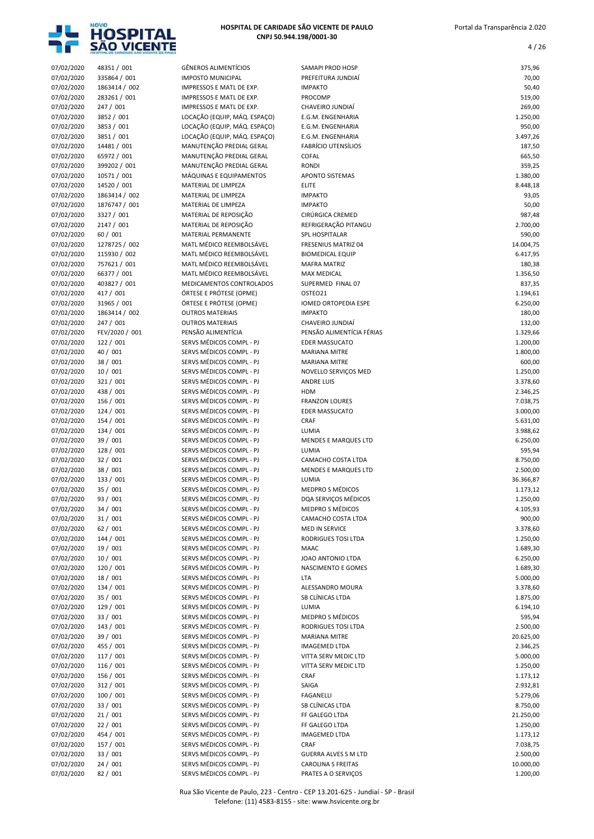

| 07/02/2020               | 48351 / 001                   | <b>GÊNEROS ALIMENTÍCIOS</b>                          | SAMAPI PROD HOSP                               | 375,96                |
|--------------------------|-------------------------------|------------------------------------------------------|------------------------------------------------|-----------------------|
| 07/02/2020               | 335864 / 001                  | <b>IMPOSTO MUNICIPAL</b>                             | PREFEITURA JUNDIAÍ                             | 70,00                 |
| 07/02/2020               | 1863414 / 002                 | IMPRESSOS E MATL DE EXP.                             | <b>IMPAKTO</b>                                 | 50,40                 |
| 07/02/2020               | 283261 / 001                  | IMPRESSOS E MATL DE EXP.                             | PROCOMP                                        | 519,00                |
| 07/02/2020               | 247 / 001                     | IMPRESSOS E MATL DE EXP.                             | CHAVEIRO JUNDIAÍ                               | 269,00                |
| 07/02/2020               | 3852 / 001                    | LOCAÇÃO (EQUIP, MÁQ. ESPAÇO)                         | E.G.M. ENGENHARIA                              | 1.250,00              |
| 07/02/2020               | 3853 / 001                    | LOCAÇÃO (EQUIP, MÁQ. ESPAÇO)                         | E.G.M. ENGENHARIA                              | 950,00                |
| 07/02/2020               | 3851 / 001                    | LOCAÇÃO (EQUIP, MÁQ. ESPAÇO)                         | E.G.M. ENGENHARIA                              | 3.497,26              |
| 07/02/2020               | 14481 / 001<br>65972 / 001    | MANUTENÇÃO PREDIAL GERAL<br>MANUTENÇÃO PREDIAL GERAL | <b>FABRÍCIO UTENSÍLIOS</b><br>COFAL            | 187,50<br>665,50      |
| 07/02/2020<br>07/02/2020 | 399202 / 001                  | MANUTENÇÃO PREDIAL GERAL                             | <b>RONDI</b>                                   | 359,25                |
| 07/02/2020               | 10571 / 001                   | MÁQUINAS E EQUIPAMENTOS                              | APONTO SISTEMAS                                | 1.380,00              |
| 07/02/2020               | 14520 / 001                   | MATERIAL DE LIMPEZA                                  | <b>ELITE</b>                                   | 8.448,18              |
| 07/02/2020               | 1863414 / 002                 | MATERIAL DE LIMPEZA                                  | <b>IMPAKTO</b>                                 | 93,05                 |
| 07/02/2020               | 1876747 / 001                 | MATERIAL DE LIMPEZA                                  | <b>IMPAKTO</b>                                 | 50,00                 |
| 07/02/2020               | 3327 / 001                    | MATERIAL DE REPOSIÇÃO                                | CIRÚRGICA CREMED                               | 987,48                |
| 07/02/2020               | 2147 / 001                    | MATERIAL DE REPOSIÇÃO                                | REFRIGERAÇÃO PITANGU                           | 2.700,00              |
| 07/02/2020               | 60 / 001                      | MATERIAL PERMANENTE                                  | SPL HOSPITALAR                                 | 590,00                |
| 07/02/2020<br>07/02/2020 | 1278725 / 002<br>115930 / 002 | MATL MÉDICO REEMBOLSÁVEL<br>MATL MÉDICO REEMBOLSÁVEL | FRESENIUS MATRIZ 04<br><b>BIOMEDICAL EQUIP</b> | 14.004,75<br>6.417,95 |
| 07/02/2020               | 757621 / 001                  | MATL MÉDICO REEMBOLSÁVEL                             | <b>MAFRA MATRIZ</b>                            | 180,38                |
| 07/02/2020               | 66377 / 001                   | MATL MÉDICO REEMBOLSÁVEL                             | <b>MAX MEDICAL</b>                             | 1.356,50              |
| 07/02/2020               | 403827 / 001                  | MEDICAMENTOS CONTROLADOS                             | SUPERMED FINAL 07                              | 837,35                |
| 07/02/2020               | 417 / 001                     | ÓRTESE E PRÓTESE (OPME)                              | OSTEO21                                        | 1.194,61              |
| 07/02/2020               | 31965 / 001                   | ÓRTESE E PRÓTESE (OPME)                              | <b>IOMED ORTOPEDIA ESPE</b>                    | 6.250,00              |
| 07/02/2020               | 1863414 / 002                 | <b>OUTROS MATERIAIS</b>                              | <b>IMPAKTO</b>                                 | 180,00                |
| 07/02/2020               | 247 / 001                     | <b>OUTROS MATERIAIS</b>                              | CHAVEIRO JUNDIAÍ                               | 132,00                |
| 07/02/2020               | FEV/2020 / 001                | PENSÃO ALIMENTÍCIA                                   | PENSÃO ALIMENTÍCIA FÉRIAS                      | 1.329,66              |
| 07/02/2020<br>07/02/2020 | 122 / 001<br>40 / 001         | SERVS MÉDICOS COMPL - PJ<br>SERVS MÉDICOS COMPL - PJ | <b>EDER MASSUCATO</b><br><b>MARIANA MITRE</b>  | 1.200,00<br>1.800,00  |
| 07/02/2020               | 38 / 001                      | SERVS MÉDICOS COMPL - PJ                             | <b>MARIANA MITRE</b>                           | 600,00                |
| 07/02/2020               | 10/001                        | SERVS MÉDICOS COMPL - PJ                             | NOVELLO SERVIÇOS MED                           | 1.250,00              |
| 07/02/2020               | 321 / 001                     | SERVS MÉDICOS COMPL - PJ                             | <b>ANDRE LUIS</b>                              | 3.378,60              |
| 07/02/2020               | 438 / 001                     | SERVS MÉDICOS COMPL - PJ                             | <b>HDM</b>                                     | 2.346,25              |
| 07/02/2020               | 156 / 001                     | SERVS MÉDICOS COMPL - PJ                             | <b>FRANZON LOURES</b>                          | 7.038,75              |
| 07/02/2020               | 124 / 001                     | SERVS MÉDICOS COMPL - PJ                             | <b>EDER MASSUCATO</b>                          | 3.000,00              |
| 07/02/2020               | 154 / 001                     | SERVS MÉDICOS COMPL - PJ                             | CRAF                                           | 5.631,00              |
| 07/02/2020<br>07/02/2020 | 134 / 001<br>39 / 001         | SERVS MÉDICOS COMPL - PJ<br>SERVS MÉDICOS COMPL - PJ | LUMIA<br>MENDES E MARQUES LTD                  | 3.988,62<br>6.250,00  |
| 07/02/2020               | 128 / 001                     | SERVS MÉDICOS COMPL - PJ                             | LUMIA                                          | 595,94                |
| 07/02/2020               | 32 / 001                      | SERVS MÉDICOS COMPL - PJ                             | CAMACHO COSTA LTDA                             | 8.750,00              |
| 07/02/2020               | 38 / 001                      | SERVS MÉDICOS COMPL - PJ                             | MENDES E MARQUES LTD                           | 2.500,00              |
| 07/02/2020               | 133 / 001                     | SERVS MÉDICOS COMPL - PJ                             | LUMIA                                          | 36.366,87             |
| 07/02/2020               | 35 / 001                      | SERVS MÉDICOS COMPL - PJ                             | <b>MEDPRO S MÉDICOS</b>                        | 1.173,12              |
| 07/02/2020               | 93 / 001                      | SERVS MÉDICOS COMPL - PJ                             | DQA SERVIÇOS MÉDICOS                           | 1.250,00              |
| 07/02/2020               | 34 / 001                      | SERVS MÉDICOS COMPL - PJ                             | MEDPRO S MÉDICOS                               | 4.105,93              |
| 07/02/2020<br>07/02/2020 | 31/001<br>62/001              | SERVS MÉDICOS COMPL - PJ<br>SERVS MÉDICOS COMPL - PJ | CAMACHO COSTA LTDA<br>MED IN SERVICE           | 900,00<br>3.378,60    |
| 07/02/2020               | 144 / 001                     | SERVS MÉDICOS COMPL - PJ                             | RODRIGUES TOSI LTDA                            | 1.250,00              |
| 07/02/2020               | 19 / 001                      | SERVS MÉDICOS COMPL - PJ                             | MAAC                                           | 1.689,30              |
| 07/02/2020               | 10 / 001                      | SERVS MÉDICOS COMPL - PJ                             | JOAO ANTONIO LTDA                              | 6.250,00              |
| 07/02/2020               | 120 / 001                     | SERVS MÉDICOS COMPL - PJ                             | NASCIMENTO E GOMES                             | 1.689,30              |
| 07/02/2020               | 18 / 001                      | SERVS MÉDICOS COMPL - PJ                             | <b>LTA</b>                                     | 5.000,00              |
| 07/02/2020               | 134 / 001                     | SERVS MÉDICOS COMPL - PJ                             | ALESSANDRO MOURA                               | 3.378,60              |
| 07/02/2020               | 35 / 001                      | SERVS MÉDICOS COMPL - PJ                             | SB CLÍNICAS LTDA                               | 1.875,00              |
| 07/02/2020               | 129 / 001                     | SERVS MÉDICOS COMPL - PJ                             | LUMIA                                          | 6.194,10              |
| 07/02/2020<br>07/02/2020 | 33 / 001<br>143 / 001         | SERVS MÉDICOS COMPL - PJ<br>SERVS MÉDICOS COMPL - PJ | MEDPRO S MÉDICOS<br>RODRIGUES TOSI LTDA        | 595,94<br>2.500,00    |
| 07/02/2020               | 39 / 001                      | SERVS MÉDICOS COMPL - PJ                             | <b>MARIANA MITRE</b>                           | 20.625,00             |
| 07/02/2020               | 455 / 001                     | SERVS MÉDICOS COMPL - PJ                             | <b>IMAGEMED LTDA</b>                           | 2.346,25              |
| 07/02/2020               | 117 / 001                     | SERVS MÉDICOS COMPL - PJ                             | VITTA SERV MEDIC LTD                           | 5.000,00              |
| 07/02/2020               | 116 / 001                     | SERVS MÉDICOS COMPL - PJ                             | VITTA SERV MEDIC LTD                           | 1.250,00              |
| 07/02/2020               | 156 / 001                     | SERVS MÉDICOS COMPL - PJ                             | CRAF                                           | 1.173,12              |
| 07/02/2020               | 312 / 001                     | SERVS MÉDICOS COMPL - PJ                             | SAIGA                                          | 2.932,81              |
| 07/02/2020               | 100 / 001                     | SERVS MÉDICOS COMPL - PJ                             | FAGANELLI                                      | 5.279,06              |
| 07/02/2020<br>07/02/2020 | 33 / 001<br>21/001            | SERVS MÉDICOS COMPL - PJ<br>SERVS MÉDICOS COMPL - PJ | SB CLÍNICAS LTDA<br>FF GALEGO LTDA             | 8.750,00<br>21.250,00 |
| 07/02/2020               | 22 / 001                      | SERVS MÉDICOS COMPL - PJ                             | FF GALEGO LTDA                                 | 1.250,00              |
| 07/02/2020               | 454 / 001                     | SERVS MÉDICOS COMPL - PJ                             | <b>IMAGEMED LTDA</b>                           | 1.173,12              |
| 07/02/2020               | 157 / 001                     | SERVS MÉDICOS COMPL - PJ                             | CRAF                                           | 7.038,75              |
| 07/02/2020               | 33 / 001                      | SERVS MÉDICOS COMPL - PJ                             | <b>GUERRA ALVES S M LTD</b>                    | 2.500,00              |
| 07/02/2020               | 24/001                        | SERVS MÉDICOS COMPL - PJ                             | <b>CAROLINA S FREITAS</b>                      | 10.000,00             |
| 07/02/2020               | 82 / 001                      | SERVS MÉDICOS COMPL - PJ                             | PRATES A O SERVIÇOS                            | 1.200,00              |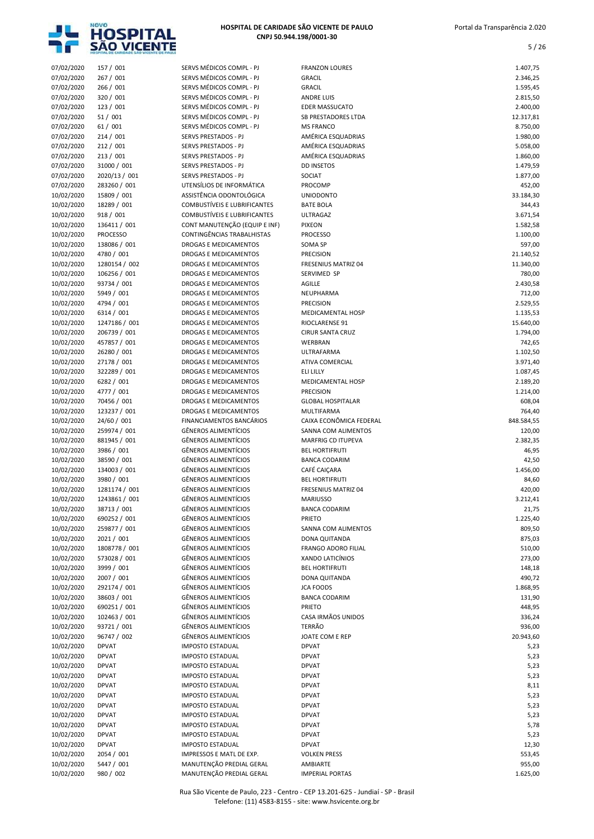

| 07/02/2020               | 157 / 001                  | SERVS MÉDICOS COMPL - PJ                       | <b>FRANZON LOURES</b>          | 1.407,75             |
|--------------------------|----------------------------|------------------------------------------------|--------------------------------|----------------------|
| 07/02/2020               | 267 / 001                  | SERVS MÉDICOS COMPL - PJ                       | <b>GRACIL</b>                  | 2.346,25             |
| 07/02/2020               | 266 / 001                  | SERVS MÉDICOS COMPL - PJ                       | <b>GRACIL</b>                  | 1.595,45             |
| 07/02/2020               | 320 / 001                  | SERVS MÉDICOS COMPL - PJ                       | <b>ANDRE LUIS</b>              | 2.815,50             |
| 07/02/2020               | 123 / 001                  | SERVS MÉDICOS COMPL - PJ                       | <b>EDER MASSUCATO</b>          | 2.400,00             |
| 07/02/2020               | 51 / 001                   | SERVS MÉDICOS COMPL - PJ                       | SB PRESTADORES LTDA            | 12.317,81            |
| 07/02/2020               | 61 / 001                   | SERVS MÉDICOS COMPL - PJ                       | <b>MS FRANCO</b>               | 8.750,00             |
| 07/02/2020               | 214/001                    | SERVS PRESTADOS - PJ                           | AMÉRICA ESQUADRIAS             | 1.980,00             |
| 07/02/2020               | 212 / 001                  | SERVS PRESTADOS - PJ                           | AMÉRICA ESQUADRIAS             | 5.058,00             |
| 07/02/2020               | 213 / 001                  | SERVS PRESTADOS - PJ                           | AMÉRICA ESQUADRIAS             | 1.860,00             |
| 07/02/2020               | 31000 / 001                | SERVS PRESTADOS - PJ                           | <b>DD INSETOS</b>              | 1.479,59             |
| 07/02/2020               | 2020/13 / 001              | SERVS PRESTADOS - PJ                           | SOCIAT                         | 1.877,00             |
| 07/02/2020               | 283260 / 001               | UTENSÍLIOS DE INFORMÁTICA                      | PROCOMP                        | 452,00               |
| 10/02/2020               | 15809 / 001                | ASSISTÊNCIA ODONTOLÓGICA                       | <b>UNIODONTO</b>               | 33.184,30            |
| 10/02/2020               | 18289 / 001                | COMBUSTÍVEIS E LUBRIFICANTES                   | <b>BATE BOLA</b>               | 344,43               |
| 10/02/2020               | 918 / 001                  | COMBUSTÍVEIS E LUBRIFICANTES                   | ULTRAGAZ                       | 3.671,54             |
| 10/02/2020               | 136411 / 001               | CONT MANUTENÇÃO (EQUIP E INF)                  | <b>PIXEON</b>                  | 1.582,58             |
| 10/02/2020               | <b>PROCESSO</b>            | CONTINGÊNCIAS TRABALHISTAS                     | <b>PROCESSO</b>                | 1.100,00             |
| 10/02/2020               | 138086 / 001               | <b>DROGAS E MEDICAMENTOS</b>                   | SOMA SP                        | 597,00               |
| 10/02/2020               | 4780 / 001                 | DROGAS E MEDICAMENTOS                          | PRECISION                      | 21.140,52            |
| 10/02/2020               | 1280154 / 002              | DROGAS E MEDICAMENTOS                          | <b>FRESENIUS MATRIZ 04</b>     | 11.340,00            |
| 10/02/2020               | 106256 / 001               | DROGAS E MEDICAMENTOS                          | SERVIMED SP                    | 780,00               |
| 10/02/2020               | 93734 / 001                | DROGAS E MEDICAMENTOS                          | AGILLE                         | 2.430,58             |
| 10/02/2020               | 5949 / 001                 | DROGAS E MEDICAMENTOS                          | NEUPHARMA                      | 712,00               |
| 10/02/2020               | 4794 / 001                 | DROGAS E MEDICAMENTOS                          | <b>PRECISION</b>               | 2.529,55             |
| 10/02/2020               | 6314 / 001                 | DROGAS E MEDICAMENTOS                          | <b>MEDICAMENTAL HOSP</b>       | 1.135,53             |
| 10/02/2020               | 1247186 / 001              | DROGAS E MEDICAMENTOS                          | RIOCLARENSE 91                 | 15.640,00            |
| 10/02/2020               | 206739 / 001               | DROGAS E MEDICAMENTOS                          | <b>CIRUR SANTA CRUZ</b>        | 1.794,00             |
| 10/02/2020               | 457857 / 001               | DROGAS E MEDICAMENTOS                          | WERBRAN                        | 742,65               |
| 10/02/2020               | 26280 / 001                | DROGAS E MEDICAMENTOS                          | ULTRAFARMA                     | 1.102,50             |
| 10/02/2020               | 27178 / 001                | DROGAS E MEDICAMENTOS                          | ATIVA COMERCIAL                | 3.971,40             |
| 10/02/2020<br>10/02/2020 | 322289 / 001<br>6282 / 001 | DROGAS E MEDICAMENTOS<br>DROGAS E MEDICAMENTOS | ELI LILLY<br>MEDICAMENTAL HOSP | 1.087,45<br>2.189,20 |
| 10/02/2020               | 4777 / 001                 | DROGAS E MEDICAMENTOS                          | <b>PRECISION</b>               | 1.214,00             |
| 10/02/2020               | 70456 / 001                | DROGAS E MEDICAMENTOS                          | <b>GLOBAL HOSPITALAR</b>       | 608,04               |
| 10/02/2020               | 123237 / 001               | <b>DROGAS E MEDICAMENTOS</b>                   | MULTIFARMA                     | 764,40               |
| 10/02/2020               | 24/60 / 001                | FINANCIAMENTOS BANCÁRIOS                       | CAIXA ECONÔMICA FEDERAL        | 848.584,55           |
| 10/02/2020               | 259974 / 001               | <b>GÊNEROS ALIMENTÍCIOS</b>                    | SANNA COM ALIMENTOS            | 120,00               |
| 10/02/2020               | 881945 / 001               | <b>GÊNEROS ALIMENTÍCIOS</b>                    | MARFRIG CD ITUPEVA             | 2.382,35             |
| 10/02/2020               | 3986 / 001                 | <b>GÊNEROS ALIMENTÍCIOS</b>                    | <b>BEL HORTIFRUTI</b>          | 46,95                |
| 10/02/2020               | 38590 / 001                | <b>GÊNEROS ALIMENTÍCIOS</b>                    | <b>BANCA CODARIM</b>           | 42,50                |
| 10/02/2020               | 134003 / 001               | <b>GÊNEROS ALIMENTÍCIOS</b>                    | CAFÉ CAIÇARA                   | 1.456,00             |
| 10/02/2020               | 3980 / 001                 | <b>GÊNEROS ALIMENTÍCIOS</b>                    | <b>BEL HORTIFRUTI</b>          | 84,60                |
| 10/02/2020               | 1281174 / 001              | <b>GÊNEROS ALIMENTÍCIOS</b>                    | <b>FRESENIUS MATRIZ 04</b>     | 420,00               |
| 10/02/2020               | 1243861 / 001              | <b>GÊNEROS ALIMENTÍCIOS</b>                    | <b>MARIUSSO</b>                | 3.212,41             |
| 10/02/2020               | 38713 / 001                | <b>GÊNEROS ALIMENTÍCIOS</b>                    | <b>BANCA CODARIM</b>           | 21,75                |
| 10/02/2020               | 690252 / 001               | <b>GÊNEROS ALIMENTÍCIOS</b>                    | <b>PRIETO</b>                  | 1.225,40             |
| 10/02/2020               | 259877 / 001               | <b>GÊNEROS ALIMENTÍCIOS</b>                    | SANNA COM ALIMENTOS            | 809,50               |
| 10/02/2020               | 2021 / 001                 | <b>GÊNEROS ALIMENTÍCIOS</b>                    | DONA QUITANDA                  | 875,03               |
| 10/02/2020               | 1808778 / 001              | <b>GÊNEROS ALIMENTÍCIOS</b>                    | FRANGO ADORO FILIAL            | 510,00               |
| 10/02/2020               | 573028 / 001               | GÊNEROS ALIMENTÍCIOS                           | XANDO LATICÍNIOS               | 273,00               |
| 10/02/2020               | 3999 / 001                 | <b>GÊNEROS ALIMENTÍCIOS</b>                    | <b>BEL HORTIFRUTI</b>          | 148,18               |
| 10/02/2020               | 2007 / 001                 | <b>GÊNEROS ALIMENTÍCIOS</b>                    | DONA QUITANDA                  | 490,72               |
| 10/02/2020               | 292174 / 001               | GÊNEROS ALIMENTÍCIOS                           | <b>JCA FOODS</b>               | 1.868,95             |
| 10/02/2020               | 38603 / 001                | <b>GÊNEROS ALIMENTÍCIOS</b>                    | <b>BANCA CODARIM</b>           | 131,90               |
| 10/02/2020               | 690251 / 001               | <b>GÊNEROS ALIMENTÍCIOS</b>                    | <b>PRIETO</b>                  | 448,95               |
| 10/02/2020               | 102463 / 001               | <b>GÊNEROS ALIMENTÍCIOS</b>                    | CASA IRMÃOS UNIDOS             | 336,24               |
| 10/02/2020               | 93721 / 001                | <b>GÊNEROS ALIMENTÍCIOS</b>                    | <b>TERRÃO</b>                  | 936,00               |
| 10/02/2020               |                            |                                                |                                | 20.943,60            |
|                          | 96747 / 002                | GÊNEROS ALIMENTÍCIOS                           | JOATE COM E REP                |                      |
| 10/02/2020               | <b>DPVAT</b>               | <b>IMPOSTO ESTADUAL</b>                        | <b>DPVAT</b>                   | 5,23                 |
| 10/02/2020               | <b>DPVAT</b>               | <b>IMPOSTO ESTADUAL</b>                        | <b>DPVAT</b>                   | 5,23                 |
| 10/02/2020               | <b>DPVAT</b>               | <b>IMPOSTO ESTADUAL</b>                        | <b>DPVAT</b>                   | 5,23                 |
| 10/02/2020               | <b>DPVAT</b>               | <b>IMPOSTO ESTADUAL</b>                        | <b>DPVAT</b>                   | 5,23                 |
| 10/02/2020               | <b>DPVAT</b>               | <b>IMPOSTO ESTADUAL</b>                        | <b>DPVAT</b>                   | 8,11                 |
| 10/02/2020               | <b>DPVAT</b>               | <b>IMPOSTO ESTADUAL</b>                        | <b>DPVAT</b>                   | 5,23                 |
| 10/02/2020               | <b>DPVAT</b>               | <b>IMPOSTO ESTADUAL</b>                        | <b>DPVAT</b>                   | 5,23                 |
| 10/02/2020               | <b>DPVAT</b>               | <b>IMPOSTO ESTADUAL</b>                        | <b>DPVAT</b>                   | 5,23                 |
| 10/02/2020               | <b>DPVAT</b>               | <b>IMPOSTO ESTADUAL</b>                        | <b>DPVAT</b>                   | 5,78                 |
| 10/02/2020               | <b>DPVAT</b>               | <b>IMPOSTO ESTADUAL</b>                        | <b>DPVAT</b>                   | 5,23                 |
| 10/02/2020               | <b>DPVAT</b>               | <b>IMPOSTO ESTADUAL</b>                        | <b>DPVAT</b>                   | 12,30                |
| 10/02/2020               | 2054 / 001                 | IMPRESSOS E MATL DE EXP.                       | <b>VOLKEN PRESS</b>            | 553,45               |
| 10/02/2020               | 5447 / 001                 | MANUTENÇÃO PREDIAL GERAL                       | AMBIARTE                       | 955,00               |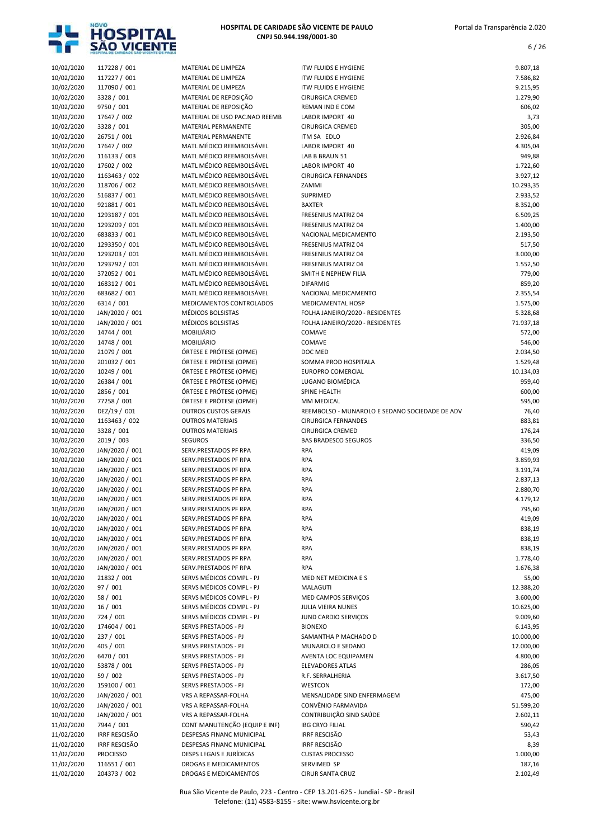

| 10/02/2020               | 117228 / 001                     | MATERIAL DE LIMPEZA                                  | <b>ITW FLUIDS E HYGIENE</b>                       | 9.807,18           |
|--------------------------|----------------------------------|------------------------------------------------------|---------------------------------------------------|--------------------|
| 10/02/2020               | 117227 / 001                     | MATERIAL DE LIMPEZA                                  | <b>ITW FLUIDS E HYGIENE</b>                       | 7.586,82           |
| 10/02/2020               | 117090 / 001                     | MATERIAL DE LIMPEZA                                  | <b>ITW FLUIDS E HYGIENE</b>                       | 9.215,95           |
| 10/02/2020               | 3328 / 001                       | MATERIAL DE REPOSIÇÃO                                | <b>CIRURGICA CREMED</b>                           | 1.279,90           |
| 10/02/2020               | 9750 / 001                       | MATERIAL DE REPOSIÇÃO                                | REMAN IND E COM                                   | 606,02             |
| 10/02/2020<br>10/02/2020 | 17647 / 002<br>3328 / 001        | MATERIAL DE USO PAC.NAO REEMB<br>MATERIAL PERMANENTE | LABOR IMPORT 40<br><b>CIRURGICA CREMED</b>        | 3,73<br>305,00     |
| 10/02/2020               | 26751 / 001                      | MATERIAL PERMANENTE                                  | ITM SA EDLO                                       | 2.926,84           |
| 10/02/2020               | 17647 / 002                      | MATL MÉDICO REEMBOLSÁVEL                             | LABOR IMPORT 40                                   | 4.305,04           |
| 10/02/2020               | 116133 / 003                     | MATL MÉDICO REEMBOLSÁVEL                             | LAB B BRAUN 51                                    | 949,88             |
| 10/02/2020               | 17602 / 002                      | MATL MÉDICO REEMBOLSÁVEL                             | LABOR IMPORT 40                                   | 1.722,60           |
| 10/02/2020               | 1163463 / 002                    | MATL MÉDICO REEMBOLSÁVEL                             | <b>CIRURGICA FERNANDES</b>                        | 3.927,12           |
| 10/02/2020               | 118706 / 002                     | MATL MÉDICO REEMBOLSÁVEL                             | ZAMMI                                             | 10.293,35          |
| 10/02/2020               | 516837 / 001                     | MATL MÉDICO REEMBOLSÁVEL                             | SUPRIMED                                          | 2.933,52           |
| 10/02/2020               | 921881 / 001                     | MATL MÉDICO REEMBOLSÁVEL                             | <b>BAXTER</b>                                     | 8.352,00           |
| 10/02/2020               | 1293187 / 001                    | MATL MÉDICO REEMBOLSÁVEL                             | <b>FRESENIUS MATRIZ 04</b>                        | 6.509,25           |
| 10/02/2020               | 1293209 / 001                    | MATL MÉDICO REEMBOLSÁVEL                             | <b>FRESENIUS MATRIZ 04</b>                        | 1.400,00           |
| 10/02/2020               | 683833 / 001                     | MATL MÉDICO REEMBOLSÁVEL                             | NACIONAL MEDICAMENTO                              | 2.193,50           |
| 10/02/2020<br>10/02/2020 | 1293350 / 001<br>1293203 / 001   | MATL MÉDICO REEMBOLSÁVEL<br>MATL MÉDICO REEMBOLSÁVEL | FRESENIUS MATRIZ 04<br><b>FRESENIUS MATRIZ 04</b> | 517,50<br>3.000,00 |
| 10/02/2020               | 1293792 / 001                    | MATL MÉDICO REEMBOLSÁVEL                             | FRESENIUS MATRIZ 04                               | 1.552,50           |
| 10/02/2020               | 372052 / 001                     | MATL MÉDICO REEMBOLSÁVEL                             | SMITH E NEPHEW FILIA                              | 779,00             |
| 10/02/2020               | 168312 / 001                     | MATL MÉDICO REEMBOLSÁVEL                             | <b>DIFARMIG</b>                                   | 859,20             |
| 10/02/2020               | 683682 / 001                     | MATL MÉDICO REEMBOLSÁVEL                             | NACIONAL MEDICAMENTO                              | 2.355,54           |
| 10/02/2020               | 6314 / 001                       | MEDICAMENTOS CONTROLADOS                             | MEDICAMENTAL HOSP                                 | 1.575,00           |
| 10/02/2020               | JAN/2020 / 001                   | MÉDICOS BOLSISTAS                                    | FOLHA JANEIRO/2020 - RESIDENTES                   | 5.328,68           |
| 10/02/2020               | JAN/2020 / 001                   | MÉDICOS BOLSISTAS                                    | FOLHA JANEIRO/2020 - RESIDENTES                   | 71.937,18          |
| 10/02/2020               | 14744 / 001                      | <b>MOBILIÁRIO</b>                                    | COMAVE                                            | 572,00             |
| 10/02/2020               | 14748 / 001                      | MOBILIÁRIO                                           | COMAVE                                            | 546,00             |
| 10/02/2020               | 21079 / 001                      | ÓRTESE E PRÓTESE (OPME)                              | DOC MED                                           | 2.034,50           |
| 10/02/2020               | 201032 / 001                     | ÓRTESE E PRÓTESE (OPME)                              | SOMMA PROD HOSPITALA                              | 1.529,48           |
| 10/02/2020               | 10249 / 001                      | ÓRTESE E PRÓTESE (OPME)                              | <b>EUROPRO COMERCIAL</b>                          | 10.134,03          |
| 10/02/2020<br>10/02/2020 | 26384 / 001<br>2856 / 001        | ÓRTESE E PRÓTESE (OPME)<br>ÓRTESE E PRÓTESE (OPME)   | LUGANO BIOMÉDICA<br>SPINE HEALTH                  | 959,40<br>600,00   |
| 10/02/2020               | 77258 / 001                      | ÓRTESE E PRÓTESE (OPME)                              | MM MEDICAL                                        | 595,00             |
| 10/02/2020               | DEZ/19 / 001                     | <b>OUTROS CUSTOS GERAIS</b>                          | REEMBOLSO - MUNAROLO E SEDANO SOCIEDADE DE ADV    | 76,40              |
| 10/02/2020               | 1163463 / 002                    | <b>OUTROS MATERIAIS</b>                              | <b>CIRURGICA FERNANDES</b>                        | 883,81             |
| 10/02/2020               | 3328 / 001                       | <b>OUTROS MATERIAIS</b>                              | <b>CIRURGICA CREMED</b>                           | 176,24             |
| 10/02/2020               | 2019 / 003                       | <b>SEGUROS</b>                                       | <b>BAS BRADESCO SEGUROS</b>                       | 336,50             |
| 10/02/2020               | JAN/2020 / 001                   | SERV.PRESTADOS PF RPA                                | <b>RPA</b>                                        | 419,09             |
| 10/02/2020               | JAN/2020 / 001                   | SERV.PRESTADOS PF RPA                                | <b>RPA</b>                                        | 3.859,93           |
| 10/02/2020               | JAN/2020 / 001                   | SERV.PRESTADOS PF RPA                                | <b>RPA</b>                                        | 3.191,74           |
| 10/02/2020               | JAN/2020 / 001                   | SERV.PRESTADOS PF RPA                                | <b>RPA</b>                                        | 2.837,13           |
| 10/02/2020               | JAN/2020 / 001                   | SERV.PRESTADOS PF RPA                                | <b>RPA</b>                                        | 2.880,70           |
| 10/02/2020               | JAN/2020 / 001                   | SERV.PRESTADOS PF RPA                                | <b>RPA</b>                                        | 4.179,12           |
| 10/02/2020               | JAN/2020 / 001                   | SERV.PRESTADOS PF RPA                                | <b>RPA</b>                                        | 795,60             |
| 10/02/2020               | JAN/2020 / 001                   | SERV.PRESTADOS PF RPA                                | <b>RPA</b>                                        | 419,09             |
| 10/02/2020<br>10/02/2020 | JAN/2020 / 001<br>JAN/2020 / 001 | SERV.PRESTADOS PF RPA<br>SERV.PRESTADOS PF RPA       | <b>RPA</b><br>RPA                                 | 838,19<br>838,19   |
| 10/02/2020               | JAN/2020 / 001                   | SERV.PRESTADOS PF RPA                                | RPA                                               | 838,19             |
| 10/02/2020               | JAN/2020 / 001                   | SERV.PRESTADOS PF RPA                                | <b>RPA</b>                                        | 1.778,40           |
| 10/02/2020               | JAN/2020 / 001                   | SERV.PRESTADOS PF RPA                                | <b>RPA</b>                                        | 1.676,38           |
| 10/02/2020               | 21832 / 001                      | SERVS MÉDICOS COMPL - PJ                             | MED NET MEDICINA E S                              | 55,00              |
| 10/02/2020               | 97 / 001                         | SERVS MÉDICOS COMPL - PJ                             | MALAGUTI                                          | 12.388,20          |
| 10/02/2020               | 58 / 001                         | SERVS MÉDICOS COMPL - PJ                             | MED CAMPOS SERVIÇOS                               | 3.600,00           |
| 10/02/2020               | 16 / 001                         | SERVS MÉDICOS COMPL - PJ                             | JULIA VIEIRA NUNES                                | 10.625,00          |
| 10/02/2020               | 724 / 001                        | SERVS MÉDICOS COMPL - PJ                             | JUND CARDIO SERVIÇOS                              | 9.009,60           |
| 10/02/2020               | 174604 / 001                     | SERVS PRESTADOS - PJ                                 | <b>BIONEXO</b>                                    | 6.143,95           |
| 10/02/2020               | 237 / 001                        | SERVS PRESTADOS - PJ                                 | SAMANTHA P MACHADO D                              | 10.000,00          |
| 10/02/2020               | 405 / 001                        | SERVS PRESTADOS - PJ                                 | MUNAROLO E SEDANO                                 | 12.000,00          |
| 10/02/2020               | 6470 / 001                       | SERVS PRESTADOS - PJ                                 | AVENTA LOC EQUIPAMEN                              | 4.800,00           |
| 10/02/2020<br>10/02/2020 | 53878 / 001<br>59 / 002          | SERVS PRESTADOS - PJ<br>SERVS PRESTADOS - PJ         | <b>ELEVADORES ATLAS</b><br>R.F. SERRALHERIA       | 286,05<br>3.617,50 |
| 10/02/2020               | 159100 / 001                     | SERVS PRESTADOS - PJ                                 | WESTCON                                           | 172,00             |
| 10/02/2020               | JAN/2020 / 001                   | VRS A REPASSAR-FOLHA                                 | MENSALIDADE SIND ENFERMAGEM                       | 475,00             |
| 10/02/2020               | JAN/2020 / 001                   | VRS A REPASSAR-FOLHA                                 | CONVÊNIO FARMAVIDA                                | 51.599,20          |
| 10/02/2020               | JAN/2020 / 001                   | VRS A REPASSAR-FOLHA                                 | CONTRIBUIÇÃO SIND SAÚDE                           | 2.602,11           |
| 11/02/2020               | 7944 / 001                       | CONT MANUTENÇÃO (EQUIP E INF)                        | <b>IBG CRYO FILIAL</b>                            | 590,42             |
| 11/02/2020               | IRRF RESCISÃO                    | DESPESAS FINANC MUNICIPAL                            | IRRF RESCISÃO                                     | 53,43              |
| 11/02/2020               | <b>IRRF RESCISÃO</b>             | DESPESAS FINANC MUNICIPAL                            | IRRF RESCISÃO                                     | 8,39               |
| 11/02/2020               | <b>PROCESSO</b>                  | DESPS LEGAIS E JURÍDICAS                             | <b>CUSTAS PROCESSO</b>                            | 1.000,00           |
| 11/02/2020               | 116551 / 001                     | DROGAS E MEDICAMENTOS                                | SERVIMED SP                                       | 187,16             |
| 11/02/2020               | 204373 / 002                     | DROGAS E MEDICAMENTOS                                | CIRUR SANTA CRUZ                                  | 2.102,49           |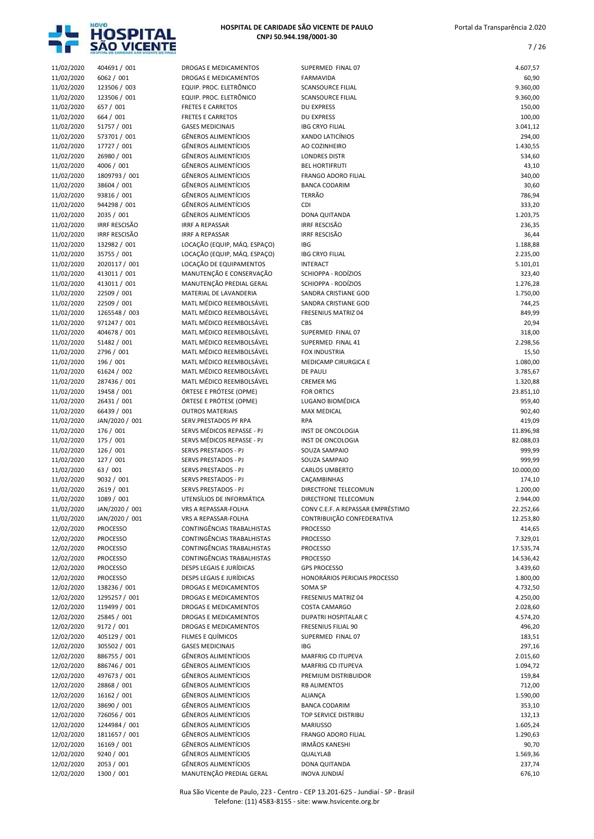

7 / 26

| 11/02/2020 | 404691 / 001         |
|------------|----------------------|
|            |                      |
| 11/02/2020 | 6062 / 001           |
| 11/02/2020 | 123506 / 003         |
| 11/02/2020 | 123506 / 001         |
|            |                      |
| 11/02/2020 | 657 / 001            |
| 11/02/2020 | 664 / 001            |
|            |                      |
| 11/02/2020 | 51757 / 001          |
| 11/02/2020 | 573701/001           |
|            | 17727 / 001          |
| 11/02/2020 |                      |
| 11/02/2020 | 26980 / 001          |
| 11/02/2020 | 4006 / 001           |
|            |                      |
| 11/02/2020 | 1809793 / 001        |
| 11/02/2020 | 38604 / 001          |
|            | 93816 / 001          |
| 11/02/2020 |                      |
| 11/02/2020 | 944298 / 001         |
| 11/02/2020 | 2035 / 001           |
|            |                      |
| 11/02/2020 | <b>IRRF RESCISÃO</b> |
| 11/02/2020 | IRRF RESCISÃO        |
|            |                      |
| 11/02/2020 | 132982 / 001         |
| 11/02/2020 | 35755 / 001          |
| 11/02/2020 | 2020117 / 001        |
|            |                      |
| 11/02/2020 | 413011 / 001         |
| 11/02/2020 | 413011 / 001         |
|            | 22509 / 001          |
| 11/02/2020 |                      |
| 11/02/2020 | 22509 / 001          |
| 11/02/2020 | 1265548 / 003        |
|            |                      |
| 11/02/2020 | 971247 / 001         |
| 11/02/2020 | 404678 / 001         |
| 11/02/2020 | 51482 / 001          |
|            |                      |
| 11/02/2020 | 2796 / 001           |
| 11/02/2020 | 196 / 001            |
|            | 61624 / 002          |
| 11/02/2020 |                      |
| 11/02/2020 | 287436 / 001         |
| 11/02/2020 | 19458 / 001          |
|            | 26431 / 001          |
| 11/02/2020 |                      |
| 11/02/2020 | 66439 / 001          |
| 11/02/2020 | JAN/2020 / 001       |
|            |                      |
| 11/02/2020 | 176 / 001            |
|            |                      |
| 11/02/2020 | 175 / 001            |
|            |                      |
| 11/02/2020 | 126 / 001            |
| 11/02/2020 | 127 / 001            |
| 11/02/2020 | 63 / 001             |
|            |                      |
| 11/02/2020 | 9032 / 001           |
| 11/02/2020 | 2619 / 001           |
|            |                      |
| 11/02/2020 | 1089 / 001           |
| 11/02/2020 | JAN/2020 / 001       |
| 11/02/2020 | JAN/2020 / 001       |
|            |                      |
| 12/02/2020 | <b>PROCESSO</b>      |
| 12/02/2020 | <b>PROCESSO</b>      |
| 12/02/2020 | <b>PROCESSO</b>      |
|            |                      |
| 12/02/2020 | <b>PROCESSO</b>      |
| 12/02/2020 | <b>PROCESSO</b>      |
|            |                      |
| 12/02/2020 | <b>PROCESSO</b>      |
| 12/02/2020 | 138236 / 001         |
| 12/02/2020 | 1295257 / 001        |
|            |                      |
| 12/02/2020 | 119499 / 001         |
| 12/02/2020 | 25845 / 001          |
| 12/02/2020 | 9172 / 001           |
|            |                      |
| 12/02/2020 | 405129 / 001         |
| 12/02/2020 | 305502 / 001         |
|            |                      |
| 12/02/2020 | 886755 / 001         |
| 12/02/2020 | 886746 / 001         |
| 12/02/2020 |                      |
|            | 497673 / 001         |
| 12/02/2020 | 28868 / 001          |
| 12/02/2020 | 16162 / 001          |
| 12/02/2020 |                      |
|            | 38690 / 001          |
| 12/02/2020 | 726056 / 001         |
| 12/02/2020 | 1244984 / 001        |
| 12/02/2020 | 1811657 / 001        |
|            |                      |
| 12/02/2020 | 16169 / 001          |
| 12/02/2020 | 9240 / 001           |
| 12/02/2020 | 2053 / 001           |

|                          | HOSPITAL DE CARIDADE SÃO VICENTE DE PAULI |                                                            |                                               |                        |
|--------------------------|-------------------------------------------|------------------------------------------------------------|-----------------------------------------------|------------------------|
| 11/02/2020               | 404691 / 001                              | DROGAS E MEDICAMENTOS                                      | SUPERMED FINAL 07                             | 4.607,57               |
| 11/02/2020               | 6062 / 001                                | DROGAS E MEDICAMENTOS                                      | FARMAVIDA                                     | 60,90                  |
| 11/02/2020               | 123506 / 003                              | EQUIP. PROC. ELETRÔNICO                                    | <b>SCANSOURCE FILIAL</b>                      | 9.360,00               |
| 11/02/2020<br>11/02/2020 | 123506 / 001<br>657 / 001                 | EQUIP. PROC. ELETRÔNICO<br><b>FRETES E CARRETOS</b>        | <b>SCANSOURCE FILIAL</b><br><b>DU EXPRESS</b> | 9.360,00<br>150,00     |
| 11/02/2020               | 664 / 001                                 | <b>FRETES E CARRETOS</b>                                   | <b>DU EXPRESS</b>                             | 100,00                 |
| 11/02/2020               | 51757 / 001                               | <b>GASES MEDICINAIS</b>                                    | <b>IBG CRYO FILIAL</b>                        | 3.041,12               |
| 11/02/2020               | 573701 / 001                              | <b>GÊNEROS ALIMENTÍCIOS</b>                                | XANDO LATICÍNIOS                              | 294,00                 |
| 11/02/2020               | 17727 / 001                               | <b>GÊNEROS ALIMENTÍCIOS</b>                                | AO COZINHEIRO                                 | 1.430,55               |
| 11/02/2020               | 26980 / 001                               | <b>GÊNEROS ALIMENTÍCIOS</b>                                | <b>LONDRES DISTR</b>                          | 534,60                 |
| 11/02/2020               | 4006 / 001                                | <b>GÊNEROS ALIMENTÍCIOS</b>                                | <b>BEL HORTIFRUTI</b>                         | 43,10                  |
| 11/02/2020               | 1809793 / 001                             | <b>GÊNEROS ALIMENTÍCIOS</b>                                | <b>FRANGO ADORO FILIAL</b>                    | 340,00                 |
| 11/02/2020               | 38604 / 001                               | <b>GÊNEROS ALIMENTÍCIOS</b>                                | <b>BANCA CODARIM</b>                          | 30,60                  |
| 11/02/2020               | 93816 / 001                               | <b>GÊNEROS ALIMENTÍCIOS</b><br><b>GÊNEROS ALIMENTÍCIOS</b> | <b>TERRÃO</b><br>CDI                          | 786,94                 |
| 11/02/2020<br>11/02/2020 | 944298 / 001<br>2035 / 001                | <b>GÊNEROS ALIMENTÍCIOS</b>                                | DONA QUITANDA                                 | 333,20<br>1.203,75     |
| 11/02/2020               | <b>IRRF RESCISÃO</b>                      | <b>IRRF A REPASSAR</b>                                     | <b>IRRF RESCISÃO</b>                          | 236,35                 |
| 11/02/2020               | <b>IRRF RESCISÃO</b>                      | <b>IRRF A REPASSAR</b>                                     | <b>IRRF RESCISÃO</b>                          | 36,44                  |
| 11/02/2020               | 132982 / 001                              | LOCAÇÃO (EQUIP, MÁQ. ESPAÇO)                               | <b>IBG</b>                                    | 1.188,88               |
| 11/02/2020               | 35755 / 001                               | LOCAÇÃO (EQUIP, MÁQ. ESPAÇO)                               | <b>IBG CRYO FILIAL</b>                        | 2.235,00               |
| 11/02/2020               | 2020117 / 001                             | LOCAÇÃO DE EQUIPAMENTOS                                    | <b>INTERACT</b>                               | 5.101,01               |
| 11/02/2020               | 413011 / 001                              | MANUTENÇÃO E CONSERVAÇÃO                                   | SCHIOPPA - RODÍZIOS                           | 323,40                 |
| 11/02/2020               | 413011 / 001                              | MANUTENÇÃO PREDIAL GERAL                                   | SCHIOPPA - RODÍZIOS                           | 1.276,28               |
| 11/02/2020               | 22509 / 001                               | MATERIAL DE LAVANDERIA                                     | SANDRA CRISTIANE GOD                          | 1.750,00               |
| 11/02/2020               | 22509 / 001                               | MATL MÉDICO REEMBOLSÁVEL                                   | <b>SANDRA CRISTIANE GOD</b>                   | 744,25                 |
| 11/02/2020<br>11/02/2020 | 1265548 / 003<br>971247 / 001             | MATL MÉDICO REEMBOLSÁVEL<br>MATL MÉDICO REEMBOLSÁVEL       | FRESENIUS MATRIZ 04<br><b>CBS</b>             | 849,99<br>20,94        |
| 11/02/2020               | 404678 / 001                              | MATL MÉDICO REEMBOLSÁVEL                                   | SUPERMED FINAL 07                             | 318,00                 |
| 11/02/2020               | 51482 / 001                               | MATL MÉDICO REEMBOLSÁVEL                                   | SUPERMED FINAL 41                             | 2.298,56               |
| 11/02/2020               | 2796 / 001                                | MATL MÉDICO REEMBOLSÁVEL                                   | FOX INDUSTRIA                                 | 15,50                  |
| 11/02/2020               | 196 / 001                                 | MATL MÉDICO REEMBOLSÁVEL                                   | MEDICAMP CIRURGICA E                          | 1.080,00               |
| 11/02/2020               | 61624 / 002                               | MATL MÉDICO REEMBOLSÁVEL                                   | <b>DE PAULI</b>                               | 3.785,67               |
| 11/02/2020               | 287436 / 001                              | MATL MÉDICO REEMBOLSÁVEL                                   | <b>CREMER MG</b>                              | 1.320,88               |
| 11/02/2020               | 19458 / 001                               | ÓRTESE E PRÓTESE (OPME)                                    | <b>FOR ORTICS</b>                             | 23.851,10              |
| 11/02/2020               | 26431 / 001                               | ÓRTESE E PRÓTESE (OPME)                                    | LUGANO BIOMÉDICA                              | 959,40                 |
| 11/02/2020               | 66439 / 001                               | <b>OUTROS MATERIAIS</b>                                    | <b>MAX MEDICAL</b>                            | 902,40                 |
| 11/02/2020               | JAN/2020 / 001                            | SERV.PRESTADOS PF RPA                                      | <b>RPA</b>                                    | 419,09                 |
| 11/02/2020<br>11/02/2020 | 176 / 001<br>175 / 001                    | SERVS MÉDICOS REPASSE - PJ<br>SERVS MÉDICOS REPASSE - PJ   | INST DE ONCOLOGIA<br>INST DE ONCOLOGIA        | 11.896,98<br>82.088,03 |
| 11/02/2020               | 126 / 001                                 | SERVS PRESTADOS - PJ                                       | SOUZA SAMPAIO                                 | 999,99                 |
| 11/02/2020               | 127 / 001                                 | SERVS PRESTADOS - PJ                                       | SOUZA SAMPAIO                                 | 999,99                 |
| 11/02/2020               | 63 / 001                                  | SERVS PRESTADOS - PJ                                       | <b>CARLOS UMBERTO</b>                         | 10.000,00              |
| 11/02/2020               | 9032 / 001                                | <b>SERVS PRESTADOS - PJ</b>                                | CAÇAMBINHAS                                   | 174,10                 |
| 11/02/2020               | 2619 / 001                                | SERVS PRESTADOS - PJ                                       | DIRECTFONE TELECOMUN                          | 1.200,00               |
| 11/02/2020               | 1089 / 001                                | UTENSÍLIOS DE INFORMÁTICA                                  | DIRECTFONE TELECOMUN                          | 2.944,00               |
| 11/02/2020               | JAN/2020 / 001                            | VRS A REPASSAR-FOLHA                                       | CONV C.E.F. A REPASSAR EMPRÉSTIMO             | 22.252,66              |
| 11/02/2020               | JAN/2020 / 001                            | VRS A REPASSAR-FOLHA                                       | CONTRIBUIÇÃO CONFEDERATIVA                    | 12.253,80              |
| 12/02/2020               | <b>PROCESSO</b>                           | CONTINGÊNCIAS TRABALHISTAS                                 | <b>PROCESSO</b>                               | 414,65                 |
| 12/02/2020               | <b>PROCESSO</b>                           | CONTINGÊNCIAS TRABALHISTAS<br>CONTINGÊNCIAS TRABALHISTAS   | <b>PROCESSO</b><br><b>PROCESSO</b>            | 7.329,01               |
| 12/02/2020<br>12/02/2020 | <b>PROCESSO</b><br><b>PROCESSO</b>        | CONTINGÊNCIAS TRABALHISTAS                                 | <b>PROCESSO</b>                               | 17.535,74<br>14.536,42 |
| 12/02/2020               | <b>PROCESSO</b>                           | DESPS LEGAIS E JURÍDICAS                                   | <b>GPS PROCESSO</b>                           | 3.439,60               |
| 12/02/2020               | <b>PROCESSO</b>                           | DESPS LEGAIS E JURÍDICAS                                   | HONORÁRIOS PERICIAIS PROCESSO                 | 1.800,00               |
| 12/02/2020               | 138236 / 001                              | DROGAS E MEDICAMENTOS                                      | SOMA SP                                       | 4.732,50               |
| 12/02/2020               | 1295257 / 001                             | DROGAS E MEDICAMENTOS                                      | <b>FRESENIUS MATRIZ 04</b>                    | 4.250,00               |
| 12/02/2020               | 119499 / 001                              | DROGAS E MEDICAMENTOS                                      | COSTA CAMARGO                                 | 2.028,60               |
| 12/02/2020               | 25845 / 001                               | DROGAS E MEDICAMENTOS                                      | DUPATRI HOSPITALAR C                          | 4.574,20               |
| 12/02/2020               | 9172 / 001                                | DROGAS E MEDICAMENTOS                                      | FRESENIUS FILIAL 90                           | 496,20                 |
| 12/02/2020               | 405129 / 001                              | FILMES E QUÍMICOS                                          | SUPERMED FINAL 07                             | 183,51                 |
| 12/02/2020               | 305502 / 001                              | <b>GASES MEDICINAIS</b>                                    | <b>IBG</b>                                    | 297,16                 |
| 12/02/2020               | 886755 / 001                              | <b>GÊNEROS ALIMENTÍCIOS</b>                                | MARFRIG CD ITUPEVA                            | 2.015,60               |
| 12/02/2020<br>12/02/2020 | 886746 / 001                              | <b>GÊNEROS ALIMENTÍCIOS</b><br>GÊNEROS ALIMENTÍCIOS        | MARFRIG CD ITUPEVA                            | 1.094,72               |
| 12/02/2020               | 497673 / 001<br>28868 / 001               | <b>GÊNEROS ALIMENTÍCIOS</b>                                | PREMIUM DISTRIBUIDOR<br><b>RB ALIMENTOS</b>   | 159,84<br>712,00       |
| 12/02/2020               | 16162 / 001                               | <b>GÊNEROS ALIMENTÍCIOS</b>                                | ALIANÇA                                       | 1.590,00               |
| 12/02/2020               | 38690 / 001                               | GÊNEROS ALIMENTÍCIOS                                       | <b>BANCA CODARIM</b>                          | 353,10                 |
| 12/02/2020               | 726056 / 001                              | GÊNEROS ALIMENTÍCIOS                                       | TOP SERVICE DISTRIBU                          | 132,13                 |
| 12/02/2020               | 1244984 / 001                             | <b>GÊNEROS ALIMENTÍCIOS</b>                                | <b>MARIUSSO</b>                               | 1.605,24               |
| 12/02/2020               | 1811657 / 001                             | <b>GÊNEROS ALIMENTÍCIOS</b>                                | FRANGO ADORO FILIAL                           | 1.290,63               |
| 12/02/2020               | 16169 / 001                               | GÊNEROS ALIMENTÍCIOS                                       | <b>IRMÃOS KANESHI</b>                         | 90,70                  |
| 12/02/2020               | 9240 / 001                                | <b>GÊNEROS ALIMENTÍCIOS</b>                                | QUALYLAB                                      | 1.569,36               |
| 12/02/2020               | 2053 / 001                                | <b>GÊNEROS ALIMENTÍCIOS</b>                                | DONA QUITANDA                                 | 237,74                 |
| 12/02/2020               | 1300 / 001                                | MANUTENÇÃO PREDIAL GERAL                                   | <b>INOVA JUNDIAÍ</b>                          | 676,10                 |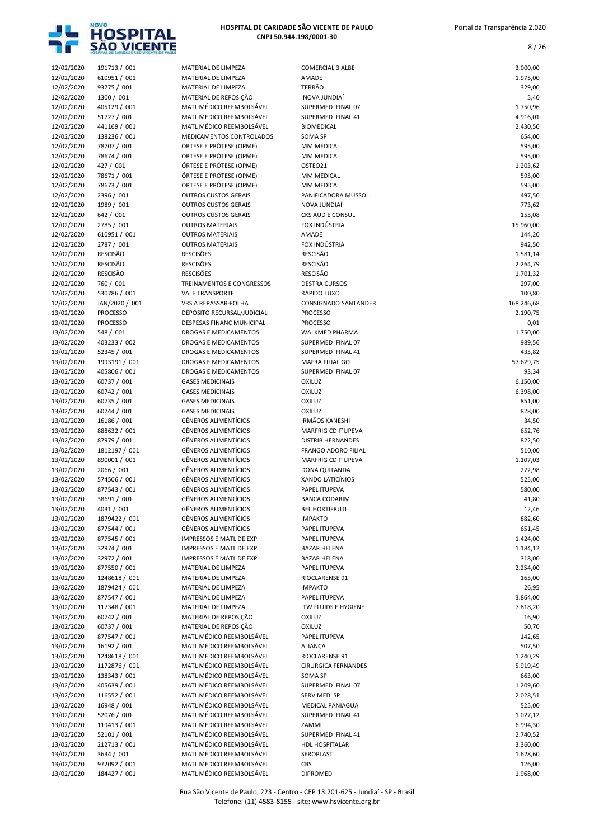

| 12/02/2020               | 191713 / 001                       | MATERIAL DE LIMPEZA                                    | <b>COMERCIAL 3 ALBE</b>                | 3.000,00             |
|--------------------------|------------------------------------|--------------------------------------------------------|----------------------------------------|----------------------|
| 12/02/2020               | 610951 / 001                       | MATERIAL DE LIMPEZA                                    | AMADE                                  | 1.975,00             |
| 12/02/2020               | 93775 / 001                        | MATERIAL DE LIMPEZA                                    | <b>TERRÃO</b>                          | 329,00               |
| 12/02/2020               | 1300 / 001                         | MATERIAL DE REPOSIÇÃO                                  | <b>INOVA JUNDIAÍ</b>                   | 5,40                 |
| 12/02/2020               | 405129 / 001<br>51727 / 001        | MATL MÉDICO REEMBOLSÁVEL<br>MATL MÉDICO REEMBOLSÁVEL   | SUPERMED FINAL 07<br>SUPERMED FINAL 41 | 1.750,96<br>4.916,01 |
| 12/02/2020<br>12/02/2020 | 441169 / 001                       | MATL MÉDICO REEMBOLSÁVEL                               | <b>BIOMEDICAL</b>                      | 2.430,50             |
| 12/02/2020               | 138236 / 001                       | MEDICAMENTOS CONTROLADOS                               | <b>SOMA SP</b>                         | 654,00               |
| 12/02/2020               | 78707 / 001                        | ÓRTESE E PRÓTESE (OPME)                                | MM MEDICAL                             | 595,00               |
| 12/02/2020               | 78674 / 001                        | ÓRTESE E PRÓTESE (OPME)                                | MM MEDICAL                             | 595,00               |
| 12/02/2020               | 427 / 001                          | ÓRTESE E PRÓTESE (OPME)                                | OSTEO21                                | 1.203,62             |
| 12/02/2020               | 78671 / 001                        | ÓRTESE E PRÓTESE (OPME)                                | MM MEDICAL                             | 595,00               |
| 12/02/2020               | 78673 / 001                        | ÓRTESE E PRÓTESE (OPME)                                | MM MEDICAL                             | 595,00               |
| 12/02/2020               | 2396 / 001                         | <b>OUTROS CUSTOS GERAIS</b>                            | PANIFICADORA MUSSOLI                   | 497,50               |
| 12/02/2020               | 1989 / 001                         | <b>OUTROS CUSTOS GERAIS</b>                            | NOVA JUNDIAÍ                           | 773,62               |
| 12/02/2020               | 642 / 001                          | <b>OUTROS CUSTOS GERAIS</b>                            | CKS AUD E CONSUL                       | 155,08               |
| 12/02/2020               | 2785 / 001                         | <b>OUTROS MATERIAIS</b>                                | FOX INDÚSTRIA                          | 15.960,00            |
| 12/02/2020               | 610951 / 001                       | <b>OUTROS MATERIAIS</b>                                | AMADE                                  | 144,20               |
| 12/02/2020               | 2787 / 001                         | <b>OUTROS MATERIAIS</b>                                | FOX INDÚSTRIA                          | 942,50               |
| 12/02/2020<br>12/02/2020 | <b>RESCISÃO</b><br><b>RESCISÃO</b> | <b>RESCISÕES</b><br><b>RESCISÕES</b>                   | <b>RESCISÃO</b><br><b>RESCISÃO</b>     | 1.581,14<br>2.264,79 |
| 12/02/2020               | <b>RESCISÃO</b>                    | <b>RESCISÕES</b>                                       | <b>RESCISÃO</b>                        | 1.701,32             |
| 12/02/2020               | 760 / 001                          | TREINAMENTOS E CONGRESSOS                              | <b>DESTRA CURSOS</b>                   | 297,00               |
| 12/02/2020               | 530786 / 001                       | <b>VALE TRANSPORTE</b>                                 | RÁPIDO LUXO                            | 100,80               |
| 12/02/2020               | JAN/2020 / 001                     | VRS A REPASSAR-FOLHA                                   | <b>CONSIGNADO SANTANDER</b>            | 168.246,68           |
| 13/02/2020               | <b>PROCESSO</b>                    | DEPOSITO RECURSAL/JUDICIAL                             | <b>PROCESSO</b>                        | 2.190,75             |
| 13/02/2020               | <b>PROCESSO</b>                    | DESPESAS FINANC MUNICIPAL                              | <b>PROCESSO</b>                        | 0,01                 |
| 13/02/2020               | 548 / 001                          | <b>DROGAS E MEDICAMENTOS</b>                           | <b>WALKMED PHARMA</b>                  | 1.750,00             |
| 13/02/2020               | 403233 / 002                       | DROGAS E MEDICAMENTOS                                  | SUPERMED FINAL 07                      | 989,56               |
| 13/02/2020               | 52345 / 001                        | DROGAS E MEDICAMENTOS                                  | SUPERMED FINAL 41                      | 435,82               |
| 13/02/2020               | 1993191 / 001                      | DROGAS E MEDICAMENTOS                                  | MAFRA FILIAL GO                        | 57.629,75            |
| 13/02/2020               | 405806 / 001                       | DROGAS E MEDICAMENTOS                                  | SUPERMED FINAL 07                      | 93,34                |
| 13/02/2020               | 60737 / 001                        | <b>GASES MEDICINAIS</b>                                | OXILUZ                                 | 6.150,00             |
| 13/02/2020               | 60742 / 001                        | <b>GASES MEDICINAIS</b>                                | OXILUZ                                 | 6.398,00             |
| 13/02/2020               | 60735 / 001                        | <b>GASES MEDICINAIS</b>                                | OXILUZ                                 | 851,00               |
| 13/02/2020               | 60744 / 001                        | <b>GASES MEDICINAIS</b><br><b>GÊNEROS ALIMENTÍCIOS</b> | OXILUZ<br><b>IRMÃOS KANESHI</b>        | 828,00               |
| 13/02/2020<br>13/02/2020 | 16186 / 001<br>888632 / 001        | <b>GÊNEROS ALIMENTÍCIOS</b>                            | <b>MARFRIG CD ITUPEVA</b>              | 34,50<br>652,76      |
| 13/02/2020               | 87979 / 001                        | <b>GÊNEROS ALIMENTÍCIOS</b>                            | <b>DISTRIB HERNANDES</b>               | 822,50               |
| 13/02/2020               | 1812197 / 001                      | <b>GÊNEROS ALIMENTÍCIOS</b>                            | <b>FRANGO ADORO FILIAL</b>             | 510,00               |
| 13/02/2020               | 890001 / 001                       | <b>GÊNEROS ALIMENTÍCIOS</b>                            | MARFRIG CD ITUPEVA                     | 1.107,03             |
| 13/02/2020               | 2066 / 001                         | <b>GÊNEROS ALIMENTÍCIOS</b>                            | DONA QUITANDA                          | 272,98               |
| 13/02/2020               | 574506 / 001                       | <b>GÊNEROS ALIMENTÍCIOS</b>                            | XANDO LATICÍNIOS                       | 525,00               |
| 13/02/2020               | 877543 / 001                       | <b>GÊNEROS ALIMENTÍCIOS</b>                            | PAPEL ITUPEVA                          | 580,00               |
| 13/02/2020               | 38691 / 001                        | <b>GÊNEROS ALIMENTÍCIOS</b>                            | BANCA CODARIM                          | 41,80                |
| 13/02/2020               | 4031 / 001                         | <b>GÊNEROS ALIMENTÍCIOS</b>                            | <b>BEL HORTIFRUTI</b>                  | 12,46                |
| 13/02/2020               | 1879422 / 001                      | <b>GÊNEROS ALIMENTÍCIOS</b>                            | <b>IMPAKTO</b>                         | 882,60               |
| 13/02/2020               | 877544 / 001                       | GÊNEROS ALIMENTÍCIOS                                   | PAPEL ITUPEVA                          | 651,45               |
| 13/02/2020               | 877545 / 001                       | IMPRESSOS E MATL DE EXP.                               | PAPEL ITUPEVA                          | 1.424,00             |
| 13/02/2020               | 32974 / 001                        | IMPRESSOS E MATL DE EXP.                               | <b>BAZAR HELENA</b>                    | 1.184,12             |
| 13/02/2020<br>13/02/2020 | 32972 / 001<br>877550 / 001        | IMPRESSOS E MATL DE EXP.<br>MATERIAL DE LIMPEZA        | <b>BAZAR HELENA</b><br>PAPEL ITUPEVA   | 318,00<br>2.254,00   |
| 13/02/2020               | 1248618 / 001                      | MATERIAL DE LIMPEZA                                    | RIOCLARENSE 91                         | 165,00               |
| 13/02/2020               | 1879424 / 001                      | MATERIAL DE LIMPEZA                                    | <b>IMPAKTO</b>                         | 26,95                |
| 13/02/2020               | 877547 / 001                       | MATERIAL DE LIMPEZA                                    | PAPEL ITUPEVA                          | 3.864,00             |
| 13/02/2020               | 117348 / 001                       | MATERIAL DE LIMPEZA                                    | <b>ITW FLUIDS E HYGIENE</b>            | 7.818,20             |
| 13/02/2020               | 60742 / 001                        | MATERIAL DE REPOSIÇÃO                                  | <b>OXILUZ</b>                          | 16,90                |
| 13/02/2020               | 60737 / 001                        | MATERIAL DE REPOSIÇÃO                                  | OXILUZ                                 | 50,70                |
| 13/02/2020               | 877547 / 001                       | MATL MÉDICO REEMBOLSÁVEL                               | PAPEL ITUPEVA                          | 142,65               |
| 13/02/2020               | 16192 / 001                        | MATL MÉDICO REEMBOLSÁVEL                               | ALIANÇA                                | 507,50               |
| 13/02/2020               | 1248618 / 001                      | MATL MÉDICO REEMBOLSÁVEL                               | RIOCLARENSE 91                         | 1.240,29             |
| 13/02/2020               | 1172876 / 001                      | MATL MÉDICO REEMBOLSÁVEL                               | <b>CIRURGICA FERNANDES</b>             | 5.919,49             |
| 13/02/2020               | 138343 / 001                       | MATL MÉDICO REEMBOLSÁVEL                               | SOMA SP                                | 663,00               |
| 13/02/2020               | 405639 / 001                       | MATL MÉDICO REEMBOLSÁVEL                               | SUPERMED FINAL 07                      | 1.209,60             |
| 13/02/2020<br>13/02/2020 | 116552 / 001<br>16948 / 001        | MATL MÉDICO REEMBOLSÁVEL<br>MATL MÉDICO REEMBOLSÁVEL   | SERVIMED SP<br>MEDICAL PANIAGUA        | 2.028,51<br>525,00   |
| 13/02/2020               | 52076 / 001                        | MATL MÉDICO REEMBOLSÁVEL                               | SUPERMED FINAL 41                      | 1.027,12             |
| 13/02/2020               | 119413 / 001                       | MATL MÉDICO REEMBOLSÁVEL                               | ZAMMI                                  | 6.994,30             |
| 13/02/2020               | 52101 / 001                        | MATL MÉDICO REEMBOLSÁVEL                               | SUPERMED FINAL 41                      | 2.740,52             |
| 13/02/2020               | 212713 / 001                       | MATL MÉDICO REEMBOLSÁVEL                               | <b>HDL HOSPITALAR</b>                  | 3.360,00             |
| 13/02/2020               | 3634 / 001                         | MATL MÉDICO REEMBOLSÁVEL                               | SEROPLAST                              | 1.628,60             |
| 13/02/2020               | 972092 / 001                       | MATL MÉDICO REEMBOLSÁVEL                               | <b>CBS</b>                             | 126,00               |
| 13/02/2020               | 184427 / 001                       | MATL MÉDICO REEMBOLSÁVEL                               | <b>DIPROMED</b>                        | 1.968,00             |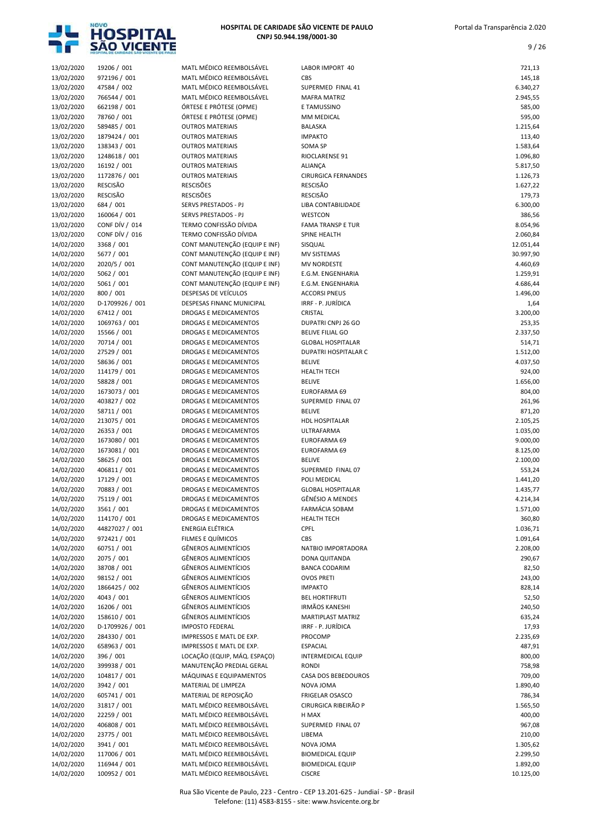

| 13/02/2020               | 19206 / 001                    | MATL MÉDICO REEMBOLSÁVEL                           | LABOR IMPORT 40                   | 721,13             |
|--------------------------|--------------------------------|----------------------------------------------------|-----------------------------------|--------------------|
| 13/02/2020               | 972196 / 001                   | MATL MÉDICO REEMBOLSÁVEL                           | CBS                               | 145,18             |
| 13/02/2020               | 47584 / 002                    | MATL MÉDICO REEMBOLSÁVEL                           | SUPERMED FINAL 41                 | 6.340,27           |
| 13/02/2020               | 766544 / 001                   | MATL MÉDICO REEMBOLSÁVEL                           | <b>MAFRA MATRIZ</b>               | 2.945,55           |
| 13/02/2020               | 662198 / 001                   | ÓRTESE E PRÓTESE (OPME)                            | E TAMUSSINO                       | 585,00             |
| 13/02/2020               | 78760 / 001                    | ÓRTESE E PRÓTESE (OPME)                            | MM MEDICAL                        | 595,00             |
| 13/02/2020               | 589485 / 001                   | <b>OUTROS MATERIAIS</b>                            | <b>BALASKA</b>                    | 1.215,64           |
| 13/02/2020<br>13/02/2020 | 1879424 / 001<br>138343 / 001  | <b>OUTROS MATERIAIS</b><br><b>OUTROS MATERIAIS</b> | <b>IMPAKTO</b><br><b>SOMA SP</b>  | 113,40<br>1.583,64 |
| 13/02/2020               | 1248618 / 001                  | <b>OUTROS MATERIAIS</b>                            | RIOCLARENSE 91                    | 1.096,80           |
| 13/02/2020               | 16192 / 001                    | <b>OUTROS MATERIAIS</b>                            | <b>ALIANÇA</b>                    | 5.817,50           |
| 13/02/2020               | 1172876 / 001                  | <b>OUTROS MATERIAIS</b>                            | <b>CIRURGICA FERNANDES</b>        | 1.126,73           |
| 13/02/2020               | <b>RESCISÃO</b>                | <b>RESCISÕES</b>                                   | <b>RESCISÃO</b>                   | 1.627,22           |
| 13/02/2020               | <b>RESCISÃO</b>                | <b>RESCISÕES</b>                                   | <b>RESCISÃO</b>                   | 179,73             |
| 13/02/2020               | 684 / 001                      | SERVS PRESTADOS - PJ                               | LIBA CONTABILIDADE                | 6.300,00           |
| 13/02/2020               | 160064 / 001                   | SERVS PRESTADOS - PJ                               | WESTCON                           | 386,56             |
| 13/02/2020               | CONF DÍV / 014                 | TERMO CONFISSÃO DÍVIDA                             | <b>FAMA TRANSP E TUR</b>          | 8.054,96           |
| 13/02/2020               | CONF DÍV / 016                 | TERMO CONFISSÃO DÍVIDA                             | SPINE HEALTH                      | 2.060,84           |
| 14/02/2020               | 3368 / 001                     | CONT MANUTENÇÃO (EQUIP E INF)                      | SISQUAL                           | 12.051,44          |
| 14/02/2020               | 5677 / 001                     | CONT MANUTENÇÃO (EQUIP E INF)                      | MV SISTEMAS                       | 30.997,90          |
| 14/02/2020               | 2020/5 / 001                   | CONT MANUTENÇÃO (EQUIP E INF)                      | <b>MV NORDESTE</b>                | 4.460,69           |
| 14/02/2020               | 5062 / 001                     | CONT MANUTENÇÃO (EQUIP E INF)                      | E.G.M. ENGENHARIA                 | 1.259,91           |
| 14/02/2020               | 5061 / 001                     | CONT MANUTENÇÃO (EQUIP E INF)                      | E.G.M. ENGENHARIA                 | 4.686,44           |
| 14/02/2020               | 800 / 001                      | DESPESAS DE VEÍCULOS                               | <b>ACCORSI PNEUS</b>              | 1.496,00           |
| 14/02/2020<br>14/02/2020 | D-1709926 / 001<br>67412 / 001 | DESPESAS FINANC MUNICIPAL<br>DROGAS E MEDICAMENTOS | IRRF - P. JURÍDICA<br>CRISTAL     | 1,64<br>3.200,00   |
| 14/02/2020               | 1069763 / 001                  | DROGAS E MEDICAMENTOS                              | DUPATRI CNPJ 26 GO                | 253,35             |
| 14/02/2020               | 15566 / 001                    | DROGAS E MEDICAMENTOS                              | <b>BELIVE FILIAL GO</b>           | 2.337,50           |
| 14/02/2020               | 70714 / 001                    | DROGAS E MEDICAMENTOS                              | <b>GLOBAL HOSPITALAR</b>          | 514,71             |
| 14/02/2020               | 27529 / 001                    | DROGAS E MEDICAMENTOS                              | DUPATRI HOSPITALAR C              | 1.512,00           |
| 14/02/2020               | 58636 / 001                    | DROGAS E MEDICAMENTOS                              | <b>BELIVE</b>                     | 4.037,50           |
| 14/02/2020               | 114179 / 001                   | DROGAS E MEDICAMENTOS                              | <b>HEALTH TECH</b>                | 924,00             |
| 14/02/2020               | 58828 / 001                    | DROGAS E MEDICAMENTOS                              | <b>BELIVE</b>                     | 1.656,00           |
| 14/02/2020               | 1673073 / 001                  | DROGAS E MEDICAMENTOS                              | EUROFARMA 69                      | 804,00             |
| 14/02/2020               | 403827 / 002                   | DROGAS E MEDICAMENTOS                              | SUPERMED FINAL 07                 | 261,96             |
| 14/02/2020               | 58711 / 001                    | DROGAS E MEDICAMENTOS                              | <b>BELIVE</b>                     | 871,20             |
| 14/02/2020               | 213075 / 001                   | DROGAS E MEDICAMENTOS                              | HDL HOSPITALAR                    | 2.105,25           |
| 14/02/2020               | 26353 / 001                    | DROGAS E MEDICAMENTOS                              | ULTRAFARMA                        | 1.035,00           |
| 14/02/2020               | 1673080 / 001                  | DROGAS E MEDICAMENTOS                              | EUROFARMA 69                      | 9.000,00           |
| 14/02/2020               | 1673081 / 001                  | DROGAS E MEDICAMENTOS                              | EUROFARMA 69                      | 8.125,00           |
| 14/02/2020               | 58625 / 001                    | DROGAS E MEDICAMENTOS                              | <b>BELIVE</b>                     | 2.100,00           |
| 14/02/2020<br>14/02/2020 | 406811 / 001<br>17129 / 001    | DROGAS E MEDICAMENTOS<br>DROGAS E MEDICAMENTOS     | SUPERMED FINAL 07<br>POLI MEDICAL | 553,24<br>1.441,20 |
| 14/02/2020               | 70883 / 001                    | DROGAS E MEDICAMENTOS                              | <b>GLOBAL HOSPITALAR</b>          | 1.435,77           |
| 14/02/2020               | 75119 / 001                    | DROGAS E MEDICAMENTOS                              | GÊNÉSIO A MENDES                  | 4.214,34           |
| 14/02/2020               | 3561 / 001                     | DROGAS E MEDICAMENTOS                              | FARMÁCIA SOBAM                    | 1.571,00           |
| 14/02/2020               | 114170 / 001                   | DROGAS E MEDICAMENTOS                              | <b>HEALTH TECH</b>                | 360,80             |
| 14/02/2020               | 44827027 / 001                 | ENERGIA ELÉTRICA                                   | <b>CPFL</b>                       | 1.036,71           |
| 14/02/2020               | 972421 / 001                   | FILMES E QUÍMICOS                                  | CBS                               | 1.091,64           |
| 14/02/2020               | 60751 / 001                    | <b>GÊNEROS ALIMENTÍCIOS</b>                        | NATBIO IMPORTADORA                | 2.208,00           |
| 14/02/2020               | 2075 / 001                     | <b>GÊNEROS ALIMENTÍCIOS</b>                        | DONA QUITANDA                     | 290,67             |
| 14/02/2020               | 38708 / 001                    | <b>GÊNEROS ALIMENTÍCIOS</b>                        | <b>BANCA CODARIM</b>              | 82,50              |
| 14/02/2020               | 98152 / 001                    | <b>GÊNEROS ALIMENTÍCIOS</b>                        | <b>OVOS PRETI</b>                 | 243,00             |
| 14/02/2020               | 1866425 / 002                  | <b>GÊNEROS ALIMENTÍCIOS</b>                        | <b>IMPAKTO</b>                    | 828,14             |
| 14/02/2020               | 4043 / 001                     | <b>GÊNEROS ALIMENTÍCIOS</b>                        | <b>BEL HORTIFRUTI</b>             | 52,50              |
| 14/02/2020               | 16206 / 001                    | <b>GÊNEROS ALIMENTÍCIOS</b>                        | IRMÃOS KANESHI                    | 240,50             |
| 14/02/2020               | 158610 / 001                   | <b>GÊNEROS ALIMENTÍCIOS</b>                        | MARTIPLAST MATRIZ                 | 635,24             |
| 14/02/2020               | D-1709926 / 001                | <b>IMPOSTO FEDERAL</b><br>IMPRESSOS E MATL DE EXP. | IRRF - P. JURÍDICA                | 17,93              |
| 14/02/2020<br>14/02/2020 | 284330 / 001<br>658963 / 001   | IMPRESSOS E MATL DE EXP.                           | PROCOMP<br><b>ESPACIAL</b>        | 2.235,69<br>487,91 |
| 14/02/2020               | 396 / 001                      | LOCAÇÃO (EQUIP, MÁQ. ESPAÇO)                       | <b>INTERMEDICAL EQUIP</b>         | 800,00             |
| 14/02/2020               | 399938 / 001                   | MANUTENÇÃO PREDIAL GERAL                           | <b>RONDI</b>                      | 758,98             |
| 14/02/2020               | 104817 / 001                   | MÁQUINAS E EQUIPAMENTOS                            | CASA DOS BEBEDOUROS               | 709,00             |
| 14/02/2020               | 3942 / 001                     | MATERIAL DE LIMPEZA                                | NOVA JOMA                         | 1.890,40           |
| 14/02/2020               | 605741 / 001                   | MATERIAL DE REPOSIÇÃO                              | FRIGELAR OSASCO                   | 786,34             |
| 14/02/2020               | 31817 / 001                    | MATL MÉDICO REEMBOLSÁVEL                           | CIRURGICA RIBEIRÃO P              | 1.565,50           |
| 14/02/2020               | 22259 / 001                    | MATL MÉDICO REEMBOLSÁVEL                           | H MAX                             | 400,00             |
| 14/02/2020               | 406808 / 001                   | MATL MÉDICO REEMBOLSÁVEL                           | SUPERMED FINAL 07                 | 967,08             |
| 14/02/2020               | 23775 / 001                    | MATL MÉDICO REEMBOLSÁVEL                           | LIBEMA                            | 210,00             |
| 14/02/2020               | 3941 / 001                     | MATL MÉDICO REEMBOLSÁVEL                           | NOVA JOMA                         | 1.305,62           |
| 14/02/2020               | 117006 / 001                   | MATL MÉDICO REEMBOLSÁVEL                           | <b>BIOMEDICAL EQUIP</b>           | 2.299,50           |
| 14/02/2020               | 116944 / 001                   | MATL MÉDICO REEMBOLSÁVEL                           | <b>BIOMEDICAL EQUIP</b>           | 1.892,00           |
| 14/02/2020               | 100952 / 001                   | MATL MÉDICO REEMBOLSÁVEL                           | <b>CISCRE</b>                     | 10.125,00          |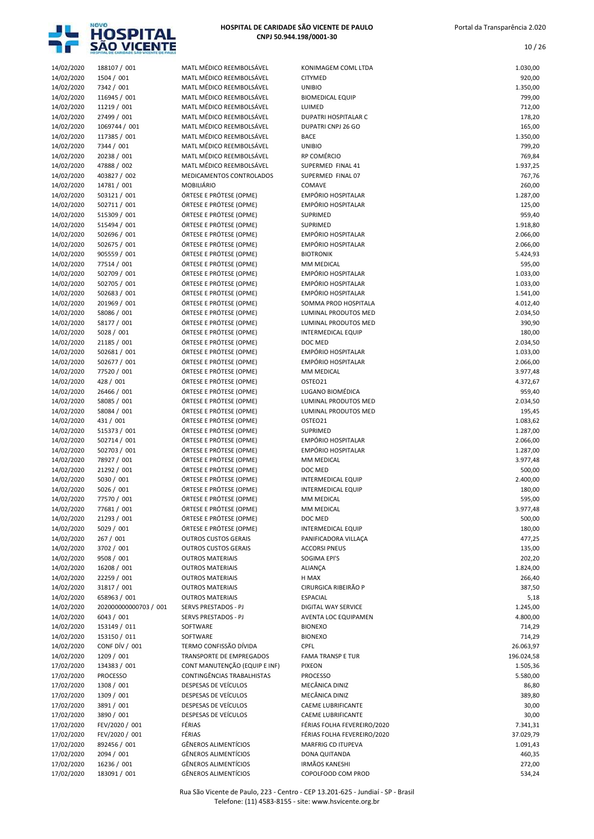

|--|--|

| 14/02/2020               | 188107 / 001                 | MATL MÉDICO REEMBOLSÁVEL                           | KONIMAGEM COML LTDA                      | 1.030,00           |
|--------------------------|------------------------------|----------------------------------------------------|------------------------------------------|--------------------|
| 14/02/2020               | 1504 / 001                   | MATL MÉDICO REEMBOLSÁVEL                           | CITYMED                                  | 920,00             |
| 14/02/2020               | 7342 / 001                   | MATL MÉDICO REEMBOLSÁVEL                           | <b>UNIBIO</b>                            | 1.350,00           |
| 14/02/2020               | 116945 / 001                 | MATL MÉDICO REEMBOLSÁVEL                           | <b>BIOMEDICAL EQUIP</b>                  | 799,00             |
| 14/02/2020               | 11219 / 001                  | MATL MÉDICO REEMBOLSÁVEL                           | LUIMED                                   | 712,00             |
| 14/02/2020               | 27499 / 001                  | MATL MÉDICO REEMBOLSÁVEL                           | <b>DUPATRI HOSPITALAR C</b>              | 178,20             |
| 14/02/2020               | 1069744 / 001                | MATL MÉDICO REEMBOLSÁVEL                           | DUPATRI CNPJ 26 GO                       | 165,00             |
| 14/02/2020               | 117385 / 001                 | MATL MÉDICO REEMBOLSÁVEL                           | <b>BACE</b>                              | 1.350,00           |
| 14/02/2020               | 7344 / 001                   | MATL MÉDICO REEMBOLSÁVEL                           | <b>UNIBIO</b>                            | 799,20             |
| 14/02/2020               | 20238 / 001                  | MATL MÉDICO REEMBOLSÁVEL                           | RP COMÉRCIO                              | 769,84             |
| 14/02/2020               | 47888 / 002                  | MATL MÉDICO REEMBOLSÁVEL                           | SUPERMED FINAL 41                        | 1.937,25           |
| 14/02/2020               | 403827 / 002                 | MEDICAMENTOS CONTROLADOS                           | SUPERMED FINAL 07                        | 767,76             |
| 14/02/2020               | 14781 / 001                  | <b>MOBILIÁRIO</b>                                  | COMAVE                                   | 260,00             |
| 14/02/2020               | 503121 / 001                 | ÓRTESE E PRÓTESE (OPME)                            | <b>EMPÓRIO HOSPITALAR</b>                | 1.287,00           |
| 14/02/2020               | 502711/001                   | ÓRTESE E PRÓTESE (OPME)                            | EMPÓRIO HOSPITALAR                       | 125,00             |
| 14/02/2020               | 515309 / 001                 | ÓRTESE E PRÓTESE (OPME)                            | SUPRIMED                                 | 959,40             |
| 14/02/2020               | 515494 / 001                 | ÓRTESE E PRÓTESE (OPME)                            | SUPRIMED                                 | 1.918,80           |
| 14/02/2020               | 502696 / 001                 | ÓRTESE E PRÓTESE (OPME)<br>ÓRTESE E PRÓTESE (OPME) | EMPÓRIO HOSPITALAR<br>EMPÓRIO HOSPITALAR | 2.066,00           |
| 14/02/2020               | 502675 / 001<br>905559 / 001 | ÓRTESE E PRÓTESE (OPME)                            | <b>BIOTRONIK</b>                         | 2.066,00           |
| 14/02/2020<br>14/02/2020 | 77514 / 001                  | ÓRTESE E PRÓTESE (OPME)                            | MM MEDICAL                               | 5.424,93<br>595,00 |
| 14/02/2020               | 502709 / 001                 | ÓRTESE E PRÓTESE (OPME)                            | EMPÓRIO HOSPITALAR                       | 1.033,00           |
| 14/02/2020               | 502705 / 001                 | ÓRTESE E PRÓTESE (OPME)                            | <b>EMPÓRIO HOSPITALAR</b>                | 1.033,00           |
| 14/02/2020               | 502683 / 001                 | ÓRTESE E PRÓTESE (OPME)                            | <b>EMPÓRIO HOSPITALAR</b>                | 1.541,00           |
| 14/02/2020               | 201969 / 001                 | ÓRTESE E PRÓTESE (OPME)                            | SOMMA PROD HOSPITALA                     | 4.012,40           |
| 14/02/2020               | 58086 / 001                  | ÓRTESE E PRÓTESE (OPME)                            | LUMINAL PRODUTOS MED                     | 2.034,50           |
| 14/02/2020               | 58177 / 001                  | ÓRTESE E PRÓTESE (OPME)                            | LUMINAL PRODUTOS MED                     | 390,90             |
| 14/02/2020               | 5028 / 001                   | ÓRTESE E PRÓTESE (OPME)                            | <b>INTERMEDICAL EQUIP</b>                | 180,00             |
| 14/02/2020               | 21185 / 001                  | ÓRTESE E PRÓTESE (OPME)                            | DOC MED                                  | 2.034,50           |
| 14/02/2020               | 502681 / 001                 | ÓRTESE E PRÓTESE (OPME)                            | <b>EMPÓRIO HOSPITALAR</b>                | 1.033,00           |
| 14/02/2020               | 502677 / 001                 | ÓRTESE E PRÓTESE (OPME)                            | EMPÓRIO HOSPITALAR                       | 2.066,00           |
| 14/02/2020               | 77520 / 001                  | ÓRTESE E PRÓTESE (OPME)                            | MM MEDICAL                               | 3.977,48           |
| 14/02/2020               | 428 / 001                    | ÓRTESE E PRÓTESE (OPME)                            | OSTEO21                                  | 4.372,67           |
| 14/02/2020               | 26466 / 001                  | ÓRTESE E PRÓTESE (OPME)                            | LUGANO BIOMÉDICA                         | 959,40             |
| 14/02/2020               | 58085 / 001                  | ÓRTESE E PRÓTESE (OPME)                            | LUMINAL PRODUTOS MED                     | 2.034,50           |
| 14/02/2020               | 58084 / 001                  | ÓRTESE E PRÓTESE (OPME)                            | LUMINAL PRODUTOS MED                     | 195,45             |
| 14/02/2020               | 431 / 001                    | ÓRTESE E PRÓTESE (OPME)                            | OSTEO21                                  | 1.083,62           |
| 14/02/2020               | 515373 / 001                 | ÓRTESE E PRÓTESE (OPME)                            | SUPRIMED                                 | 1.287,00           |
| 14/02/2020               | 502714 / 001                 | ÓRTESE E PRÓTESE (OPME)                            | <b>EMPÓRIO HOSPITALAR</b>                | 2.066,00           |
| 14/02/2020               | 502703 / 001                 | ÓRTESE E PRÓTESE (OPME)                            | EMPÓRIO HOSPITALAR                       | 1.287,00           |
| 14/02/2020               | 78927 / 001                  | ÓRTESE E PRÓTESE (OPME)                            | MM MEDICAL                               | 3.977,48           |
| 14/02/2020               | 21292 / 001                  | ÓRTESE E PRÓTESE (OPME)                            | DOC MED                                  | 500,00             |
| 14/02/2020               | 5030 / 001                   | ÓRTESE E PRÓTESE (OPME)                            | <b>INTERMEDICAL EQUIP</b>                | 2.400,00           |
| 14/02/2020               | 5026 / 001                   | ÓRTESE E PRÓTESE (OPME)                            | <b>INTERMEDICAL EQUIP</b>                | 180,00             |
| 14/02/2020               | 77570 / 001                  | ÓRTESE E PRÓTESE (OPME)                            | MM MEDICAL                               | 595,00             |
| 14/02/2020               | 77681 / 001                  | ÓRTESE E PRÓTESE (OPME)                            | MM MEDICAL                               | 3.977,48           |
| 14/02/2020               | 21293 / 001                  | ÓRTESE E PRÓTESE (OPME)                            | DOC MED                                  | 500,00             |
| 14/02/2020               | 5029 / 001                   | ÓRTESE E PRÓTESE (OPME)                            | <b>INTERMEDICAL EQUIP</b>                | 180,00             |
| 14/02/2020               | 267 / 001                    | <b>OUTROS CUSTOS GERAIS</b>                        | PANIFICADORA VILLAÇA                     | 477,25             |
| 14/02/2020               | 3702 / 001                   | <b>OUTROS CUSTOS GERAIS</b>                        | <b>ACCORSI PNEUS</b><br>SOGIMA EPI'S     | 135,00             |
| 14/02/2020<br>14/02/2020 | 9508 / 001<br>16208 / 001    | <b>OUTROS MATERIAIS</b><br><b>OUTROS MATERIAIS</b> | ALIANÇA                                  | 202,20<br>1.824,00 |
| 14/02/2020               | 22259 / 001                  | <b>OUTROS MATERIAIS</b>                            | H MAX                                    | 266,40             |
| 14/02/2020               | 31817 / 001                  | <b>OUTROS MATERIAIS</b>                            | CIRURGICA RIBEIRÃO P                     | 387,50             |
| 14/02/2020               | 658963 / 001                 | <b>OUTROS MATERIAIS</b>                            | <b>ESPACIAL</b>                          | 5,18               |
| 14/02/2020               | 202000000000703 / 001        | SERVS PRESTADOS - PJ                               | DIGITAL WAY SERVICE                      | 1.245,00           |
| 14/02/2020               | 6043 / 001                   | SERVS PRESTADOS - PJ                               | AVENTA LOC EQUIPAMEN                     | 4.800,00           |
| 14/02/2020               | 153149 / 011                 | SOFTWARE                                           | <b>BIONEXO</b>                           | 714,29             |
| 14/02/2020               | 153150 / 011                 | SOFTWARE                                           | <b>BIONEXO</b>                           | 714,29             |
| 14/02/2020               | CONF DÍV / 001               | TERMO CONFISSÃO DÍVIDA                             | CPFL                                     | 26.063,97          |
| 14/02/2020               | 1209 / 001                   | TRANSPORTE DE EMPREGADOS                           | <b>FAMA TRANSP E TUR</b>                 | 196.024,58         |
| 17/02/2020               | 134383 / 001                 | CONT MANUTENÇÃO (EQUIP E INF)                      | <b>PIXEON</b>                            | 1.505,36           |
| 17/02/2020               | <b>PROCESSO</b>              | CONTINGÊNCIAS TRABALHISTAS                         | <b>PROCESSO</b>                          | 5.580,00           |
| 17/02/2020               | 1308 / 001                   | DESPESAS DE VEÍCULOS                               | MECÂNICA DINIZ                           | 86,80              |
| 17/02/2020               | 1309 / 001                   | DESPESAS DE VEÍCULOS                               | MECÂNICA DINIZ                           | 389,80             |
| 17/02/2020               | 3891 / 001                   | DESPESAS DE VEÍCULOS                               | CAEME LUBRIFICANTE                       | 30,00              |
| 17/02/2020               | 3890 / 001                   | DESPESAS DE VEÍCULOS                               | CAEME LUBRIFICANTE                       | 30,00              |
| 17/02/2020               | FEV/2020 / 001               | FÉRIAS                                             | FÉRIAS FOLHA FEVEREIRO/2020              | 7.341,31           |
| 17/02/2020               | FEV/2020 / 001               | FÉRIAS                                             | FÉRIAS FOLHA FEVEREIRO/2020              | 37.029,79          |
| 17/02/2020               | 892456 / 001                 | <b>GÊNEROS ALIMENTÍCIOS</b>                        | MARFRIG CD ITUPEVA                       | 1.091,43           |
| 17/02/2020               | 2094 / 001                   | <b>GÊNEROS ALIMENTÍCIOS</b>                        | DONA QUITANDA                            | 460,35             |
| 17/02/2020               | 16236 / 001                  | <b>GÊNEROS ALIMENTÍCIOS</b>                        | <b>IRMÃOS KANESHI</b>                    | 272,00             |
| 17/02/2020               | 183091 / 001                 | <b>GÊNEROS ALIMENTÍCIOS</b>                        | COPOLFOOD COM PROD                       | 534,24             |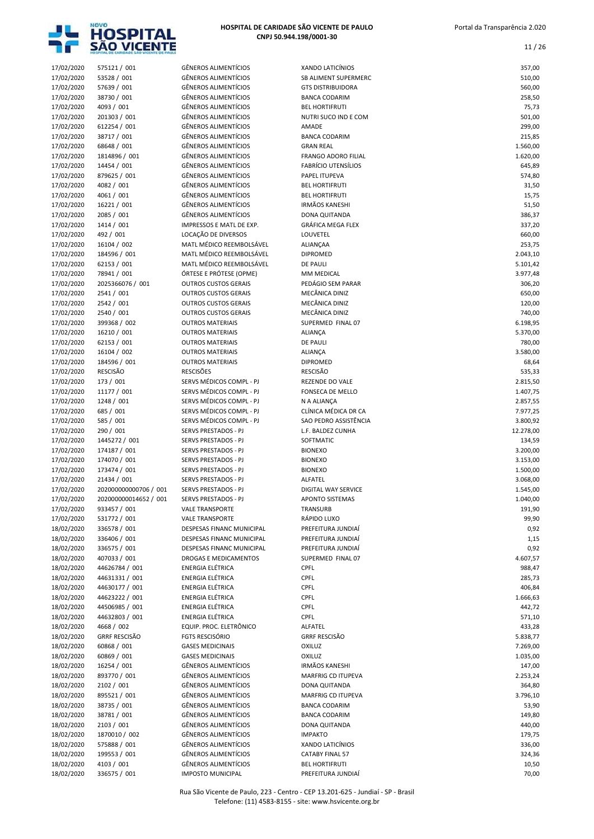

| 17/02/2020 |                       |                             |                            |           |
|------------|-----------------------|-----------------------------|----------------------------|-----------|
|            | 575121 / 001          | <b>GÊNEROS ALIMENTÍCIOS</b> | <b>XANDO LATICÍNIOS</b>    | 357,00    |
| 17/02/2020 | 53528 / 001           | <b>GÊNEROS ALIMENTÍCIOS</b> | SB ALIMENT SUPERMERC       | 510,00    |
| 17/02/2020 | 57639 / 001           | <b>GÊNEROS ALIMENTÍCIOS</b> | <b>GTS DISTRIBUIDORA</b>   | 560,00    |
| 17/02/2020 | 38730 / 001           | <b>GÊNEROS ALIMENTÍCIOS</b> | <b>BANCA CODARIM</b>       | 258,50    |
|            |                       | <b>GÊNEROS ALIMENTÍCIOS</b> | <b>BEL HORTIFRUTI</b>      |           |
| 17/02/2020 | 4093 / 001            |                             |                            | 75,73     |
| 17/02/2020 | 201303 / 001          | <b>GÊNEROS ALIMENTÍCIOS</b> | NUTRI SUCO IND E COM       | 501,00    |
| 17/02/2020 | 612254 / 001          | <b>GÊNEROS ALIMENTÍCIOS</b> | AMADE                      | 299,00    |
| 17/02/2020 | 38717 / 001           | <b>GÊNEROS ALIMENTÍCIOS</b> | <b>BANCA CODARIM</b>       | 215,85    |
| 17/02/2020 | 68648 / 001           | <b>GÊNEROS ALIMENTÍCIOS</b> | <b>GRAN REAL</b>           | 1.560,00  |
| 17/02/2020 | 1814896 / 001         | <b>GÊNEROS ALIMENTÍCIOS</b> | FRANGO ADORO FILIAL        | 1.620,00  |
| 17/02/2020 | 14454 / 001           | <b>GÊNEROS ALIMENTÍCIOS</b> | <b>FABRÍCIO UTENSÍLIOS</b> | 645,89    |
|            | 879625 / 001          | <b>GÊNEROS ALIMENTÍCIOS</b> | PAPEL ITUPEVA              | 574,80    |
| 17/02/2020 |                       |                             |                            |           |
| 17/02/2020 | 4082 / 001            | <b>GÊNEROS ALIMENTÍCIOS</b> | <b>BEL HORTIFRUTI</b>      | 31,50     |
| 17/02/2020 | 4061 / 001            | <b>GÊNEROS ALIMENTÍCIOS</b> | <b>BEL HORTIFRUTI</b>      | 15,75     |
| 17/02/2020 | 16221 / 001           | <b>GÊNEROS ALIMENTÍCIOS</b> | <b>IRMÃOS KANESHI</b>      | 51,50     |
| 17/02/2020 | 2085 / 001            | <b>GÊNEROS ALIMENTÍCIOS</b> | DONA QUITANDA              | 386,37    |
| 17/02/2020 | 1414 / 001            | IMPRESSOS E MATL DE EXP.    | <b>GRÁFICA MEGA FLEX</b>   | 337,20    |
| 17/02/2020 | 492 / 001             | LOCAÇÃO DE DIVERSOS         | LOUVETEL                   | 660,00    |
|            |                       |                             |                            |           |
| 17/02/2020 | 16104 / 002           | MATL MÉDICO REEMBOLSÁVEL    | ALIANÇAA                   | 253,75    |
| 17/02/2020 | 184596 / 001          | MATL MÉDICO REEMBOLSÁVEL    | <b>DIPROMED</b>            | 2.043,10  |
| 17/02/2020 | 62153 / 001           | MATL MÉDICO REEMBOLSÁVEL    | <b>DE PAULI</b>            | 5.101,42  |
| 17/02/2020 | 78941 / 001           | ÓRTESE E PRÓTESE (OPME)     | MM MEDICAL                 | 3.977,48  |
| 17/02/2020 | 2025366076 / 001      | <b>OUTROS CUSTOS GERAIS</b> | PEDÁGIO SEM PARAR          | 306,20    |
| 17/02/2020 | 2541 / 001            | <b>OUTROS CUSTOS GERAIS</b> | MECÂNICA DINIZ             | 650,00    |
|            | 2542 / 001            |                             | MECÂNICA DINIZ             |           |
| 17/02/2020 |                       | <b>OUTROS CUSTOS GERAIS</b> |                            | 120,00    |
| 17/02/2020 | 2540 / 001            | <b>OUTROS CUSTOS GERAIS</b> | MECÂNICA DINIZ             | 740,00    |
| 17/02/2020 | 399368 / 002          | <b>OUTROS MATERIAIS</b>     | SUPERMED FINAL 07          | 6.198,95  |
| 17/02/2020 | 16210 / 001           | <b>OUTROS MATERIAIS</b>     | ALIANÇA                    | 5.370,00  |
| 17/02/2020 | 62153 / 001           | <b>OUTROS MATERIAIS</b>     | <b>DE PAULI</b>            | 780,00    |
| 17/02/2020 | 16104 / 002           | <b>OUTROS MATERIAIS</b>     | ALIANÇA                    | 3.580,00  |
| 17/02/2020 | 184596 / 001          | <b>OUTROS MATERIAIS</b>     | <b>DIPROMED</b>            | 68,64     |
|            |                       |                             |                            |           |
| 17/02/2020 | <b>RESCISÃO</b>       | <b>RESCISÕES</b>            | <b>RESCISÃO</b>            | 535,33    |
| 17/02/2020 | 173 / 001             | SERVS MÉDICOS COMPL - PJ    | REZENDE DO VALE            | 2.815,50  |
| 17/02/2020 | 11177 / 001           | SERVS MÉDICOS COMPL - PJ    | FONSECA DE MELLO           | 1.407,75  |
| 17/02/2020 | 1248 / 001            | SERVS MÉDICOS COMPL - PJ    | N A ALIANÇA                | 2.857,55  |
| 17/02/2020 | 685 / 001             | SERVS MÉDICOS COMPL - PJ    | CLÍNICA MÉDICA DR CA       | 7.977,25  |
| 17/02/2020 | 585 / 001             | SERVS MÉDICOS COMPL - PJ    | SAO PEDRO ASSISTÊNCIA      | 3.800,92  |
|            |                       |                             |                            |           |
| 17/02/2020 | 290 / 001             | SERVS PRESTADOS - PJ        | L.F. BALDEZ CUNHA          | 12.278,00 |
|            |                       |                             |                            |           |
| 17/02/2020 | 1445272 / 001         | SERVS PRESTADOS - PJ        | SOFTMATIC                  | 134,59    |
| 17/02/2020 | 174187 / 001          | SERVS PRESTADOS - PJ        | <b>BIONEXO</b>             | 3.200,00  |
| 17/02/2020 | 174070 / 001          | SERVS PRESTADOS - PJ        | <b>BIONEXO</b>             | 3.153,00  |
|            |                       |                             |                            |           |
| 17/02/2020 | 173474 / 001          | SERVS PRESTADOS - PJ        | <b>BIONEXO</b>             | 1.500,00  |
| 17/02/2020 | 21434 / 001           | SERVS PRESTADOS - PJ        | ALFATEL                    | 3.068,00  |
| 17/02/2020 | 202000000000706 / 001 | <b>SERVS PRESTADOS - PJ</b> | DIGITAL WAY SERVICE        | 1.545,00  |
| 17/02/2020 | 202000000014652 / 001 | SERVS PRESTADOS - PJ        | <b>APONTO SISTEMAS</b>     | 1.040,00  |
| 17/02/2020 | 933457 / 001          | <b>VALE TRANSPORTE</b>      | TRANSURB                   | 191,90    |
| 17/02/2020 | 531772 / 001          | <b>VALE TRANSPORTE</b>      | RÁPIDO LUXO                | 99,90     |
|            |                       |                             |                            |           |
| 18/02/2020 | 336578 / 001          | DESPESAS FINANC MUNICIPAL   | PREFEITURA JUNDIAÍ         | 0,92      |
| 18/02/2020 | 336406 / 001          | DESPESAS FINANC MUNICIPAL   | PREFEITURA JUNDIAÍ         | 1,15      |
| 18/02/2020 | 336575 / 001          | DESPESAS FINANC MUNICIPAL   | PREFEITURA JUNDIAÍ         | 0,92      |
| 18/02/2020 | 407033 / 001          | DROGAS E MEDICAMENTOS       | SUPERMED FINAL 07          | 4.607,57  |
| 18/02/2020 | 44626784 / 001        | ENERGIA ELÉTRICA            | <b>CPFL</b>                | 988,47    |
| 18/02/2020 | 44631331 / 001        | ENERGIA ELÉTRICA            | <b>CPFL</b>                | 285,73    |
|            | 44630177 / 001        | ENERGIA ELÉTRICA            | <b>CPFL</b>                | 406,84    |
| 18/02/2020 |                       |                             |                            |           |
| 18/02/2020 | 44623222 / 001        | ENERGIA ELÉTRICA            | <b>CPFL</b>                | 1.666,63  |
| 18/02/2020 | 44506985 / 001        | ENERGIA ELÉTRICA            | CPFL                       | 442,72    |
| 18/02/2020 | 44632803 / 001        | ENERGIA ELÉTRICA            | <b>CPFL</b>                | 571,10    |
| 18/02/2020 | 4668 / 002            | EQUIP. PROC. ELETRÔNICO     | ALFATEL                    | 433,28    |
| 18/02/2020 | <b>GRRF RESCISÃO</b>  | <b>FGTS RESCISÓRIO</b>      | <b>GRRF RESCISÃO</b>       | 5.838,77  |
| 18/02/2020 | 60868 / 001           | <b>GASES MEDICINAIS</b>     | <b>OXILUZ</b>              | 7.269,00  |
|            |                       |                             |                            |           |
| 18/02/2020 | 60869 / 001           | <b>GASES MEDICINAIS</b>     | OXILUZ                     | 1.035,00  |
| 18/02/2020 | 16254 / 001           | <b>GÊNEROS ALIMENTÍCIOS</b> | <b>IRMÃOS KANESHI</b>      | 147,00    |
| 18/02/2020 | 893770 / 001          | GÊNEROS ALIMENTÍCIOS        | MARFRIG CD ITUPEVA         | 2.253,24  |
| 18/02/2020 | 2102 / 001            | GÊNEROS ALIMENTÍCIOS        | DONA QUITANDA              | 364,80    |
| 18/02/2020 | 895521 / 001          | <b>GÊNEROS ALIMENTÍCIOS</b> | MARFRIG CD ITUPEVA         | 3.796,10  |
| 18/02/2020 | 38735 / 001           | GÊNEROS ALIMENTÍCIOS        | <b>BANCA CODARIM</b>       | 53,90     |
| 18/02/2020 | 38781 / 001           | GÊNEROS ALIMENTÍCIOS        | <b>BANCA CODARIM</b>       | 149,80    |
|            |                       |                             |                            |           |
| 18/02/2020 | 2103 / 001            | <b>GÊNEROS ALIMENTÍCIOS</b> | DONA QUITANDA              | 440,00    |
| 18/02/2020 | 1870010 / 002         | <b>GÊNEROS ALIMENTÍCIOS</b> | <b>IMPAKTO</b>             | 179,75    |
| 18/02/2020 | 575888 / 001          | GÊNEROS ALIMENTÍCIOS        | XANDO LATICÍNIOS           | 336,00    |
| 18/02/2020 | 199553 / 001          | GÊNEROS ALIMENTÍCIOS        | <b>CATABY FINAL 57</b>     | 324,36    |
| 18/02/2020 | 4103 / 001            | <b>GÊNEROS ALIMENTÍCIOS</b> | <b>BEL HORTIFRUTI</b>      | 10,50     |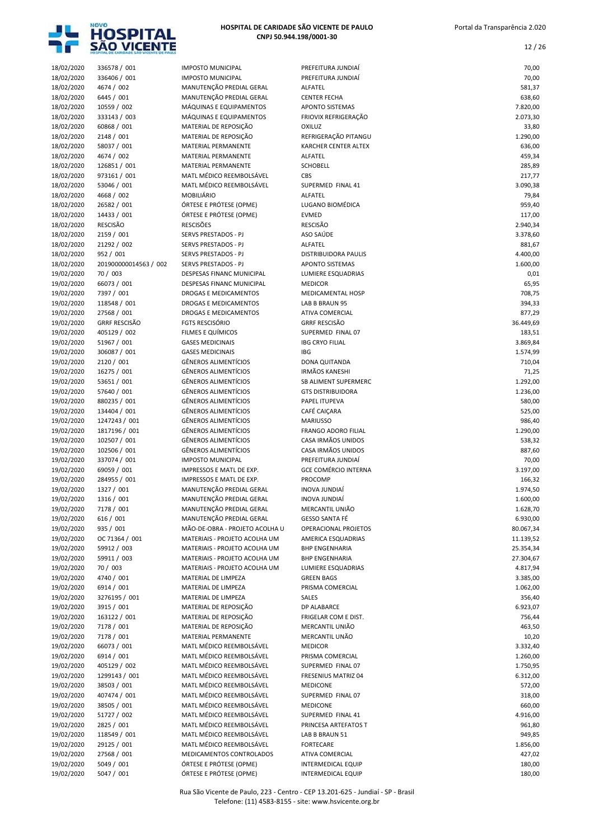

12 / 26

| 18/02/2020 | 336578 / 001          | <b>IMPOSTO MUNICIPAL</b>       | PREFEITURA JUNDIAÍ          | 70,00     |
|------------|-----------------------|--------------------------------|-----------------------------|-----------|
| 18/02/2020 | 336406 / 001          | <b>IMPOSTO MUNICIPAL</b>       | PREFEITURA JUNDIAÍ          | 70,00     |
| 18/02/2020 | 4674 / 002            | MANUTENÇÃO PREDIAL GERAL       | ALFATEL                     | 581,37    |
| 18/02/2020 | 6445 / 001            | MANUTENÇÃO PREDIAL GERAL       | <b>CENTER FECHA</b>         | 638,60    |
| 18/02/2020 | 10559 / 002           | MÁQUINAS E EQUIPAMENTOS        | APONTO SISTEMAS             | 7.820,00  |
| 18/02/2020 | 333143 / 003          | MÁQUINAS E EQUIPAMENTOS        | FRIOVIX REFRIGERAÇÃO        | 2.073,30  |
| 18/02/2020 | 60868 / 001           | MATERIAL DE REPOSIÇÃO          | <b>OXILUZ</b>               | 33,80     |
| 18/02/2020 | 2148 / 001            | MATERIAL DE REPOSIÇÃO          | REFRIGERAÇÃO PITANGU        | 1.290,00  |
| 18/02/2020 | 58037 / 001           | MATERIAL PERMANENTE            | KARCHER CENTER ALTEX        | 636,00    |
|            |                       |                                | ALFATEL                     |           |
| 18/02/2020 | 4674 / 002            | MATERIAL PERMANENTE            |                             | 459,34    |
| 18/02/2020 | 126851 / 001          | MATERIAL PERMANENTE            | SCHOBELL                    | 285,89    |
| 18/02/2020 | 973161 / 001          | MATL MÉDICO REEMBOLSÁVEL       | CBS                         | 217,77    |
| 18/02/2020 | 53046 / 001           | MATL MÉDICO REEMBOLSÁVEL       | SUPERMED FINAL 41           | 3.090,38  |
| 18/02/2020 | 4668 / 002            | <b>MOBILIÁRIO</b>              | ALFATEL                     | 79,84     |
| 18/02/2020 | 26582 / 001           | ÓRTESE E PRÓTESE (OPME)        | LUGANO BIOMÉDICA            | 959,40    |
| 18/02/2020 | 14433 / 001           | ÓRTESE E PRÓTESE (OPME)        | <b>EVMED</b>                | 117,00    |
| 18/02/2020 | RESCISÃO              | <b>RESCISÕES</b>               | <b>RESCISÃO</b>             | 2.940,34  |
| 18/02/2020 | 2159 / 001            | SERVS PRESTADOS - PJ           | ASO SAÚDE                   | 3.378,60  |
| 18/02/2020 | 21292 / 002           | SERVS PRESTADOS - PJ           | ALFATEL                     | 881,67    |
| 18/02/2020 | 952 / 001             | SERVS PRESTADOS - PJ           | DISTRIBUIDORA PAULIS        | 4.400,00  |
| 18/02/2020 | 201900000014563 / 002 | SERVS PRESTADOS - PJ           | <b>APONTO SISTEMAS</b>      | 1.600,00  |
| 19/02/2020 | 70 / 003              | DESPESAS FINANC MUNICIPAL      | LUMIERE ESQUADRIAS          | 0,01      |
| 19/02/2020 | 66073 / 001           | DESPESAS FINANC MUNICIPAL      | <b>MEDICOR</b>              | 65,95     |
|            |                       |                                |                             |           |
| 19/02/2020 | 7397 / 001            | DROGAS E MEDICAMENTOS          | MEDICAMENTAL HOSP           | 708,75    |
| 19/02/2020 | 118548 / 001          | DROGAS E MEDICAMENTOS          | LAB B BRAUN 95              | 394,33    |
| 19/02/2020 | 27568 / 001           | DROGAS E MEDICAMENTOS          | <b>ATIVA COMERCIAL</b>      | 877,29    |
| 19/02/2020 | <b>GRRF RESCISÃO</b>  | <b>FGTS RESCISÓRIO</b>         | <b>GRRF RESCISÃO</b>        | 36.449,69 |
| 19/02/2020 | 405129 / 002          | FILMES E QUÍMICOS              | SUPERMED FINAL 07           | 183,51    |
| 19/02/2020 | 51967 / 001           | <b>GASES MEDICINAIS</b>        | <b>IBG CRYO FILIAL</b>      | 3.869,84  |
| 19/02/2020 | 306087 / 001          | <b>GASES MEDICINAIS</b>        | <b>IBG</b>                  | 1.574,99  |
| 19/02/2020 | 2120 / 001            | <b>GÊNEROS ALIMENTÍCIOS</b>    | DONA QUITANDA               | 710,04    |
| 19/02/2020 | 16275 / 001           | <b>GÊNEROS ALIMENTÍCIOS</b>    | <b>IRMÃOS KANESHI</b>       | 71,25     |
| 19/02/2020 | 53651 / 001           | <b>GÊNEROS ALIMENTÍCIOS</b>    | SB ALIMENT SUPERMERC        | 1.292,00  |
| 19/02/2020 | 57640 / 001           | <b>GÊNEROS ALIMENTÍCIOS</b>    | <b>GTS DISTRIBUIDORA</b>    | 1.236,00  |
| 19/02/2020 | 880235 / 001          | <b>GÊNEROS ALIMENTÍCIOS</b>    | PAPEL ITUPEVA               | 580,00    |
| 19/02/2020 | 134404 / 001          | <b>GÊNEROS ALIMENTÍCIOS</b>    | CAFÉ CAIÇARA                | 525,00    |
| 19/02/2020 | 1247243 / 001         | <b>GÊNEROS ALIMENTÍCIOS</b>    | <b>MARIUSSO</b>             | 986,40    |
| 19/02/2020 | 1817196 / 001         | <b>GÊNEROS ALIMENTÍCIOS</b>    | <b>FRANGO ADORO FILIAL</b>  | 1.290,00  |
| 19/02/2020 | 102507 / 001          | <b>GÊNEROS ALIMENTÍCIOS</b>    | CASA IRMÃOS UNIDOS          | 538,32    |
|            |                       |                                |                             |           |
| 19/02/2020 | 102506 / 001          | <b>GÊNEROS ALIMENTÍCIOS</b>    | CASA IRMÃOS UNIDOS          | 887,60    |
| 19/02/2020 | 337074 / 001          | <b>IMPOSTO MUNICIPAL</b>       | PREFEITURA JUNDIAÍ          | 70,00     |
| 19/02/2020 | 69059 / 001           | IMPRESSOS E MATL DE EXP.       | <b>GCE COMÉRCIO INTERNA</b> | 3.197,00  |
| 19/02/2020 | 284955 / 001          | IMPRESSOS E MATL DE EXP.       | PROCOMP                     | 166,32    |
| 19/02/2020 | 1327 / 001            | MANUTENÇÃO PREDIAL GERAL       | <b>INOVA JUNDIAÍ</b>        | 1.974,50  |
| 19/02/2020 | 1316 / 001            | MANUTENÇÃO PREDIAL GERAL       | INOVA JUNDIAÍ               | 1.600,00  |
| 19/02/2020 | 7178 / 001            | MANUTENÇÃO PREDIAL GERAL       | MERCANTIL UNIÃO             | 1.628,70  |
| 19/02/2020 | 616 / 001             | MANUTENÇÃO PREDIAL GERAL       | GESSO SANTA FÉ              | 6.930,00  |
| 19/02/2020 | 935 / 001             | MÃO-DE-OBRA - PROJETO ACOLHA U | OPERACIONAL PROJETOS        | 80.067,34 |
| 19/02/2020 | OC 71364 / 001        | MATERIAIS - PROJETO ACOLHA UM  | AMERICA ESQUADRIAS          | 11.139,52 |
| 19/02/2020 | 59912 / 003           | MATERIAIS - PROJETO ACOLHA UM  | <b>BHP ENGENHARIA</b>       | 25.354,34 |
| 19/02/2020 | 59911 / 003           | MATERIAIS - PROJETO ACOLHA UM  | <b>BHP ENGENHARIA</b>       | 27.304,67 |
| 19/02/2020 | 70 / 003              | MATERIAIS - PROJETO ACOLHA UM  | LUMIERE ESQUADRIAS          | 4.817,94  |
| 19/02/2020 | 4740 / 001            | MATERIAL DE LIMPEZA            | <b>GREEN BAGS</b>           | 3.385,00  |
|            |                       |                                |                             |           |
| 19/02/2020 | 6914 / 001            | MATERIAL DE LIMPEZA            | PRISMA COMERCIAL            | 1.062,00  |
| 19/02/2020 | 3276195 / 001         | MATERIAL DE LIMPEZA            | SALES                       | 356,40    |
| 19/02/2020 | 3915 / 001            | MATERIAL DE REPOSIÇÃO          | DP ALABARCE                 | 6.923,07  |
| 19/02/2020 | 163122 / 001          | MATERIAL DE REPOSIÇÃO          | FRIGELAR COM E DIST.        | 756,44    |
| 19/02/2020 | 7178 / 001            | MATERIAL DE REPOSIÇÃO          | MERCANTIL UNIÃO             | 463,50    |
| 19/02/2020 | 7178 / 001            | MATERIAL PERMANENTE            | MERCANTIL UNÃO              | 10,20     |
| 19/02/2020 | 66073 / 001           | MATL MÉDICO REEMBOLSÁVEL       | <b>MEDICOR</b>              | 3.332,40  |
| 19/02/2020 | 6914 / 001            | MATL MÉDICO REEMBOLSÁVEL       | PRISMA COMERCIAL            | 1.260,00  |
| 19/02/2020 | 405129 / 002          | MATL MÉDICO REEMBOLSÁVEL       | SUPERMED FINAL 07           | 1.750,95  |
| 19/02/2020 | 1299143 / 001         | MATL MÉDICO REEMBOLSÁVEL       | <b>FRESENIUS MATRIZ 04</b>  | 6.312,00  |
| 19/02/2020 | 38503 / 001           | MATL MÉDICO REEMBOLSÁVEL       | <b>MEDICONE</b>             | 572,00    |
| 19/02/2020 | 407474 / 001          | MATL MÉDICO REEMBOLSÁVEL       | SUPERMED FINAL 07           | 318,00    |
| 19/02/2020 | 38505 / 001           | MATL MÉDICO REEMBOLSÁVEL       | <b>MEDICONE</b>             | 660,00    |
| 19/02/2020 | 51727 / 002           | MATL MÉDICO REEMBOLSÁVEL       | SUPERMED FINAL 41           | 4.916,00  |
|            |                       |                                |                             |           |
| 19/02/2020 | 2825 / 001            | MATL MÉDICO REEMBOLSÁVEL       | PRINCESA ARTEFATOS T        | 961,80    |
| 19/02/2020 | 118549 / 001          | MATL MÉDICO REEMBOLSÁVEL       | LAB B BRAUN 51              | 949,85    |
| 19/02/2020 | 29125 / 001           | MATL MÉDICO REEMBOLSÁVEL       | FORTECARE                   | 1.856,00  |
| 19/02/2020 | 27568 / 001           | MEDICAMENTOS CONTROLADOS       | ATIVA COMERCIAL             | 427,02    |
| 19/02/2020 | 5049 / 001            | ÓRTESE E PRÓTESE (OPME)        | <b>INTERMEDICAL EQUIP</b>   | 180,00    |
| 19/02/2020 | 5047 / 001            | ÓRTESE E PRÓTESE (OPME)        | INTERMEDICAL EQUIP          | 180,00    |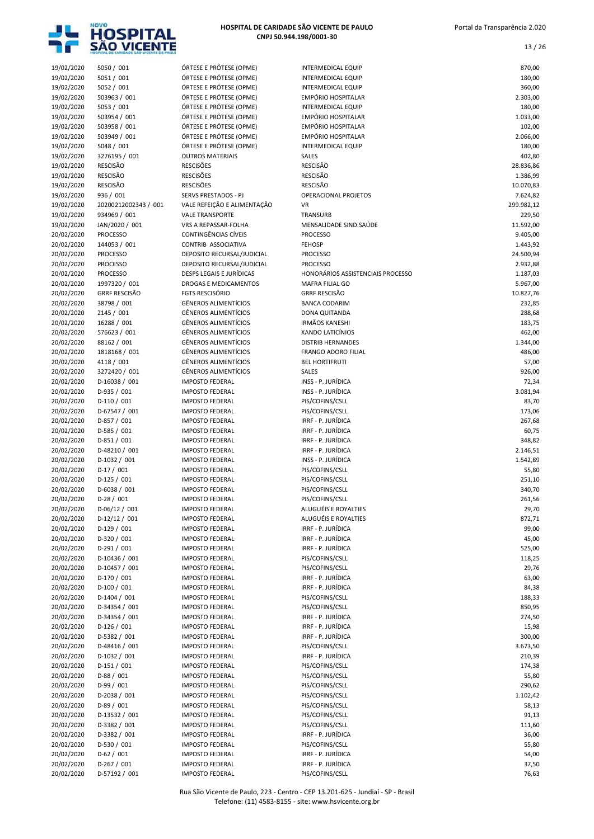

| 19/02/2020               | 5050 / 001                      | ÓRTESE E PRÓTESE (OPME)                            | <b>INTERMEDICAL EQUIP</b>                | 870,00               |
|--------------------------|---------------------------------|----------------------------------------------------|------------------------------------------|----------------------|
| 19/02/2020               | 5051 / 001                      | ÓRTESE E PRÓTESE (OPME)                            | <b>INTERMEDICAL EQUIP</b>                | 180,00               |
| 19/02/2020               | 5052 / 001                      | ÓRTESE E PRÓTESE (OPME)                            | <b>INTERMEDICAL EQUIP</b>                | 360,00               |
| 19/02/2020<br>19/02/2020 | 503963 / 001                    | ÓRTESE E PRÓTESE (OPME)<br>ÓRTESE E PRÓTESE (OPME) | EMPÓRIO HOSPITALAR                       | 2.303,00             |
| 19/02/2020               | 5053 / 001<br>503954 / 001      | ÓRTESE E PRÓTESE (OPME)                            | INTERMEDICAL EQUIP<br>EMPÓRIO HOSPITALAR | 180,00<br>1.033,00   |
| 19/02/2020               | 503958 / 001                    | ÓRTESE E PRÓTESE (OPME)                            | EMPÓRIO HOSPITALAR                       | 102,00               |
| 19/02/2020               | 503949 / 001                    | ÓRTESE E PRÓTESE (OPME)                            | EMPÓRIO HOSPITALAR                       | 2.066,00             |
| 19/02/2020               | 5048 / 001                      | ÓRTESE E PRÓTESE (OPME)                            | INTERMEDICAL EQUIP                       | 180,00               |
| 19/02/2020               | 3276195 / 001                   | <b>OUTROS MATERIAIS</b>                            | SALES                                    | 402,80               |
| 19/02/2020               | <b>RESCISÃO</b>                 | <b>RESCISÕES</b>                                   | <b>RESCISÃO</b>                          | 28.836,86            |
| 19/02/2020               | <b>RESCISÃO</b>                 | <b>RESCISÕES</b>                                   | <b>RESCISÃO</b>                          | 1.386,99             |
| 19/02/2020               | <b>RESCISÃO</b>                 | <b>RESCISÕES</b>                                   | <b>RESCISÃO</b>                          | 10.070,83            |
| 19/02/2020               | 936 / 001                       | SERVS PRESTADOS - PJ                               | OPERACIONAL PROJETOS                     | 7.624,82             |
| 19/02/2020               | 20200212002343 / 001            | VALE REFEIÇÃO E ALIMENTAÇÃO                        | VR                                       | 299.982,12           |
| 19/02/2020               | 934969 / 001                    | <b>VALE TRANSPORTE</b>                             | TRANSURB                                 | 229,50               |
| 19/02/2020               | JAN/2020 / 001                  | VRS A REPASSAR-FOLHA<br>CONTINGÊNCIAS CÍVEIS       | MENSALIDADE SIND.SAÚDE                   | 11.592,00            |
| 20/02/2020<br>20/02/2020 | <b>PROCESSO</b><br>144053 / 001 | CONTRIB ASSOCIATIVA                                | <b>PROCESSO</b><br><b>FEHOSP</b>         | 9.405,00<br>1.443,92 |
| 20/02/2020               | <b>PROCESSO</b>                 | DEPOSITO RECURSAL/JUDICIAL                         | <b>PROCESSO</b>                          | 24.500,94            |
| 20/02/2020               | <b>PROCESSO</b>                 | DEPOSITO RECURSAL/JUDICIAL                         | <b>PROCESSO</b>                          | 2.932,88             |
| 20/02/2020               | <b>PROCESSO</b>                 | DESPS LEGAIS E JURÍDICAS                           | HONORÁRIOS ASSISTENCIAIS PROCESSO        | 1.187,03             |
| 20/02/2020               | 1997320 / 001                   | <b>DROGAS E MEDICAMENTOS</b>                       | MAFRA FILIAL GO                          | 5.967,00             |
| 20/02/2020               | <b>GRRF RESCISÃO</b>            | <b>FGTS RESCISÓRIO</b>                             | <b>GRRF RESCISÃO</b>                     | 10.827,76            |
| 20/02/2020               | 38798 / 001                     | <b>GÊNEROS ALIMENTÍCIOS</b>                        | <b>BANCA CODARIM</b>                     | 232,85               |
| 20/02/2020               | 2145 / 001                      | <b>GÊNEROS ALIMENTÍCIOS</b>                        | DONA QUITANDA                            | 288,68               |
| 20/02/2020               | 16288 / 001                     | <b>GÊNEROS ALIMENTÍCIOS</b>                        | <b>IRMÃOS KANESHI</b>                    | 183,75               |
| 20/02/2020               | 576623 / 001                    | <b>GÊNEROS ALIMENTÍCIOS</b>                        | XANDO LATICÍNIOS                         | 462,00               |
| 20/02/2020               | 88162 / 001                     | GÊNEROS ALIMENTÍCIOS                               | <b>DISTRIB HERNANDES</b>                 | 1.344,00             |
| 20/02/2020               | 1818168 / 001                   | <b>GÊNEROS ALIMENTÍCIOS</b>                        | <b>FRANGO ADORO FILIAL</b>               | 486,00               |
| 20/02/2020               | 4118 / 001                      | GÊNEROS ALIMENTÍCIOS                               | <b>BEL HORTIFRUTI</b>                    | 57,00                |
| 20/02/2020               | 3272420 / 001                   | <b>GÊNEROS ALIMENTÍCIOS</b>                        | SALES                                    | 926,00               |
| 20/02/2020               | D-16038 / 001                   | <b>IMPOSTO FEDERAL</b>                             | INSS - P. JURÍDICA                       | 72,34                |
| 20/02/2020               | D-935 / 001                     | <b>IMPOSTO FEDERAL</b>                             | INSS - P. JURÍDICA                       | 3.081,94             |
| 20/02/2020               | $D-110/001$                     | <b>IMPOSTO FEDERAL</b>                             | PIS/COFINS/CSLL                          | 83,70                |
| 20/02/2020               | D-67547 / 001                   | <b>IMPOSTO FEDERAL</b>                             | PIS/COFINS/CSLL                          | 173,06               |
| 20/02/2020<br>20/02/2020 | D-857 / 001<br>D-585 / 001      | <b>IMPOSTO FEDERAL</b><br><b>IMPOSTO FEDERAL</b>   | IRRF - P. JURÍDICA<br>IRRF - P. JURÍDICA | 267,68<br>60,75      |
| 20/02/2020               | $D-851/001$                     | <b>IMPOSTO FEDERAL</b>                             | IRRF - P. JURÍDICA                       | 348,82               |
| 20/02/2020               | D-48210 / 001                   | <b>IMPOSTO FEDERAL</b>                             | IRRF - P. JURÍDICA                       | 2.146,51             |
| 20/02/2020               | D-1032 / 001                    | <b>IMPOSTO FEDERAL</b>                             | INSS - P. JURÍDICA                       | 1.542,89             |
| 20/02/2020               | $D-17/001$                      | <b>IMPOSTO FEDERAL</b>                             | PIS/COFINS/CSLL                          | 55,80                |
| 20/02/2020               | $D-125 / 001$                   | <b>IMPOSTO FEDERAL</b>                             | PIS/COFINS/CSLL                          | 251,10               |
| 20/02/2020               | $D-6038 / 001$                  | <b>IMPOSTO FEDERAL</b>                             | PIS/COFINS/CSLL                          | 340,70               |
| 20/02/2020               | $D-28/001$                      | <b>IMPOSTO FEDERAL</b>                             | PIS/COFINS/CSLL                          | 261,56               |
| 20/02/2020               | $D-06/12 / 001$                 | <b>IMPOSTO FEDERAL</b>                             | ALUGUÉIS E ROYALTIES                     | 29,70                |
| 20/02/2020               | $D-12/12 / 001$                 | <b>IMPOSTO FEDERAL</b>                             | ALUGUÉIS E ROYALTIES                     | 872,71               |
| 20/02/2020               | $D-129/001$                     | <b>IMPOSTO FEDERAL</b>                             | IRRF - P. JURÍDICA                       | 99,00                |
| 20/02/2020               | D-320 / 001                     | <b>IMPOSTO FEDERAL</b>                             | IRRF - P. JURÍDICA                       | 45,00                |
| 20/02/2020               | $D-291/001$                     | <b>IMPOSTO FEDERAL</b>                             | IRRF - P. JURÍDICA                       | 525,00               |
| 20/02/2020               | D-10436 / 001                   | <b>IMPOSTO FEDERAL</b>                             | PIS/COFINS/CSLL                          | 118,25               |
| 20/02/2020               | D-10457 / 001                   | <b>IMPOSTO FEDERAL</b>                             | PIS/COFINS/CSLL                          | 29,76                |
| 20/02/2020               | D-170 / 001                     | <b>IMPOSTO FEDERAL</b>                             | IRRF - P. JURÍDICA                       | 63,00                |
| 20/02/2020<br>20/02/2020 | $D-100 / 001$<br>D-1404 / 001   | <b>IMPOSTO FEDERAL</b><br><b>IMPOSTO FEDERAL</b>   | IRRF - P. JURÍDICA<br>PIS/COFINS/CSLL    | 84,38<br>188,33      |
| 20/02/2020               | D-34354 / 001                   | <b>IMPOSTO FEDERAL</b>                             | PIS/COFINS/CSLL                          | 850,95               |
| 20/02/2020               | D-34354 / 001                   | <b>IMPOSTO FEDERAL</b>                             | IRRF - P. JURÍDICA                       | 274,50               |
| 20/02/2020               | $D-126 / 001$                   | <b>IMPOSTO FEDERAL</b>                             | IRRF - P. JURÍDICA                       | 15,98                |
| 20/02/2020               | D-5382 / 001                    | <b>IMPOSTO FEDERAL</b>                             | IRRF - P. JURÍDICA                       | 300,00               |
| 20/02/2020               | D-48416 / 001                   | <b>IMPOSTO FEDERAL</b>                             | PIS/COFINS/CSLL                          | 3.673,50             |
| 20/02/2020               | D-1032 / 001                    | <b>IMPOSTO FEDERAL</b>                             | IRRF - P. JURÍDICA                       | 210,39               |
| 20/02/2020               | $D-151/001$                     | <b>IMPOSTO FEDERAL</b>                             | PIS/COFINS/CSLL                          | 174,38               |
| 20/02/2020               | $D-88/001$                      | <b>IMPOSTO FEDERAL</b>                             | PIS/COFINS/CSLL                          | 55,80                |
| 20/02/2020               | $D-99/001$                      | <b>IMPOSTO FEDERAL</b>                             | PIS/COFINS/CSLL                          | 290,62               |
| 20/02/2020               | D-2038 / 001                    | <b>IMPOSTO FEDERAL</b>                             | PIS/COFINS/CSLL                          | 1.102,42             |
| 20/02/2020               | $D-89/001$                      | <b>IMPOSTO FEDERAL</b>                             | PIS/COFINS/CSLL                          | 58,13                |
| 20/02/2020               | D-13532 / 001                   | <b>IMPOSTO FEDERAL</b>                             | PIS/COFINS/CSLL                          | 91,13                |
| 20/02/2020               | D-3382 / 001                    | <b>IMPOSTO FEDERAL</b>                             | PIS/COFINS/CSLL                          | 111,60               |
| 20/02/2020               | D-3382 / 001                    | <b>IMPOSTO FEDERAL</b>                             | IRRF - P. JURÍDICA                       | 36,00                |
| 20/02/2020               | D-530 / 001                     | <b>IMPOSTO FEDERAL</b>                             | PIS/COFINS/CSLL                          | 55,80                |
| 20/02/2020               | $D-62 / 001$                    | <b>IMPOSTO FEDERAL</b>                             | IRRF - P. JURÍDICA                       | 54,00                |
| 20/02/2020<br>20/02/2020 | $D-267/001$<br>D-57192 / 001    | <b>IMPOSTO FEDERAL</b><br><b>IMPOSTO FEDERAL</b>   | IRRF - P. JURÍDICA<br>PIS/COFINS/CSLL    | 37,50<br>76,63       |
|                          |                                 |                                                    |                                          |                      |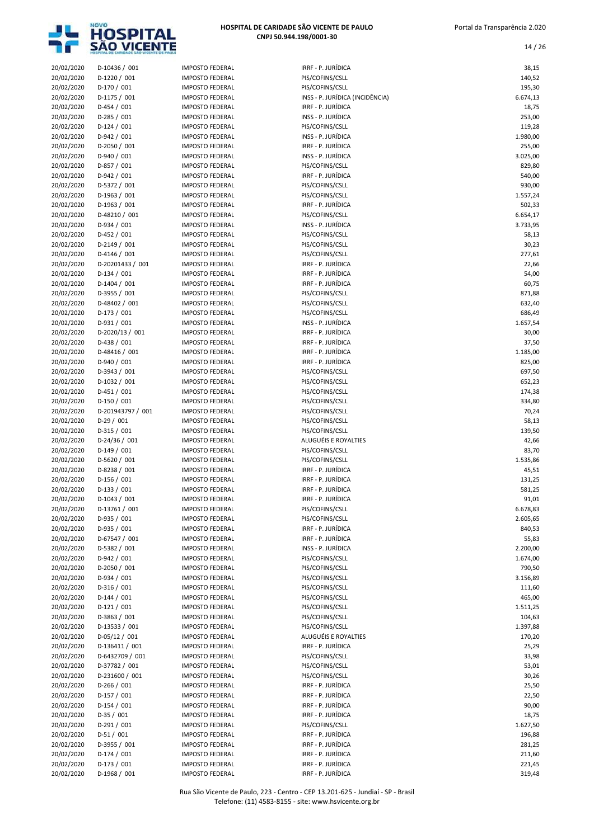

14 / 26

| 20/02/2020 | D-10436 / 001     | <b>IMPOSTO FEDERAL</b> | IRRF - P. JURÍDICA              | 38,15    |
|------------|-------------------|------------------------|---------------------------------|----------|
| 20/02/2020 | D-1220 / 001      | <b>IMPOSTO FEDERAL</b> | PIS/COFINS/CSLL                 | 140,52   |
| 20/02/2020 | D-170 / 001       | <b>IMPOSTO FEDERAL</b> | PIS/COFINS/CSLL                 | 195,30   |
| 20/02/2020 | D-1175 / 001      | <b>IMPOSTO FEDERAL</b> | INSS - P. JURÍDICA (INCIDÊNCIA) | 6.674,13 |
| 20/02/2020 | $D-454 / 001$     | <b>IMPOSTO FEDERAL</b> | IRRF - P. JURÍDICA              | 18,75    |
| 20/02/2020 | $D-285 / 001$     | <b>IMPOSTO FEDERAL</b> | INSS - P. JURÍDICA              | 253,00   |
| 20/02/2020 | $D-124 / 001$     | <b>IMPOSTO FEDERAL</b> | PIS/COFINS/CSLL                 | 119,28   |
| 20/02/2020 | D-942 / 001       | <b>IMPOSTO FEDERAL</b> | INSS - P. JURÍDICA              | 1.980,00 |
| 20/02/2020 | D-2050 / 001      | <b>IMPOSTO FEDERAL</b> | IRRF - P. JURÍDICA              | 255,00   |
| 20/02/2020 | D-940 / 001       | <b>IMPOSTO FEDERAL</b> | INSS - P. JURÍDICA              | 3.025,00 |
| 20/02/2020 | D-857 / 001       | <b>IMPOSTO FEDERAL</b> | PIS/COFINS/CSLL                 | 829,80   |
| 20/02/2020 | D-942 / 001       | <b>IMPOSTO FEDERAL</b> | IRRF - P. JURÍDICA              | 540,00   |
| 20/02/2020 | D-5372 / 001      | <b>IMPOSTO FEDERAL</b> | PIS/COFINS/CSLL                 | 930,00   |
| 20/02/2020 | D-1963 / 001      | <b>IMPOSTO FEDERAL</b> | PIS/COFINS/CSLL                 | 1.557,24 |
| 20/02/2020 | D-1963 / 001      | <b>IMPOSTO FEDERAL</b> | IRRF - P. JURÍDICA              | 502,33   |
| 20/02/2020 | D-48210 / 001     | <b>IMPOSTO FEDERAL</b> | PIS/COFINS/CSLL                 | 6.654,17 |
| 20/02/2020 | D-934 / 001       | <b>IMPOSTO FEDERAL</b> | INSS - P. JURÍDICA              | 3.733,95 |
| 20/02/2020 | $D-452 / 001$     | <b>IMPOSTO FEDERAL</b> | PIS/COFINS/CSLL                 | 58,13    |
| 20/02/2020 | D-2149 / 001      | <b>IMPOSTO FEDERAL</b> | PIS/COFINS/CSLL                 | 30,23    |
| 20/02/2020 | D-4146 / 001      | <b>IMPOSTO FEDERAL</b> | PIS/COFINS/CSLL                 | 277,61   |
| 20/02/2020 | D-20201433 / 001  | <b>IMPOSTO FEDERAL</b> | IRRF - P. JURÍDICA              | 22,66    |
| 20/02/2020 | $D-134 / 001$     | <b>IMPOSTO FEDERAL</b> | IRRF - P. JURÍDICA              | 54,00    |
| 20/02/2020 | $D-1404 / 001$    | <b>IMPOSTO FEDERAL</b> | IRRF - P. JURÍDICA              | 60,75    |
| 20/02/2020 | D-3955 / 001      | <b>IMPOSTO FEDERAL</b> | PIS/COFINS/CSLL                 | 871,88   |
| 20/02/2020 | D-48402 / 001     | <b>IMPOSTO FEDERAL</b> | PIS/COFINS/CSLL                 | 632,40   |
| 20/02/2020 | D-173 / 001       | <b>IMPOSTO FEDERAL</b> | PIS/COFINS/CSLL                 | 686,49   |
| 20/02/2020 | D-931 / 001       | <b>IMPOSTO FEDERAL</b> | INSS - P. JURÍDICA              | 1.657,54 |
| 20/02/2020 | D-2020/13 / 001   | <b>IMPOSTO FEDERAL</b> | IRRE - P. JURÍDICA              | 30,00    |
| 20/02/2020 | D-438 / 001       | <b>IMPOSTO FEDERAL</b> | IRRF - P. JURÍDICA              | 37,50    |
| 20/02/2020 | D-48416 / 001     | <b>IMPOSTO FEDERAL</b> | IRRF - P. JURÍDICA              | 1.185,00 |
| 20/02/2020 | D-940 / 001       | <b>IMPOSTO FEDERAL</b> | IRRF - P. JURÍDICA              | 825,00   |
| 20/02/2020 | D-3943 / 001      | <b>IMPOSTO FEDERAL</b> | PIS/COFINS/CSLL                 | 697,50   |
| 20/02/2020 | D-1032 / 001      | <b>IMPOSTO FEDERAL</b> | PIS/COFINS/CSLL                 | 652,23   |
| 20/02/2020 | $D-451/001$       | <b>IMPOSTO FEDERAL</b> | PIS/COFINS/CSLL                 | 174,38   |
| 20/02/2020 | $D-150 / 001$     | <b>IMPOSTO FEDERAL</b> | PIS/COFINS/CSLL                 | 334,80   |
| 20/02/2020 | D-201943797 / 001 | <b>IMPOSTO FEDERAL</b> | PIS/COFINS/CSLL                 | 70,24    |
| 20/02/2020 | $D-29/001$        | <b>IMPOSTO FEDERAL</b> | PIS/COFINS/CSLL                 | 58,13    |
| 20/02/2020 | $D-315 / 001$     | <b>IMPOSTO FEDERAL</b> | PIS/COFINS/CSLL                 | 139,50   |
| 20/02/2020 | D-24/36 / 001     | <b>IMPOSTO FEDERAL</b> | ALUGUÉIS E ROYALTIES            | 42,66    |
| 20/02/2020 | $D-149/001$       | <b>IMPOSTO FEDERAL</b> | PIS/COFINS/CSLL                 | 83,70    |
| 20/02/2020 | D-5620 / 001      | <b>IMPOSTO FEDERAL</b> | PIS/COFINS/CSLL                 | 1.535,86 |
| 20/02/2020 | D-8238 / 001      | <b>IMPOSTO FEDERAL</b> | IRRF - P. JURÍDICA              | 45,51    |
| 20/02/2020 | $D-156 / 001$     | <b>IMPOSTO FEDERAL</b> | IRRF - P. JURÍDICA              | 131,25   |
| 20/02/2020 | $D-133 / 001$     | <b>IMPOSTO FEDERAL</b> | IRRF - P. JURÍDICA              | 581,25   |
| 20/02/2020 | D-1043 / 001      | <b>IMPOSTO FEDERAL</b> | IRRF - P. JURÍDICA              | 91,01    |
| 20/02/2020 | D-13761 / 001     | <b>IMPOSTO FEDERAL</b> | PIS/COFINS/CSLL                 | 6.678,83 |
| 20/02/2020 | D-935 / 001       | <b>IMPOSTO FEDERAL</b> | PIS/COFINS/CSLL                 | 2.605,65 |
| 20/02/2020 | D-935 / 001       | <b>IMPOSTO FEDERAL</b> | IRRF - P. JURÍDICA              | 840,53   |
| 20/02/2020 | D-67547 / 001     | <b>IMPOSTO FEDERAL</b> | IRRF - P. JURÍDICA              | 55,83    |
| 20/02/2020 | D-5382 / 001      | <b>IMPOSTO FEDERAL</b> | INSS - P. JURÍDICA              | 2.200,00 |
| 20/02/2020 | D-942 / 001       | <b>IMPOSTO FEDERAL</b> | PIS/COFINS/CSLL                 | 1.674,00 |
| 20/02/2020 | D-2050 / 001      | <b>IMPOSTO FEDERAL</b> | PIS/COFINS/CSLL                 | 790,50   |
| 20/02/2020 | D-934 / 001       | <b>IMPOSTO FEDERAL</b> | PIS/COFINS/CSLL                 | 3.156,89 |
| 20/02/2020 | $D-316/001$       | <b>IMPOSTO FEDERAL</b> | PIS/COFINS/CSLL                 | 111,60   |
| 20/02/2020 | $D-144 / 001$     | <b>IMPOSTO FEDERAL</b> | PIS/COFINS/CSLL                 | 465,00   |
| 20/02/2020 | $D-121/001$       | <b>IMPOSTO FEDERAL</b> | PIS/COFINS/CSLL                 | 1.511,25 |
| 20/02/2020 | D-3863 / 001      | <b>IMPOSTO FEDERAL</b> | PIS/COFINS/CSLL                 | 104,63   |
| 20/02/2020 | D-13533 / 001     | <b>IMPOSTO FEDERAL</b> | PIS/COFINS/CSLL                 | 1.397,88 |
| 20/02/2020 | $D-05/12 / 001$   | <b>IMPOSTO FEDERAL</b> | ALUGUÉIS E ROYALTIES            | 170,20   |
| 20/02/2020 | D-136411 / 001    | <b>IMPOSTO FEDERAL</b> | IRRF - P. JURÍDICA              | 25,29    |
| 20/02/2020 | D-6432709 / 001   | <b>IMPOSTO FEDERAL</b> | PIS/COFINS/CSLL                 | 33,98    |
| 20/02/2020 | D-37782 / 001     | <b>IMPOSTO FEDERAL</b> | PIS/COFINS/CSLL                 | 53,01    |
| 20/02/2020 | D-231600 / 001    | <b>IMPOSTO FEDERAL</b> | PIS/COFINS/CSLL                 | 30,26    |
| 20/02/2020 | $D-266 / 001$     | <b>IMPOSTO FEDERAL</b> | IRRF - P. JURÍDICA              | 25,50    |
| 20/02/2020 | $D-157/001$       | <b>IMPOSTO FEDERAL</b> | IRRF - P. JURÍDICA              | 22,50    |
| 20/02/2020 | $D-154 / 001$     | <b>IMPOSTO FEDERAL</b> | IRRF - P. JURÍDICA              | 90,00    |
| 20/02/2020 | $D-35/001$        | <b>IMPOSTO FEDERAL</b> | IRRF - P. JURÍDICA              | 18,75    |
| 20/02/2020 | $D-291/001$       | <b>IMPOSTO FEDERAL</b> | PIS/COFINS/CSLL                 | 1.627,50 |
| 20/02/2020 | $D-51/001$        | <b>IMPOSTO FEDERAL</b> | IRRF - P. JURÍDICA              | 196,88   |
| 20/02/2020 | D-3955 / 001      | <b>IMPOSTO FEDERAL</b> | IRRF - P. JURÍDICA              | 281,25   |
| 20/02/2020 | $D-174/001$       | <b>IMPOSTO FEDERAL</b> | IRRF - P. JURÍDICA              | 211,60   |
| 20/02/2020 | $D-173 / 001$     | <b>IMPOSTO FEDERAL</b> | IRRF - P. JURÍDICA              | 221,45   |
| 20/02/2020 | D-1968 / 001      | <b>IMPOSTO FEDERAL</b> | IRRF - P. JURÍDICA              | 319,48   |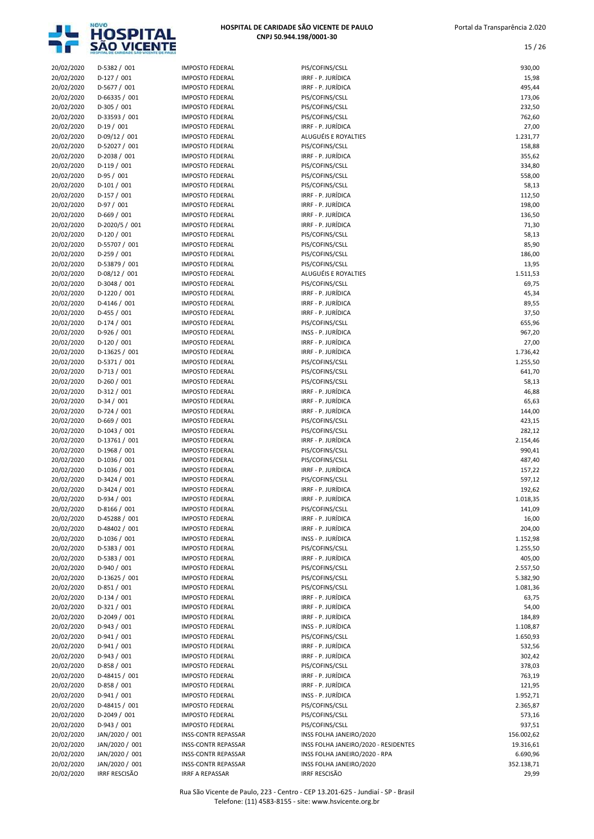

| 20/02/2020 | D-5382 / 001         | <b>IMPOSTO FEDERAL</b>     | PIS/COFINS/CSLL                      | 930,00     |
|------------|----------------------|----------------------------|--------------------------------------|------------|
| 20/02/2020 | $D-127/001$          | <b>IMPOSTO FEDERAL</b>     | IRRF - P. JURÍDICA                   | 15,98      |
| 20/02/2020 | D-5677 / 001         | <b>IMPOSTO FEDERAL</b>     | IRRF - P. JURÍDICA                   | 495,44     |
| 20/02/2020 | D-66335 / 001        | <b>IMPOSTO FEDERAL</b>     | PIS/COFINS/CSLL                      | 173,06     |
|            |                      |                            |                                      |            |
| 20/02/2020 | D-305 / 001          | <b>IMPOSTO FEDERAL</b>     | PIS/COFINS/CSLL                      | 232,50     |
| 20/02/2020 | D-33593 / 001        | <b>IMPOSTO FEDERAL</b>     | PIS/COFINS/CSLL                      | 762,60     |
| 20/02/2020 | $D-19/001$           | <b>IMPOSTO FEDERAL</b>     | IRRF - P. JURÍDICA                   | 27,00      |
| 20/02/2020 | D-09/12 / 001        | <b>IMPOSTO FEDERAL</b>     | ALUGUÉIS E ROYALTIES                 | 1.231,77   |
| 20/02/2020 | D-52027 / 001        | <b>IMPOSTO FEDERAL</b>     | PIS/COFINS/CSLL                      | 158,88     |
|            |                      |                            |                                      |            |
| 20/02/2020 | D-2038 / 001         | <b>IMPOSTO FEDERAL</b>     | IRRF - P. JURÍDICA                   | 355,62     |
| 20/02/2020 | $D-119/001$          | <b>IMPOSTO FEDERAL</b>     | PIS/COFINS/CSLL                      | 334,80     |
| 20/02/2020 | $D-95/001$           | <b>IMPOSTO FEDERAL</b>     | PIS/COFINS/CSLL                      | 558,00     |
| 20/02/2020 | $D-101/001$          | <b>IMPOSTO FEDERAL</b>     | PIS/COFINS/CSLL                      | 58,13      |
|            |                      | <b>IMPOSTO FEDERAL</b>     |                                      |            |
| 20/02/2020 | $D-157/001$          |                            | IRRF - P. JURÍDICA                   | 112,50     |
| 20/02/2020 | $D-97/001$           | <b>IMPOSTO FEDERAL</b>     | IRRF - P. JURÍDICA                   | 198,00     |
| 20/02/2020 | $D-669/001$          | <b>IMPOSTO FEDERAL</b>     | IRRF - P. JURÍDICA                   | 136,50     |
| 20/02/2020 | D-2020/5 / 001       | <b>IMPOSTO FEDERAL</b>     | IRRF - P. JURÍDICA                   | 71,30      |
| 20/02/2020 | $D-120 / 001$        | <b>IMPOSTO FEDERAL</b>     | PIS/COFINS/CSLL                      | 58,13      |
|            |                      |                            |                                      |            |
| 20/02/2020 | D-55707 / 001        | <b>IMPOSTO FEDERAL</b>     | PIS/COFINS/CSLL                      | 85,90      |
| 20/02/2020 | $D-259/001$          | <b>IMPOSTO FEDERAL</b>     | PIS/COFINS/CSLL                      | 186,00     |
| 20/02/2020 | D-53879 / 001        | <b>IMPOSTO FEDERAL</b>     | PIS/COFINS/CSLL                      | 13,95      |
| 20/02/2020 | D-08/12 / 001        | <b>IMPOSTO FEDERAL</b>     | ALUGUÉIS E ROYALTIES                 | 1.511,53   |
|            |                      |                            |                                      |            |
| 20/02/2020 | D-3048 / 001         | <b>IMPOSTO FEDERAL</b>     | PIS/COFINS/CSLL                      | 69,75      |
| 20/02/2020 | D-1220 / 001         | <b>IMPOSTO FEDERAL</b>     | IRRF - P. JURÍDICA                   | 45,34      |
| 20/02/2020 | D-4146 / 001         | <b>IMPOSTO FEDERAL</b>     | IRRF - P. JURÍDICA                   | 89,55      |
| 20/02/2020 | $D-455 / 001$        | <b>IMPOSTO FEDERAL</b>     | IRRF - P. JURÍDICA                   | 37,50      |
|            |                      | <b>IMPOSTO FEDERAL</b>     | PIS/COFINS/CSLL                      |            |
| 20/02/2020 | $D-174 / 001$        |                            |                                      | 655,96     |
| 20/02/2020 | D-926 / 001          | <b>IMPOSTO FEDERAL</b>     | INSS - P. JURÍDICA                   | 967,20     |
| 20/02/2020 | $D-120/001$          | <b>IMPOSTO FEDERAL</b>     | IRRF - P. JURÍDICA                   | 27,00      |
| 20/02/2020 | D-13625 / 001        | <b>IMPOSTO FEDERAL</b>     | IRRF - P. JURÍDICA                   | 1.736,42   |
| 20/02/2020 | D-5371 / 001         | <b>IMPOSTO FEDERAL</b>     | PIS/COFINS/CSLL                      | 1.255,50   |
|            |                      |                            |                                      |            |
| 20/02/2020 | $D-713 / 001$        | <b>IMPOSTO FEDERAL</b>     | PIS/COFINS/CSLL                      | 641,70     |
| 20/02/2020 | $D-260 / 001$        | <b>IMPOSTO FEDERAL</b>     | PIS/COFINS/CSLL                      | 58,13      |
| 20/02/2020 | D-312 / 001          | <b>IMPOSTO FEDERAL</b>     | IRRF - P. JURÍDICA                   | 46,88      |
| 20/02/2020 | $D-34/001$           | <b>IMPOSTO FEDERAL</b>     | IRRF - P. JURÍDICA                   | 65,63      |
|            |                      |                            |                                      |            |
| 20/02/2020 | $D-724 / 001$        | <b>IMPOSTO FEDERAL</b>     | IRRF - P. JURÍDICA                   | 144,00     |
| 20/02/2020 | $D-669/001$          | <b>IMPOSTO FEDERAL</b>     | PIS/COFINS/CSLL                      | 423,15     |
| 20/02/2020 | $D-1043 / 001$       | <b>IMPOSTO FEDERAL</b>     | PIS/COFINS/CSLL                      | 282,12     |
| 20/02/2020 | D-13761 / 001        | <b>IMPOSTO FEDERAL</b>     | IRRF - P. JURÍDICA                   | 2.154,46   |
| 20/02/2020 | D-1968 / 001         | <b>IMPOSTO FEDERAL</b>     | PIS/COFINS/CSLL                      | 990,41     |
|            |                      |                            |                                      |            |
| 20/02/2020 | D-1036 / 001         | <b>IMPOSTO FEDERAL</b>     | PIS/COFINS/CSLL                      | 487,40     |
| 20/02/2020 | D-1036 / 001         | <b>IMPOSTO FEDERAL</b>     | IRRF - P. JURÍDICA                   | 157,22     |
| 20/02/2020 | D-3424 / 001         | <b>IMPOSTO FEDERAL</b>     | PIS/COFINS/CSLL                      | 597,12     |
| 20/02/2020 | D-3424 / 001         | <b>IMPOSTO FEDERAL</b>     | IRRF - P. JURÍDICA                   | 192,62     |
|            |                      |                            |                                      |            |
| 20/02/2020 | D-934 / 001          | <b>IMPOSTO FEDERAL</b>     | IRRF - P. JURÍDICA                   | 1.018,35   |
| 20/02/2020 | D-8166 / 001         | <b>IMPOSTO FEDERAL</b>     | PIS/COFINS/CSLL                      | 141,09     |
| 20/02/2020 | D-45288 / 001        | <b>IMPOSTO FEDERAL</b>     | IRRF - P. JURÍDICA                   | 16,00      |
| 20/02/2020 | D-48402 / 001        | <b>IMPOSTO FEDERAL</b>     | IRRF - P. JURÍDICA                   | 204,00     |
|            |                      |                            | INSS - P. JURÍDICA                   |            |
| 20/02/2020 | D-1036 / 001         | <b>IMPOSTO FEDERAL</b>     |                                      | 1.152,98   |
| 20/02/2020 | D-5383 / 001         | <b>IMPOSTO FEDERAL</b>     | PIS/COFINS/CSLL                      | 1.255,50   |
| 20/02/2020 | D-5383 / 001         | <b>IMPOSTO FEDERAL</b>     | IRRF - P. JURÍDICA                   | 405,00     |
| 20/02/2020 | D-940 / 001          | <b>IMPOSTO FEDERAL</b>     | PIS/COFINS/CSLL                      | 2.557,50   |
| 20/02/2020 | D-13625 / 001        | <b>IMPOSTO FEDERAL</b>     | PIS/COFINS/CSLL                      | 5.382,90   |
|            |                      |                            |                                      |            |
| 20/02/2020 | D-851 / 001          | <b>IMPOSTO FEDERAL</b>     | PIS/COFINS/CSLL                      | 1.081,36   |
| 20/02/2020 | $D-134 / 001$        | <b>IMPOSTO FEDERAL</b>     | IRRF - P. JURÍDICA                   | 63,75      |
| 20/02/2020 | $D-321/001$          | <b>IMPOSTO FEDERAL</b>     | IRRF - P. JURÍDICA                   | 54,00      |
| 20/02/2020 | D-2049 / 001         | <b>IMPOSTO FEDERAL</b>     | IRRF - P. JURÍDICA                   | 184,89     |
| 20/02/2020 | D-943 / 001          | <b>IMPOSTO FEDERAL</b>     | INSS - P. JURÍDICA                   | 1.108,87   |
|            |                      |                            |                                      |            |
| 20/02/2020 | D-941 / 001          | <b>IMPOSTO FEDERAL</b>     | PIS/COFINS/CSLL                      | 1.650,93   |
| 20/02/2020 | D-941 / 001          | <b>IMPOSTO FEDERAL</b>     | IRRF - P. JURÍDICA                   | 532,56     |
| 20/02/2020 | D-943 / 001          | <b>IMPOSTO FEDERAL</b>     | IRRF - P. JURÍDICA                   | 302,42     |
| 20/02/2020 | D-858 / 001          | <b>IMPOSTO FEDERAL</b>     | PIS/COFINS/CSLL                      | 378,03     |
|            |                      |                            |                                      |            |
| 20/02/2020 | D-48415 / 001        | <b>IMPOSTO FEDERAL</b>     | IRRF - P. JURÍDICA                   | 763,19     |
| 20/02/2020 | D-858 / 001          | <b>IMPOSTO FEDERAL</b>     | IRRF - P. JURÍDICA                   | 121,95     |
| 20/02/2020 | $D-941 / 001$        | <b>IMPOSTO FEDERAL</b>     | INSS - P. JURÍDICA                   | 1.952,71   |
| 20/02/2020 | D-48415 / 001        | <b>IMPOSTO FEDERAL</b>     | PIS/COFINS/CSLL                      | 2.365,87   |
| 20/02/2020 | D-2049 / 001         | <b>IMPOSTO FEDERAL</b>     | PIS/COFINS/CSLL                      | 573,16     |
|            |                      |                            |                                      |            |
| 20/02/2020 | D-943 / 001          | <b>IMPOSTO FEDERAL</b>     | PIS/COFINS/CSLL                      | 937,51     |
| 20/02/2020 | JAN/2020 / 001       | <b>INSS-CONTR REPASSAR</b> | INSS FOLHA JANEIRO/2020              | 156.002,62 |
| 20/02/2020 | JAN/2020 / 001       | <b>INSS-CONTR REPASSAR</b> | INSS FOLHA JANEIRO/2020 - RESIDENTES | 19.316,61  |
| 20/02/2020 | JAN/2020 / 001       | <b>INSS-CONTR REPASSAR</b> | INSS FOLHA JANEIRO/2020 - RPA        | 6.690,96   |
| 20/02/2020 | JAN/2020 / 001       | <b>INSS-CONTR REPASSAR</b> | INSS FOLHA JANEIRO/2020              | 352.138,71 |
|            |                      |                            |                                      |            |
| 20/02/2020 | <b>IRRF RESCISÃO</b> | IRRF A REPASSAR            | <b>IRRF RESCISÃO</b>                 | 29,99      |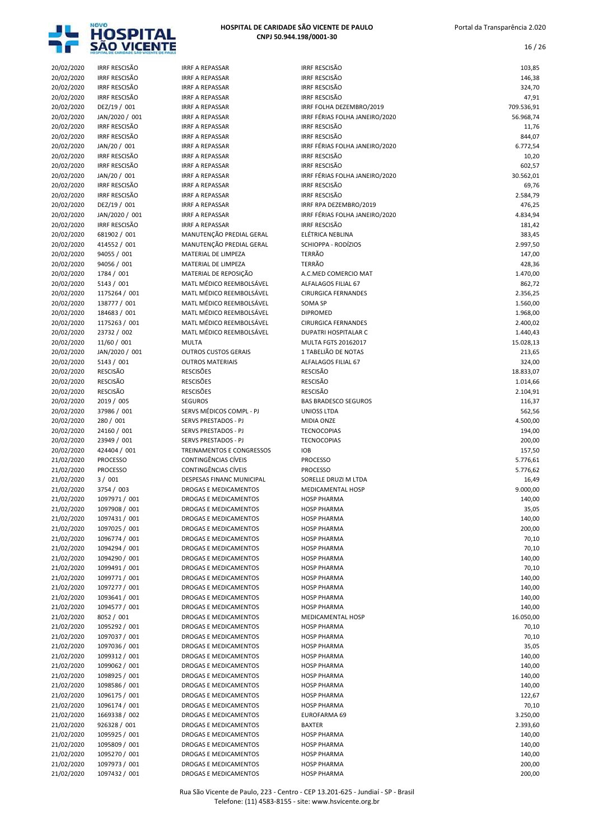

| 20/02/2020 | <b>IRRF RESCISÃO</b> | <b>IRRF A REPASSAR</b>       | <b>IRRF RESCISÃO</b>           | 103,85     |
|------------|----------------------|------------------------------|--------------------------------|------------|
| 20/02/2020 | <b>IRRF RESCISÃO</b> | <b>IRRF A REPASSAR</b>       | <b>IRRF RESCISÃO</b>           | 146,38     |
| 20/02/2020 | <b>IRRF RESCISÃO</b> | <b>IRRF A REPASSAR</b>       | <b>IRRF RESCISÃO</b>           | 324,70     |
| 20/02/2020 | <b>IRRF RESCISÃO</b> | <b>IRRF A REPASSAR</b>       | <b>IRRF RESCISÃO</b>           | 47,91      |
|            |                      |                              |                                |            |
| 20/02/2020 | DEZ/19 / 001         | <b>IRRF A REPASSAR</b>       | IRRF FOLHA DEZEMBRO/2019       | 709.536,91 |
| 20/02/2020 | JAN/2020 / 001       | <b>IRRF A REPASSAR</b>       | IRRF FÉRIAS FOLHA JANEIRO/2020 | 56.968,74  |
| 20/02/2020 | <b>IRRF RESCISÃO</b> | <b>IRRF A REPASSAR</b>       | <b>IRRF RESCISÃO</b>           | 11,76      |
|            | <b>IRRF RESCISÃO</b> | <b>IRRF A REPASSAR</b>       | <b>IRRF RESCISÃO</b>           |            |
| 20/02/2020 |                      |                              |                                | 844,07     |
| 20/02/2020 | JAN/20 / 001         | <b>IRRF A REPASSAR</b>       | IRRF FÉRIAS FOLHA JANEIRO/2020 | 6.772,54   |
| 20/02/2020 | <b>IRRF RESCISÃO</b> | <b>IRRF A REPASSAR</b>       | <b>IRRF RESCISÃO</b>           | 10,20      |
| 20/02/2020 | <b>IRRF RESCISÃO</b> | <b>IRRF A REPASSAR</b>       | <b>IRRF RESCISÃO</b>           | 602,57     |
|            |                      |                              |                                |            |
| 20/02/2020 | JAN/20 / 001         | <b>IRRF A REPASSAR</b>       | IRRF FÉRIAS FOLHA JANEIRO/2020 | 30.562,01  |
| 20/02/2020 | <b>IRRF RESCISÃO</b> | <b>IRRF A REPASSAR</b>       | <b>IRRF RESCISÃO</b>           | 69,76      |
| 20/02/2020 | <b>IRRF RESCISÃO</b> | <b>IRRF A REPASSAR</b>       | <b>IRRF RESCISÃO</b>           | 2.584,79   |
| 20/02/2020 | DEZ/19 / 001         | <b>IRRF A REPASSAR</b>       | IRRF RPA DEZEMBRO/2019         | 476,25     |
|            |                      |                              |                                |            |
| 20/02/2020 | JAN/2020 / 001       | <b>IRRF A REPASSAR</b>       | IRRF FÉRIAS FOLHA JANEIRO/2020 | 4.834,94   |
| 20/02/2020 | <b>IRRF RESCISÃO</b> | <b>IRRF A REPASSAR</b>       | <b>IRRF RESCISÃO</b>           | 181,42     |
| 20/02/2020 | 681902 / 001         | MANUTENÇÃO PREDIAL GERAL     | ELÉTRICA NEBLINA               | 383,45     |
| 20/02/2020 | 414552 / 001         | MANUTENÇÃO PREDIAL GERAL     | SCHIOPPA - RODÍZIOS            | 2.997,50   |
| 20/02/2020 |                      | MATERIAL DE LIMPEZA          | <b>TERRÃO</b>                  |            |
|            | 94055 / 001          |                              |                                | 147,00     |
| 20/02/2020 | 94056 / 001          | MATERIAL DE LIMPEZA          | <b>TERRÃO</b>                  | 428,36     |
| 20/02/2020 | 1784 / 001           | MATERIAL DE REPOSIÇÃO        | A.C.MED COMERCIO MAT           | 1.470,00   |
| 20/02/2020 | 5143 / 001           | MATL MÉDICO REEMBOLSÁVEL     | ALFALAGOS FILIAL 67            | 862,72     |
|            |                      |                              |                                |            |
| 20/02/2020 | 1175264 / 001        | MATL MÉDICO REEMBOLSÁVEL     | <b>CIRURGICA FERNANDES</b>     | 2.356,25   |
| 20/02/2020 | 138777 / 001         | MATL MÉDICO REEMBOLSÁVEL     | SOMA SP                        | 1.560,00   |
| 20/02/2020 | 184683 / 001         | MATL MÉDICO REEMBOLSÁVEL     | <b>DIPROMED</b>                | 1.968,00   |
| 20/02/2020 | 1175263 / 001        | MATL MÉDICO REEMBOLSÁVEL     | <b>CIRURGICA FERNANDES</b>     | 2.400,02   |
|            |                      |                              |                                |            |
| 20/02/2020 | 23732 / 002          | MATL MÉDICO REEMBOLSÁVEL     | DUPATRI HOSPITALAR C           | 1.440,43   |
| 20/02/2020 | 11/60 / 001          | <b>MULTA</b>                 | MULTA FGTS 20162017            | 15.028,13  |
| 20/02/2020 | JAN/2020 / 001       | <b>OUTROS CUSTOS GERAIS</b>  | 1 TABELIÃO DE NOTAS            | 213,65     |
| 20/02/2020 | 5143 / 001           | <b>OUTROS MATERIAIS</b>      | ALFALAGOS FILIAL 67            | 324,00     |
|            |                      |                              |                                |            |
| 20/02/2020 | <b>RESCISÃO</b>      | <b>RESCISÕES</b>             | <b>RESCISÃO</b>                | 18.833,07  |
| 20/02/2020 | <b>RESCISÃO</b>      | <b>RESCISÕES</b>             | <b>RESCISÃO</b>                | 1.014,66   |
| 20/02/2020 | <b>RESCISÃO</b>      | <b>RESCISÕES</b>             | <b>RESCISÃO</b>                | 2.104,91   |
| 20/02/2020 | 2019 / 005           | <b>SEGUROS</b>               | <b>BAS BRADESCO SEGUROS</b>    | 116,37     |
|            |                      |                              |                                |            |
| 20/02/2020 | 37986 / 001          | SERVS MÉDICOS COMPL - PJ     | <b>UNIOSS LTDA</b>             | 562,56     |
| 20/02/2020 | 280 / 001            | SERVS PRESTADOS - PJ         | MIDIA ONZE                     | 4.500,00   |
| 20/02/2020 | 24160 / 001          | SERVS PRESTADOS - PJ         | <b>TECNOCOPIAS</b>             | 194,00     |
| 20/02/2020 | 23949 / 001          | SERVS PRESTADOS - PJ         | <b>TECNOCOPIAS</b>             | 200,00     |
|            |                      |                              |                                |            |
| 20/02/2020 | 424404 / 001         | TREINAMENTOS E CONGRESSOS    | <b>IOB</b>                     | 157,50     |
| 21/02/2020 | <b>PROCESSO</b>      | CONTINGÊNCIAS CÍVEIS         | <b>PROCESSO</b>                | 5.776,61   |
| 21/02/2020 | <b>PROCESSO</b>      | CONTINGÊNCIAS CÍVEIS         | <b>PROCESSO</b>                | 5.776,62   |
| 21/02/2020 | 3/001                | DESPESAS FINANC MUNICIPAL    | SORELLE DRUZI M LTDA           | 16,49      |
|            |                      |                              |                                |            |
| 21/02/2020 | 3754 / 003           | DROGAS E MEDICAMENTOS        | <b>MEDICAMENTAL HOSP</b>       | 9.000,00   |
| 21/02/2020 | 1097971 / 001        | DROGAS E MEDICAMENTOS        | <b>HOSP PHARMA</b>             | 140,00     |
| 21/02/2020 | 1097908 / 001        | DROGAS E MEDICAMENTOS        | <b>HOSP PHARMA</b>             | 35,05      |
|            |                      | <b>DROGAS E MEDICAMENTOS</b> |                                |            |
| 21/02/2020 | 1097431 / 001        |                              | <b>HOSP PHARMA</b>             | 140,00     |
| 21/02/2020 | 1097025 / 001        | DROGAS E MEDICAMENTOS        | <b>HOSP PHARMA</b>             | 200,00     |
| 21/02/2020 | 1096774 / 001        | DROGAS E MEDICAMENTOS        | <b>HOSP PHARMA</b>             | 70,10      |
| 21/02/2020 | 1094294 / 001        | DROGAS E MEDICAMENTOS        | <b>HOSP PHARMA</b>             | 70,10      |
|            |                      |                              |                                |            |
| 21/02/2020 | 1094290 / 001        | DROGAS E MEDICAMENTOS        | <b>HOSP PHARMA</b>             | 140,00     |
| 21/02/2020 | 1099491 / 001        | DROGAS E MEDICAMENTOS        | <b>HOSP PHARMA</b>             | 70,10      |
| 21/02/2020 | 1099771 / 001        | DROGAS E MEDICAMENTOS        | <b>HOSP PHARMA</b>             | 140,00     |
| 21/02/2020 | 1097277 / 001        | DROGAS E MEDICAMENTOS        | <b>HOSP PHARMA</b>             | 140,00     |
|            |                      |                              |                                |            |
| 21/02/2020 | 1093641 / 001        | DROGAS E MEDICAMENTOS        | <b>HOSP PHARMA</b>             | 140,00     |
| 21/02/2020 | 1094577 / 001        | DROGAS E MEDICAMENTOS        | <b>HOSP PHARMA</b>             | 140,00     |
| 21/02/2020 | 8052 / 001           | DROGAS E MEDICAMENTOS        | MEDICAMENTAL HOSP              | 16.050,00  |
| 21/02/2020 |                      | DROGAS E MEDICAMENTOS        | <b>HOSP PHARMA</b>             |            |
|            | 1095292 / 001        |                              |                                | 70,10      |
| 21/02/2020 | 1097037 / 001        | DROGAS E MEDICAMENTOS        | <b>HOSP PHARMA</b>             | 70,10      |
| 21/02/2020 | 1097036 / 001        | DROGAS E MEDICAMENTOS        | <b>HOSP PHARMA</b>             | 35,05      |
| 21/02/2020 | 1099312 / 001        | DROGAS E MEDICAMENTOS        | <b>HOSP PHARMA</b>             | 140,00     |
| 21/02/2020 | 1099062 / 001        | DROGAS E MEDICAMENTOS        | <b>HOSP PHARMA</b>             | 140,00     |
|            |                      |                              |                                |            |
| 21/02/2020 | 1098925 / 001        | DROGAS E MEDICAMENTOS        | <b>HOSP PHARMA</b>             | 140,00     |
| 21/02/2020 | 1098586 / 001        | DROGAS E MEDICAMENTOS        | <b>HOSP PHARMA</b>             | 140,00     |
| 21/02/2020 | 1096175 / 001        | DROGAS E MEDICAMENTOS        | <b>HOSP PHARMA</b>             | 122,67     |
|            | 1096174 / 001        |                              |                                |            |
| 21/02/2020 |                      | DROGAS E MEDICAMENTOS        | <b>HOSP PHARMA</b>             | 70,10      |
| 21/02/2020 | 1669338 / 002        | DROGAS E MEDICAMENTOS        | EUROFARMA 69                   | 3.250,00   |
| 21/02/2020 | 926328 / 001         | DROGAS E MEDICAMENTOS        | <b>BAXTER</b>                  | 2.393,60   |
| 21/02/2020 | 1095925 / 001        | DROGAS E MEDICAMENTOS        | <b>HOSP PHARMA</b>             | 140,00     |
| 21/02/2020 |                      | DROGAS E MEDICAMENTOS        | <b>HOSP PHARMA</b>             | 140,00     |
|            | 1095809 / 001        |                              |                                |            |
| 21/02/2020 | 1095270 / 001        | DROGAS E MEDICAMENTOS        | <b>HOSP PHARMA</b>             | 140,00     |
| 21/02/2020 | 1097973 / 001        | DROGAS E MEDICAMENTOS        | <b>HOSP PHARMA</b>             | 200,00     |
| 21/02/2020 | 1097432 / 001        | DROGAS E MEDICAMENTOS        | <b>HOSP PHARMA</b>             | 200,00     |
|            |                      |                              |                                |            |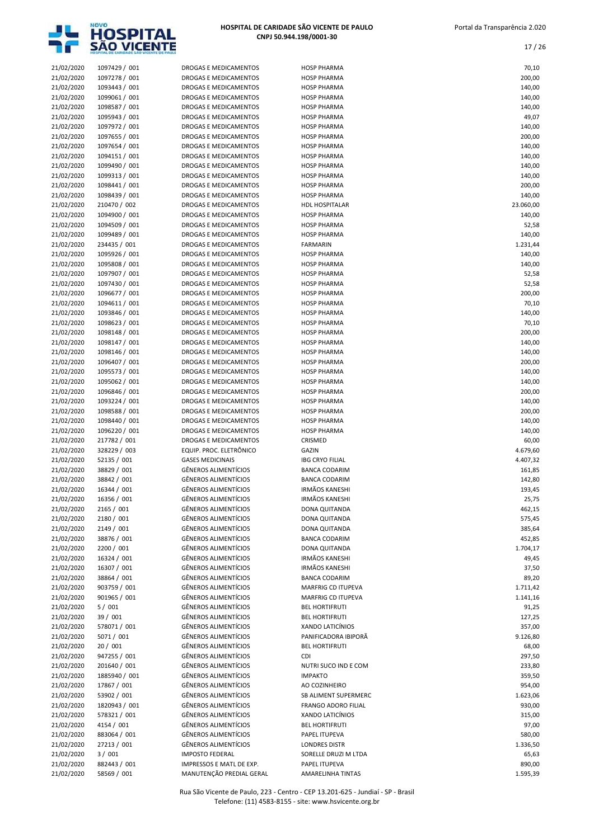

| 21/02/2020 | 1097429 / 001 | DROGAS E MEDICAMENTOS        | <b>HOSP PHARMA</b>     | 70,10     |
|------------|---------------|------------------------------|------------------------|-----------|
| 21/02/2020 | 1097278 / 001 | DROGAS E MEDICAMENTOS        | <b>HOSP PHARMA</b>     | 200,00    |
| 21/02/2020 | 1093443 / 001 | DROGAS E MEDICAMENTOS        | <b>HOSP PHARMA</b>     | 140,00    |
| 21/02/2020 | 1099061 / 001 | DROGAS E MEDICAMENTOS        | <b>HOSP PHARMA</b>     | 140,00    |
| 21/02/2020 | 1098587 / 001 | DROGAS E MEDICAMENTOS        | <b>HOSP PHARMA</b>     | 140,00    |
| 21/02/2020 | 1095943 / 001 | DROGAS E MEDICAMENTOS        | <b>HOSP PHARMA</b>     | 49,07     |
|            |               |                              |                        |           |
| 21/02/2020 | 1097972 / 001 | DROGAS E MEDICAMENTOS        | <b>HOSP PHARMA</b>     | 140,00    |
| 21/02/2020 | 1097655 / 001 | DROGAS E MEDICAMENTOS        | <b>HOSP PHARMA</b>     | 200,00    |
| 21/02/2020 | 1097654 / 001 | DROGAS E MEDICAMENTOS        | <b>HOSP PHARMA</b>     | 140,00    |
| 21/02/2020 | 1094151 / 001 | DROGAS E MEDICAMENTOS        | <b>HOSP PHARMA</b>     | 140,00    |
| 21/02/2020 | 1099490 / 001 | DROGAS E MEDICAMENTOS        | <b>HOSP PHARMA</b>     | 140,00    |
| 21/02/2020 | 1099313 / 001 | DROGAS E MEDICAMENTOS        | <b>HOSP PHARMA</b>     | 140,00    |
|            |               |                              |                        |           |
| 21/02/2020 | 1098441 / 001 | DROGAS E MEDICAMENTOS        | <b>HOSP PHARMA</b>     | 200,00    |
| 21/02/2020 | 1098439 / 001 | DROGAS E MEDICAMENTOS        | <b>HOSP PHARMA</b>     | 140,00    |
| 21/02/2020 | 210470 / 002  | DROGAS E MEDICAMENTOS        | <b>HDL HOSPITALAR</b>  | 23.060,00 |
| 21/02/2020 | 1094900 / 001 | DROGAS E MEDICAMENTOS        | <b>HOSP PHARMA</b>     | 140,00    |
| 21/02/2020 | 1094509 / 001 | DROGAS E MEDICAMENTOS        | <b>HOSP PHARMA</b>     | 52,58     |
| 21/02/2020 | 1099489 / 001 | DROGAS E MEDICAMENTOS        | <b>HOSP PHARMA</b>     | 140,00    |
|            | 234435 / 001  | DROGAS E MEDICAMENTOS        | <b>FARMARIN</b>        |           |
| 21/02/2020 |               |                              |                        | 1.231,44  |
| 21/02/2020 | 1095926 / 001 | DROGAS E MEDICAMENTOS        | <b>HOSP PHARMA</b>     | 140,00    |
| 21/02/2020 | 1095808 / 001 | DROGAS E MEDICAMENTOS        | <b>HOSP PHARMA</b>     | 140,00    |
| 21/02/2020 | 1097907 / 001 | DROGAS E MEDICAMENTOS        | <b>HOSP PHARMA</b>     | 52,58     |
| 21/02/2020 | 1097430 / 001 | DROGAS E MEDICAMENTOS        | <b>HOSP PHARMA</b>     | 52,58     |
| 21/02/2020 | 1096677 / 001 | <b>DROGAS E MEDICAMENTOS</b> | <b>HOSP PHARMA</b>     | 200,00    |
| 21/02/2020 | 1094611 / 001 | DROGAS E MEDICAMENTOS        | <b>HOSP PHARMA</b>     | 70,10     |
|            |               |                              |                        |           |
| 21/02/2020 | 1093846 / 001 | DROGAS E MEDICAMENTOS        | <b>HOSP PHARMA</b>     | 140,00    |
| 21/02/2020 | 1098623 / 001 | DROGAS E MEDICAMENTOS        | <b>HOSP PHARMA</b>     | 70,10     |
| 21/02/2020 | 1098148 / 001 | DROGAS E MEDICAMENTOS        | <b>HOSP PHARMA</b>     | 200,00    |
| 21/02/2020 | 1098147 / 001 | DROGAS E MEDICAMENTOS        | <b>HOSP PHARMA</b>     | 140,00    |
| 21/02/2020 | 1098146 / 001 | DROGAS E MEDICAMENTOS        | <b>HOSP PHARMA</b>     | 140,00    |
| 21/02/2020 | 1096407 / 001 | DROGAS E MEDICAMENTOS        | <b>HOSP PHARMA</b>     | 200,00    |
|            |               |                              |                        |           |
| 21/02/2020 | 1095573 / 001 | DROGAS E MEDICAMENTOS        | <b>HOSP PHARMA</b>     | 140,00    |
| 21/02/2020 | 1095062 / 001 | DROGAS E MEDICAMENTOS        | <b>HOSP PHARMA</b>     | 140,00    |
| 21/02/2020 | 1096846 / 001 | DROGAS E MEDICAMENTOS        | <b>HOSP PHARMA</b>     | 200,00    |
| 21/02/2020 | 1093224 / 001 | DROGAS E MEDICAMENTOS        | <b>HOSP PHARMA</b>     | 140,00    |
| 21/02/2020 | 1098588 / 001 | DROGAS E MEDICAMENTOS        | <b>HOSP PHARMA</b>     | 200,00    |
| 21/02/2020 | 1098440 / 001 | DROGAS E MEDICAMENTOS        | <b>HOSP PHARMA</b>     | 140,00    |
|            |               |                              |                        |           |
| 21/02/2020 | 1096220 / 001 | DROGAS E MEDICAMENTOS        | <b>HOSP PHARMA</b>     | 140,00    |
| 21/02/2020 | 217782 / 001  | DROGAS E MEDICAMENTOS        | CRISMED                | 60,00     |
| 21/02/2020 | 328229 / 003  | EQUIP. PROC. ELETRÔNICO      | GAZIN                  | 4.679,60  |
| 21/02/2020 | 52135 / 001   | <b>GASES MEDICINAIS</b>      | <b>IBG CRYO FILIAL</b> | 4.407,32  |
| 21/02/2020 | 38829 / 001   | <b>GÊNEROS ALIMENTÍCIOS</b>  | <b>BANCA CODARIM</b>   | 161,85    |
| 21/02/2020 | 38842 / 001   | <b>GÊNEROS ALIMENTÍCIOS</b>  | <b>BANCA CODARIM</b>   | 142,80    |
|            |               |                              |                        |           |
| 21/02/2020 | 16344 / 001   | <b>GÊNEROS ALIMENTÍCIOS</b>  | <b>IRMÃOS KANESHI</b>  | 193,45    |
| 21/02/2020 | 16356 / 001   | <b>GÊNEROS ALIMENTÍCIOS</b>  | <b>IRMÃOS KANESHI</b>  | 25,75     |
| 21/02/2020 | 2165 / 001    | <b>GÊNEROS ALIMENTÍCIOS</b>  | DONA QUITANDA          | 462,15    |
| 21/02/2020 | 2180 / 001    | <b>GÊNEROS ALIMENTÍCIOS</b>  | DONA QUITANDA          | 575,45    |
| 21/02/2020 | 2149 / 001    | <b>GÊNEROS ALIMENTÍCIOS</b>  | DONA QUITANDA          | 385,64    |
| 21/02/2020 | 38876 / 001   | <b>GÊNEROS ALIMENTÍCIOS</b>  | <b>BANCA CODARIM</b>   | 452,85    |
|            |               |                              |                        |           |
| 21/02/2020 | 2200 / 001    | <b>GÊNEROS ALIMENTÍCIOS</b>  | DONA QUITANDA          | 1.704,17  |
| 21/02/2020 | 16324 / 001   | <b>GÊNEROS ALIMENTÍCIOS</b>  | IRMÃOS KANESHI         | 49,45     |
| 21/02/2020 | 16307 / 001   | <b>GÊNEROS ALIMENTÍCIOS</b>  | IRMÃOS KANESHI         | 37,50     |
| 21/02/2020 | 38864 / 001   | <b>GÊNEROS ALIMENTÍCIOS</b>  | <b>BANCA CODARIM</b>   | 89,20     |
| 21/02/2020 | 903759 / 001  | <b>GÊNEROS ALIMENTÍCIOS</b>  | MARFRIG CD ITUPEVA     | 1.711,42  |
| 21/02/2020 | 901965 / 001  | <b>GÊNEROS ALIMENTÍCIOS</b>  | MARFRIG CD ITUPEVA     | 1.141,16  |
|            |               |                              |                        |           |
| 21/02/2020 | 5/001         | <b>GÊNEROS ALIMENTÍCIOS</b>  | <b>BEL HORTIFRUTI</b>  | 91,25     |
| 21/02/2020 | 39 / 001      | <b>GÊNEROS ALIMENTÍCIOS</b>  | <b>BEL HORTIFRUTI</b>  | 127,25    |
| 21/02/2020 | 578071/001    | <b>GÊNEROS ALIMENTÍCIOS</b>  | XANDO LATICÍNIOS       | 357,00    |
| 21/02/2020 | 5071 / 001    | <b>GÊNEROS ALIMENTÍCIOS</b>  | PANIFICADORA IBIPORÃ   | 9.126,80  |
| 21/02/2020 | 20 / 001      | <b>GÊNEROS ALIMENTÍCIOS</b>  | <b>BEL HORTIFRUTI</b>  | 68,00     |
| 21/02/2020 | 947255 / 001  | <b>GÊNEROS ALIMENTÍCIOS</b>  | CDI                    | 297,50    |
|            |               |                              |                        |           |
| 21/02/2020 | 201640 / 001  | <b>GÊNEROS ALIMENTÍCIOS</b>  | NUTRI SUCO IND E COM   | 233,80    |
| 21/02/2020 | 1885940 / 001 | <b>GÊNEROS ALIMENTÍCIOS</b>  | <b>IMPAKTO</b>         | 359,50    |
| 21/02/2020 | 17867 / 001   | <b>GÊNEROS ALIMENTÍCIOS</b>  | AO COZINHEIRO          | 954,00    |
| 21/02/2020 | 53902 / 001   | <b>GÊNEROS ALIMENTÍCIOS</b>  | SB ALIMENT SUPERMERC   | 1.623,06  |
| 21/02/2020 | 1820943 / 001 | <b>GÊNEROS ALIMENTÍCIOS</b>  | FRANGO ADORO FILIAL    | 930,00    |
| 21/02/2020 | 578321/001    | <b>GÊNEROS ALIMENTÍCIOS</b>  | XANDO LATICÍNIOS       | 315,00    |
|            |               |                              |                        |           |
| 21/02/2020 | 4154 / 001    | <b>GÊNEROS ALIMENTÍCIOS</b>  | <b>BEL HORTIFRUTI</b>  | 97,00     |
| 21/02/2020 | 883064 / 001  | <b>GÊNEROS ALIMENTÍCIOS</b>  | PAPEL ITUPEVA          | 580,00    |
| 21/02/2020 | 27213 / 001   | <b>GÊNEROS ALIMENTÍCIOS</b>  | <b>LONDRES DISTR</b>   | 1.336,50  |
| 21/02/2020 | 3/001         | <b>IMPOSTO FEDERAL</b>       | SORELLE DRUZI M LTDA   | 65,63     |
| 21/02/2020 | 882443 / 001  | IMPRESSOS E MATL DE EXP.     | PAPEL ITUPEVA          | 890,00    |
| 21/02/2020 | 58569 / 001   | MANUTENÇÃO PREDIAL GERAL     | AMARELINHA TINTAS      | 1.595,39  |
|            |               |                              |                        |           |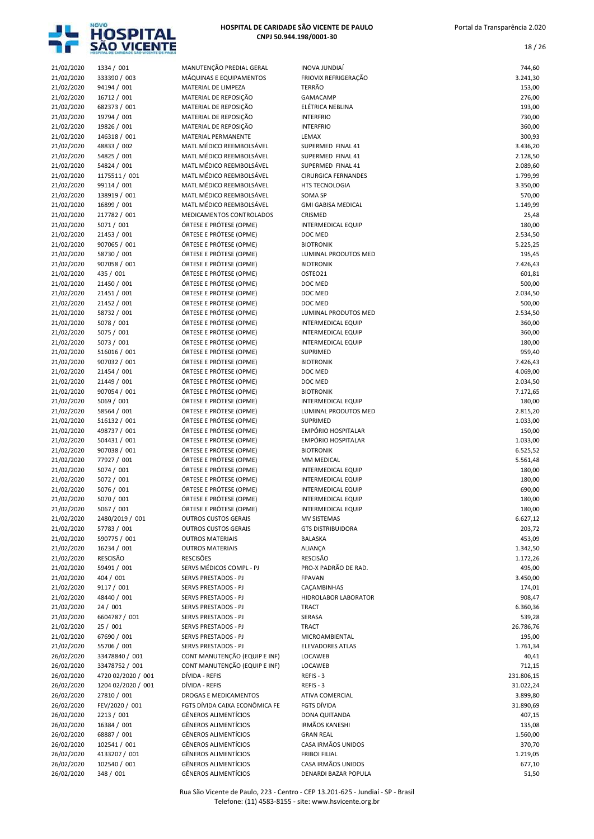

18 / 26

| 21/02/2020               | 1334 / 001                    | MANUTENÇÃO PREDIAL GERAL                                   | <b>INOVA JUNDIAÍ</b>                       | 744,60               |
|--------------------------|-------------------------------|------------------------------------------------------------|--------------------------------------------|----------------------|
| 21/02/2020               | 333390 / 003                  | MÁQUINAS E EQUIPAMENTOS                                    | FRIOVIX REFRIGERAÇÃO                       | 3.241,30             |
| 21/02/2020               | 94194 / 001                   | MATERIAL DE LIMPEZA                                        | <b>TERRÃO</b>                              | 153,00               |
| 21/02/2020               | 16712 / 001                   | MATERIAL DE REPOSIÇÃO                                      | GAMACAMP<br>ELÉTRICA NEBLINA               | 276,00               |
| 21/02/2020<br>21/02/2020 | 682373 / 001<br>19794 / 001   | MATERIAL DE REPOSIÇÃO<br>MATERIAL DE REPOSIÇÃO             | <b>INTERFRIO</b>                           | 193,00<br>730,00     |
| 21/02/2020               | 19826 / 001                   | MATERIAL DE REPOSIÇÃO                                      | <b>INTERFRIO</b>                           | 360,00               |
| 21/02/2020               | 146318 / 001                  | MATERIAL PERMANENTE                                        | LEMAX                                      | 300,93               |
| 21/02/2020               | 48833 / 002                   | MATL MÉDICO REEMBOLSÁVEL                                   | SUPERMED FINAL 41                          | 3.436,20             |
| 21/02/2020               | 54825 / 001                   | MATL MÉDICO REEMBOLSÁVEL                                   | SUPERMED FINAL 41                          | 2.128,50             |
| 21/02/2020               | 54824 / 001                   | MATL MÉDICO REEMBOLSÁVEL                                   | SUPERMED FINAL 41                          | 2.089,60             |
| 21/02/2020               | 1175511 / 001                 | MATL MÉDICO REEMBOLSÁVEL                                   | <b>CIRURGICA FERNANDES</b>                 | 1.799,99             |
| 21/02/2020               | 99114 / 001                   | MATL MÉDICO REEMBOLSÁVEL                                   | <b>HTS TECNOLOGIA</b>                      | 3.350,00             |
| 21/02/2020               | 138919 / 001                  | MATL MÉDICO REEMBOLSÁVEL                                   | SOMA SP                                    | 570,00               |
| 21/02/2020               | 16899 / 001                   | MATL MÉDICO REEMBOLSÁVEL                                   | <b>GMI GABISA MEDICAL</b>                  | 1.149,99             |
| 21/02/2020               | 217782 / 001                  | MEDICAMENTOS CONTROLADOS                                   | CRISMED                                    | 25,48                |
| 21/02/2020               | 5071 / 001                    | ÓRTESE E PRÓTESE (OPME)                                    | INTERMEDICAL EQUIP                         | 180,00               |
| 21/02/2020               | 21453 / 001                   | ÓRTESE E PRÓTESE (OPME)                                    | DOC MED                                    | 2.534,50             |
| 21/02/2020               | 907065 / 001                  | ÓRTESE E PRÓTESE (OPME)                                    | <b>BIOTRONIK</b>                           | 5.225,25             |
| 21/02/2020               | 58730 / 001                   | ÓRTESE E PRÓTESE (OPME)                                    | LUMINAL PRODUTOS MED                       | 195,45               |
| 21/02/2020               | 907058 / 001                  | ÓRTESE E PRÓTESE (OPME)                                    | <b>BIOTRONIK</b>                           | 7.426,43             |
| 21/02/2020               | 435 / 001                     | ÓRTESE E PRÓTESE (OPME)<br>ÓRTESE E PRÓTESE (OPME)         | OSTEO21<br>DOC MED                         | 601,81<br>500,00     |
| 21/02/2020<br>21/02/2020 | 21450 / 001<br>21451 / 001    | ÓRTESE E PRÓTESE (OPME)                                    | DOC MED                                    | 2.034,50             |
| 21/02/2020               | 21452 / 001                   | ÓRTESE E PRÓTESE (OPME)                                    | DOC MED                                    | 500,00               |
| 21/02/2020               | 58732 / 001                   | ÓRTESE E PRÓTESE (OPME)                                    | LUMINAL PRODUTOS MED                       | 2.534,50             |
| 21/02/2020               | 5078 / 001                    | ÓRTESE E PRÓTESE (OPME)                                    | INTERMEDICAL EQUIP                         | 360,00               |
| 21/02/2020               | 5075 / 001                    | ÓRTESE E PRÓTESE (OPME)                                    | INTERMEDICAL EQUIP                         | 360,00               |
| 21/02/2020               | 5073 / 001                    | ÓRTESE E PRÓTESE (OPME)                                    | <b>INTERMEDICAL EQUIP</b>                  | 180,00               |
| 21/02/2020               | 516016 / 001                  | ÓRTESE E PRÓTESE (OPME)                                    | SUPRIMED                                   | 959,40               |
| 21/02/2020               | 907032 / 001                  | ÓRTESE E PRÓTESE (OPME)                                    | <b>BIOTRONIK</b>                           | 7.426,43             |
| 21/02/2020               | 21454 / 001                   | ÓRTESE E PRÓTESE (OPME)                                    | DOC MED                                    | 4.069,00             |
| 21/02/2020               | 21449 / 001                   | ÓRTESE E PRÓTESE (OPME)                                    | DOC MED                                    | 2.034,50             |
| 21/02/2020               | 907054 / 001                  | ÓRTESE E PRÓTESE (OPME)                                    | <b>BIOTRONIK</b>                           | 7.172,65             |
| 21/02/2020               | 5069 / 001                    | ÓRTESE E PRÓTESE (OPME)                                    | <b>INTERMEDICAL EQUIP</b>                  | 180,00               |
| 21/02/2020               | 58564 / 001                   | ÓRTESE E PRÓTESE (OPME)                                    | LUMINAL PRODUTOS MED                       | 2.815,20             |
| 21/02/2020               | 516132 / 001                  | ÓRTESE E PRÓTESE (OPME)                                    | SUPRIMED                                   | 1.033,00             |
| 21/02/2020               | 498737 / 001                  | ÓRTESE E PRÓTESE (OPME)                                    | EMPÓRIO HOSPITALAR<br>EMPÓRIO HOSPITALAR   | 150,00               |
| 21/02/2020               | 504431 / 001<br>907038 / 001  | ÓRTESE E PRÓTESE (OPME)<br>ÓRTESE E PRÓTESE (OPME)         | <b>BIOTRONIK</b>                           | 1.033,00<br>6.525,52 |
| 21/02/2020<br>21/02/2020 | 77927 / 001                   | ÓRTESE E PRÓTESE (OPME)                                    | MM MEDICAL                                 | 5.561,48             |
| 21/02/2020               | 5074 / 001                    | ÓRTESE E PRÓTESE (OPME)                                    | <b>INTERMEDICAL EQUIP</b>                  | 180,00               |
| 21/02/2020               | 5072 / 001                    | ÓRTESE E PRÓTESE (OPME)                                    | INTERMEDICAL EQUIP                         | 180,00               |
| 21/02/2020               | 5076 / 001                    | ÓRTESE E PRÓTESE (OPME)                                    | INTERMEDICAL EQUIP                         | 690,00               |
| 21/02/2020               | 5070 / 001                    | ÓRTESE E PRÓTESE (OPME)                                    | INTERMEDICAL EQUIP                         | 180,00               |
| 21/02/2020               | 5067 / 001                    | ÓRTESE E PRÓTESE (OPME)                                    | <b>INTERMEDICAL EQUIP</b>                  | 180,00               |
| 21/02/2020               | 2480/2019 / 001               | <b>OUTROS CUSTOS GERAIS</b>                                | <b>MV SISTEMAS</b>                         | 6.627,12             |
| 21/02/2020               | 57783 / 001                   | <b>OUTROS CUSTOS GERAIS</b>                                | <b>GTS DISTRIBUIDORA</b>                   | 203,72               |
| 21/02/2020               | 590775 / 001                  | <b>OUTROS MATERIAIS</b>                                    | <b>BALASKA</b>                             | 453,09               |
| 21/02/2020               | 16234 / 001                   | <b>OUTROS MATERIAIS</b>                                    | <b>ALIANÇA</b>                             | 1.342,50             |
| 21/02/2020               | <b>RESCISÃO</b>               | <b>RESCISÕES</b>                                           | <b>RESCISÃO</b>                            | 1.172,26             |
| 21/02/2020               | 59491 / 001                   | SERVS MÉDICOS COMPL - PJ                                   | PRO-X PADRÃO DE RAD.                       | 495,00               |
| 21/02/2020               | 404 / 001                     | SERVS PRESTADOS - PJ                                       | <b>FPAVAN</b>                              | 3.450,00             |
| 21/02/2020               | 9117 / 001                    | SERVS PRESTADOS - PJ                                       | CAÇAMBINHAS<br>HIDROLABOR LABORATOR        | 174,01               |
| 21/02/2020<br>21/02/2020 | 48440 / 001<br>24 / 001       | SERVS PRESTADOS - PJ<br>SERVS PRESTADOS - PJ               | <b>TRACT</b>                               | 908,47<br>6.360,36   |
| 21/02/2020               | 6604787 / 001                 | SERVS PRESTADOS - PJ                                       | SERASA                                     | 539,28               |
| 21/02/2020               | 25 / 001                      | SERVS PRESTADOS - PJ                                       | TRACT                                      | 26.786,76            |
| 21/02/2020               | 67690 / 001                   | SERVS PRESTADOS - PJ                                       | MICROAMBIENTAL                             | 195,00               |
| 21/02/2020               | 55706 / 001                   | SERVS PRESTADOS - PJ                                       | <b>ELEVADORES ATLAS</b>                    | 1.761,34             |
| 26/02/2020               | 33478840 / 001                | CONT MANUTENÇÃO (EQUIP E INF)                              | LOCAWEB                                    | 40,41                |
| 26/02/2020               | 33478752 / 001                | CONT MANUTENÇÃO (EQUIP E INF)                              | LOCAWEB                                    | 712,15               |
| 26/02/2020               | 4720 02/2020 / 001            | DÍVIDA - REFIS                                             | REFIS - 3                                  | 231.806,15           |
| 26/02/2020               | 1204 02/2020 / 001            | DÍVIDA - REFIS                                             | REFIS-3                                    | 31.022,24            |
| 26/02/2020               | 27810 / 001                   | DROGAS E MEDICAMENTOS                                      | ATIVA COMERCIAL                            | 3.899,80             |
| 26/02/2020               | FEV/2020 / 001                | FGTS DÍVIDA CAIXA ECONÔMICA FE                             | FGTS DÍVIDA                                | 31.890,69            |
| 26/02/2020               | 2213 / 001                    | <b>GÊNEROS ALIMENTÍCIOS</b>                                | DONA QUITANDA                              | 407,15               |
| 26/02/2020               | 16384 / 001                   | <b>GÊNEROS ALIMENTÍCIOS</b>                                | <b>IRMÃOS KANESHI</b>                      | 135,08               |
| 26/02/2020               | 68887 / 001                   | <b>GÊNEROS ALIMENTÍCIOS</b>                                | <b>GRAN REAL</b>                           | 1.560,00             |
| 26/02/2020<br>26/02/2020 | 102541 / 001<br>4133207 / 001 | <b>GÊNEROS ALIMENTÍCIOS</b><br><b>GÊNEROS ALIMENTÍCIOS</b> | CASA IRMÃOS UNIDOS<br><b>FRIBOI FILIAL</b> | 370,70<br>1.219,05   |
| 26/02/2020               | 102540 / 001                  | <b>GÊNEROS ALIMENTÍCIOS</b>                                | CASA IRMÃOS UNIDOS                         | 677,10               |
| 26/02/2020               | 348 / 001                     | <b>GÊNEROS ALIMENTÍCIOS</b>                                | DENARDI BAZAR POPULA                       | 51,50                |
|                          |                               |                                                            |                                            |                      |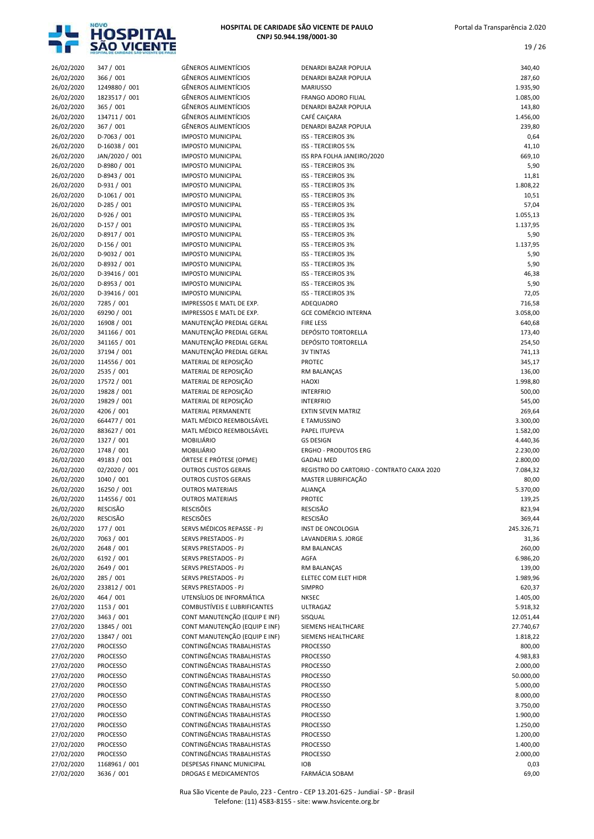

| 26/02/2020               | 347 / 001                     | <b>GÊNEROS ALIMENTÍCIOS</b>                                    | DENARDI BAZAR POPULA                                            | 340,40                 |
|--------------------------|-------------------------------|----------------------------------------------------------------|-----------------------------------------------------------------|------------------------|
| 26/02/2020               | 366 / 001                     | <b>GÊNEROS ALIMENTÍCIOS</b>                                    | DENARDI BAZAR POPULA                                            | 287,60                 |
| 26/02/2020               | 1249880 / 001                 | <b>GÊNEROS ALIMENTÍCIOS</b>                                    | <b>MARIUSSO</b>                                                 | 1.935,90               |
| 26/02/2020               | 1823517 / 001                 | <b>GÊNEROS ALIMENTÍCIOS</b>                                    | <b>FRANGO ADORO FILIAL</b>                                      | 1.085,00               |
| 26/02/2020               | 365 / 001                     | <b>GÊNEROS ALIMENTÍCIOS</b>                                    | <b>DENARDI BAZAR POPULA</b>                                     | 143,80                 |
| 26/02/2020               | 134711 / 001<br>367 / 001     | <b>GÊNEROS ALIMENTÍCIOS</b><br><b>GÊNEROS ALIMENTÍCIOS</b>     | CAFÉ CAIÇARA<br>DENARDI BAZAR POPULA                            | 1.456,00<br>239,80     |
| 26/02/2020<br>26/02/2020 | D-7063 / 001                  | <b>IMPOSTO MUNICIPAL</b>                                       | <b>ISS - TERCEIROS 3%</b>                                       | 0,64                   |
| 26/02/2020               | D-16038 / 001                 | <b>IMPOSTO MUNICIPAL</b>                                       | <b>ISS - TERCEIROS 5%</b>                                       | 41,10                  |
| 26/02/2020               | JAN/2020 / 001                | <b>IMPOSTO MUNICIPAL</b>                                       | ISS RPA FOLHA JANEIRO/2020                                      | 669,10                 |
| 26/02/2020               | D-8980 / 001                  | <b>IMPOSTO MUNICIPAL</b>                                       | <b>ISS - TERCEIROS 3%</b>                                       | 5,90                   |
| 26/02/2020               | D-8943 / 001                  | <b>IMPOSTO MUNICIPAL</b>                                       | <b>ISS - TERCEIROS 3%</b>                                       | 11,81                  |
| 26/02/2020               | D-931 / 001                   | <b>IMPOSTO MUNICIPAL</b>                                       | <b>ISS - TERCEIROS 3%</b>                                       | 1.808,22               |
| 26/02/2020               | $D-1061/001$                  | <b>IMPOSTO MUNICIPAL</b>                                       | <b>ISS - TERCEIROS 3%</b>                                       | 10,51                  |
| 26/02/2020               | D-285 / 001                   | <b>IMPOSTO MUNICIPAL</b>                                       | <b>ISS - TERCEIROS 3%</b>                                       | 57,04                  |
| 26/02/2020               | D-926 / 001                   | <b>IMPOSTO MUNICIPAL</b>                                       | <b>ISS - TERCEIROS 3%</b>                                       | 1.055,13               |
| 26/02/2020               | $D-157/001$                   | <b>IMPOSTO MUNICIPAL</b>                                       | <b>ISS - TERCEIROS 3%</b>                                       | 1.137,95               |
| 26/02/2020               | D-8917 / 001                  | <b>IMPOSTO MUNICIPAL</b>                                       | <b>ISS - TERCEIROS 3%</b>                                       | 5,90                   |
| 26/02/2020               | $D-156 / 001$                 | <b>IMPOSTO MUNICIPAL</b>                                       | <b>ISS - TERCEIROS 3%</b>                                       | 1.137,95               |
| 26/02/2020               | D-9032 / 001                  | <b>IMPOSTO MUNICIPAL</b>                                       | <b>ISS - TERCEIROS 3%</b>                                       | 5,90                   |
| 26/02/2020               | D-8932 / 001<br>D-39416 / 001 | <b>IMPOSTO MUNICIPAL</b><br><b>IMPOSTO MUNICIPAL</b>           | <b>ISS - TERCEIROS 3%</b><br><b>ISS - TERCEIROS 3%</b>          | 5,90                   |
| 26/02/2020<br>26/02/2020 | D-8953 / 001                  | <b>IMPOSTO MUNICIPAL</b>                                       | <b>ISS - TERCEIROS 3%</b>                                       | 46,38<br>5,90          |
| 26/02/2020               | D-39416 / 001                 | <b>IMPOSTO MUNICIPAL</b>                                       | <b>ISS - TERCEIROS 3%</b>                                       | 72,05                  |
| 26/02/2020               | 7285 / 001                    | IMPRESSOS E MATL DE EXP.                                       | ADEQUADRO                                                       | 716,58                 |
| 26/02/2020               | 69290 / 001                   | IMPRESSOS E MATL DE EXP.                                       | <b>GCE COMÉRCIO INTERNA</b>                                     | 3.058,00               |
| 26/02/2020               | 16908 / 001                   | MANUTENÇÃO PREDIAL GERAL                                       | <b>FIRE LESS</b>                                                | 640,68                 |
| 26/02/2020               | 341166 / 001                  | MANUTENÇÃO PREDIAL GERAL                                       | <b>DEPÓSITO TORTORELLA</b>                                      | 173,40                 |
| 26/02/2020               | 341165 / 001                  | MANUTENÇÃO PREDIAL GERAL                                       | DEPÓSITO TORTORELLA                                             | 254,50                 |
| 26/02/2020               | 37194 / 001                   | MANUTENÇÃO PREDIAL GERAL                                       | <b>3V TINTAS</b>                                                | 741,13                 |
| 26/02/2020               | 114556 / 001                  | MATERIAL DE REPOSIÇÃO                                          | <b>PROTEC</b>                                                   | 345,17                 |
| 26/02/2020               | 2535 / 001                    | MATERIAL DE REPOSIÇÃO                                          | RM BALANÇAS                                                     | 136,00                 |
| 26/02/2020               | 17572 / 001                   | MATERIAL DE REPOSIÇÃO                                          | <b>HAOXI</b>                                                    | 1.998,80               |
| 26/02/2020               | 19828 / 001                   | MATERIAL DE REPOSIÇÃO                                          | <b>INTERFRIO</b>                                                | 500,00                 |
| 26/02/2020               | 19829 / 001                   | MATERIAL DE REPOSIÇÃO                                          | <b>INTERFRIO</b>                                                | 545,00                 |
| 26/02/2020               | 4206 / 001                    | MATERIAL PERMANENTE                                            | <b>EXTIN SEVEN MATRIZ</b>                                       | 269,64                 |
| 26/02/2020               | 664477 / 001                  | MATL MÉDICO REEMBOLSÁVEL                                       | E TAMUSSINO                                                     | 3.300,00               |
| 26/02/2020               | 883627 / 001                  | MATL MÉDICO REEMBOLSÁVEL                                       | PAPEL ITUPEVA                                                   | 1.582,00               |
| 26/02/2020               | 1327 / 001                    | <b>MOBILIÁRIO</b>                                              | <b>GS DESIGN</b>                                                | 4.440,36               |
| 26/02/2020               | 1748 / 001<br>49183 / 001     | <b>MOBILIÁRIO</b>                                              | <b>ERGHO - PRODUTOS ERG</b>                                     | 2.230,00<br>2.800,00   |
| 26/02/2020<br>26/02/2020 | 02/2020 / 001                 | ÓRTESE E PRÓTESE (OPME)<br><b>OUTROS CUSTOS GERAIS</b>         | <b>GADALI MED</b><br>REGISTRO DO CARTORIO - CONTRATO CAIXA 2020 | 7.084,32               |
| 26/02/2020               | 1040 / 001                    | <b>OUTROS CUSTOS GERAIS</b>                                    | MASTER LUBRIFICAÇÃO                                             | 80,00                  |
| 26/02/2020               | 16250 / 001                   | <b>OUTROS MATERIAIS</b>                                        | <b>ALIANÇA</b>                                                  | 5.370,00               |
| 26/02/2020               | 114556 / 001                  | <b>OUTROS MATERIAIS</b>                                        | PROTEC                                                          | 139,25                 |
| 26/02/2020               | <b>RESCISÃO</b>               | <b>RESCISÕES</b>                                               | <b>RESCISÃO</b>                                                 | 823,94                 |
| 26/02/2020               | RESCISÃO                      | <b>RESCISÕES</b>                                               | <b>RESCISÃO</b>                                                 | 369,44                 |
| 26/02/2020               | 177 / 001                     | SERVS MÉDICOS REPASSE - PJ                                     | INST DE ONCOLOGIA                                               | 245.326,71             |
| 26/02/2020               | 7063 / 001                    | <b>SERVS PRESTADOS - PJ</b>                                    | LAVANDERIA S. JORGE                                             | 31,36                  |
| 26/02/2020               | 2648 / 001                    | SERVS PRESTADOS - PJ                                           | RM BALANCAS                                                     | 260,00                 |
| 26/02/2020               | 6192 / 001                    | SERVS PRESTADOS - PJ                                           | AGFA                                                            | 6.986,20               |
| 26/02/2020               | 2649 / 001                    | SERVS PRESTADOS - PJ                                           | RM BALANÇAS                                                     | 139,00                 |
| 26/02/2020               | 285 / 001                     | SERVS PRESTADOS - PJ                                           | ELETEC COM ELET HIDR                                            | 1.989,96               |
| 26/02/2020               | 233812 / 001                  | SERVS PRESTADOS - PJ                                           | <b>SIMPRO</b>                                                   | 620,37                 |
| 26/02/2020               | 464 / 001                     | UTENSÍLIOS DE INFORMÁTICA                                      | <b>NKSEC</b>                                                    | 1.405,00               |
| 27/02/2020               | 1153 / 001                    | COMBUSTÍVEIS E LUBRIFICANTES                                   | ULTRAGAZ                                                        | 5.918,32               |
| 27/02/2020               | 3463 / 001                    | CONT MANUTENÇÃO (EQUIP E INF)<br>CONT MANUTENÇÃO (EQUIP E INF) | SISQUAL                                                         | 12.051,44<br>27.740,67 |
| 27/02/2020<br>27/02/2020 | 13845 / 001<br>13847 / 001    | CONT MANUTENÇÃO (EQUIP E INF)                                  | SIEMENS HEALTHCARE<br>SIEMENS HEALTHCARE                        | 1.818,22               |
| 27/02/2020               | <b>PROCESSO</b>               | CONTINGÊNCIAS TRABALHISTAS                                     | <b>PROCESSO</b>                                                 | 800,00                 |
| 27/02/2020               | <b>PROCESSO</b>               | CONTINGÊNCIAS TRABALHISTAS                                     | <b>PROCESSO</b>                                                 | 4.983,83               |
| 27/02/2020               | PROCESSO                      | CONTINGÊNCIAS TRABALHISTAS                                     | <b>PROCESSO</b>                                                 | 2.000,00               |
| 27/02/2020               | <b>PROCESSO</b>               | CONTINGÊNCIAS TRABALHISTAS                                     | <b>PROCESSO</b>                                                 | 50.000,00              |
| 27/02/2020               | <b>PROCESSO</b>               | CONTINGÊNCIAS TRABALHISTAS                                     | <b>PROCESSO</b>                                                 | 5.000,00               |
| 27/02/2020               | <b>PROCESSO</b>               | CONTINGÊNCIAS TRABALHISTAS                                     | <b>PROCESSO</b>                                                 | 8.000,00               |
| 27/02/2020               | PROCESSO                      | CONTINGÊNCIAS TRABALHISTAS                                     | <b>PROCESSO</b>                                                 | 3.750,00               |
| 27/02/2020               | <b>PROCESSO</b>               | CONTINGÊNCIAS TRABALHISTAS                                     | <b>PROCESSO</b>                                                 | 1.900,00               |
| 27/02/2020               | <b>PROCESSO</b>               | CONTINGÊNCIAS TRABALHISTAS                                     | <b>PROCESSO</b>                                                 | 1.250,00               |
| 27/02/2020               | <b>PROCESSO</b>               | CONTINGÊNCIAS TRABALHISTAS                                     | <b>PROCESSO</b>                                                 | 1.200,00               |
| 27/02/2020               | <b>PROCESSO</b>               | CONTINGÊNCIAS TRABALHISTAS                                     | <b>PROCESSO</b>                                                 | 1.400,00               |
| 27/02/2020               | PROCESSO                      | CONTINGÊNCIAS TRABALHISTAS                                     | <b>PROCESSO</b>                                                 | 2.000,00               |
| 27/02/2020               | 1168961 / 001                 | DESPESAS FINANC MUNICIPAL                                      | <b>IOB</b>                                                      | 0,03                   |
| 27/02/2020               | 3636 / 001                    | DROGAS E MEDICAMENTOS                                          | FARMÁCIA SOBAM                                                  | 69,00                  |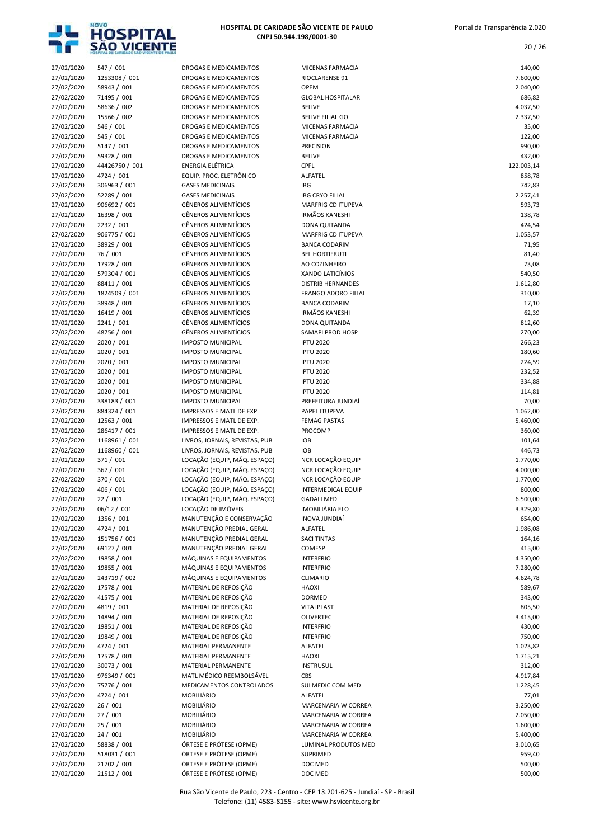

20 / 26

| 27/02/2020               | 547 / 001                  | DROGAS E MEDICAMENTOS                                | MICENAS FARMACIA                     | 140,00               |
|--------------------------|----------------------------|------------------------------------------------------|--------------------------------------|----------------------|
| 27/02/2020               | 1253308 / 001              | DROGAS E MEDICAMENTOS                                | RIOCLARENSE 91                       | 7.600,00             |
| 27/02/2020               | 58943 / 001                | <b>DROGAS E MEDICAMENTOS</b>                         | OPEM                                 | 2.040,00             |
| 27/02/2020               | 71495 / 001                | DROGAS E MEDICAMENTOS                                | <b>GLOBAL HOSPITALAR</b>             | 686,82               |
| 27/02/2020               | 58636 / 002                | DROGAS E MEDICAMENTOS                                | <b>BELIVE</b>                        | 4.037,50             |
| 27/02/2020               | 15566 / 002                | DROGAS E MEDICAMENTOS                                | <b>BELIVE FILIAL GO</b>              | 2.337,50             |
| 27/02/2020               | 546 / 001                  | DROGAS E MEDICAMENTOS                                | MICENAS FARMACIA                     | 35,00                |
| 27/02/2020               | 545 / 001                  | DROGAS E MEDICAMENTOS                                | MICENAS FARMACIA                     | 122,00               |
| 27/02/2020<br>27/02/2020 | 5147 / 001<br>59328 / 001  | DROGAS E MEDICAMENTOS<br>DROGAS E MEDICAMENTOS       | <b>PRECISION</b><br><b>BELIVE</b>    | 990,00<br>432,00     |
| 27/02/2020               | 44426750 / 001             | ENERGIA ELÉTRICA                                     | <b>CPFL</b>                          | 122.003,14           |
| 27/02/2020               | 4724 / 001                 | EQUIP. PROC. ELETRÔNICO                              | ALFATEL                              | 858,78               |
| 27/02/2020               | 306963 / 001               | <b>GASES MEDICINAIS</b>                              | IBG                                  | 742,83               |
| 27/02/2020               | 52289 / 001                | <b>GASES MEDICINAIS</b>                              | <b>IBG CRYO FILIAL</b>               | 2.257,41             |
| 27/02/2020               | 906692 / 001               | <b>GÊNEROS ALIMENTÍCIOS</b>                          | MARFRIG CD ITUPEVA                   | 593,73               |
| 27/02/2020               | 16398 / 001                | <b>GÊNEROS ALIMENTÍCIOS</b>                          | <b>IRMÃOS KANESHI</b>                | 138,78               |
| 27/02/2020               | 2232 / 001                 | <b>GÊNEROS ALIMENTÍCIOS</b>                          | DONA QUITANDA                        | 424,54               |
| 27/02/2020               | 906775 / 001               | <b>GÊNEROS ALIMENTÍCIOS</b>                          | MARFRIG CD ITUPEVA                   | 1.053,57             |
| 27/02/2020               | 38929 / 001                | <b>GÊNEROS ALIMENTÍCIOS</b>                          | <b>BANCA CODARIM</b>                 | 71,95                |
| 27/02/2020               | 76 / 001                   | <b>GÊNEROS ALIMENTÍCIOS</b>                          | <b>BEL HORTIFRUTI</b>                | 81,40                |
| 27/02/2020               | 17928 / 001                | <b>GÊNEROS ALIMENTÍCIOS</b>                          | AO COZINHEIRO                        | 73,08                |
| 27/02/2020               | 579304 / 001               | <b>GÊNEROS ALIMENTÍCIOS</b>                          | XANDO LATICÍNIOS                     | 540,50               |
| 27/02/2020               | 88411 / 001                | <b>GÊNEROS ALIMENTÍCIOS</b>                          | <b>DISTRIB HERNANDES</b>             | 1.612,80             |
| 27/02/2020               | 1824509 / 001              | <b>GÊNEROS ALIMENTÍCIOS</b>                          | <b>FRANGO ADORO FILIAL</b>           | 310,00               |
| 27/02/2020               | 38948 / 001                | <b>GÊNEROS ALIMENTÍCIOS</b>                          | <b>BANCA CODARIM</b>                 | 17,10                |
| 27/02/2020               | 16419 / 001                | <b>GÊNEROS ALIMENTÍCIOS</b>                          | <b>IRMÃOS KANESHI</b>                | 62,39                |
| 27/02/2020               | 2241 / 001                 | <b>GÊNEROS ALIMENTÍCIOS</b>                          | DONA QUITANDA                        | 812,60               |
| 27/02/2020               | 48756 / 001                | <b>GÊNEROS ALIMENTÍCIOS</b>                          | SAMAPI PROD HOSP                     | 270,00               |
| 27/02/2020               | 2020 / 001                 | <b>IMPOSTO MUNICIPAL</b>                             | <b>IPTU 2020</b>                     | 266,23               |
| 27/02/2020               | 2020 / 001                 | <b>IMPOSTO MUNICIPAL</b>                             | <b>IPTU 2020</b>                     | 180,60               |
| 27/02/2020               | 2020 / 001                 | <b>IMPOSTO MUNICIPAL</b>                             | <b>IPTU 2020</b>                     | 224,59               |
| 27/02/2020<br>27/02/2020 | 2020 / 001<br>2020 / 001   | <b>IMPOSTO MUNICIPAL</b><br><b>IMPOSTO MUNICIPAL</b> | <b>IPTU 2020</b><br><b>IPTU 2020</b> | 232,52<br>334,88     |
| 27/02/2020               | 2020 / 001                 | <b>IMPOSTO MUNICIPAL</b>                             | <b>IPTU 2020</b>                     | 114,81               |
| 27/02/2020               | 338183 / 001               | <b>IMPOSTO MUNICIPAL</b>                             | PREFEITURA JUNDIAI                   | 70,00                |
| 27/02/2020               | 884324 / 001               | IMPRESSOS E MATL DE EXP.                             | PAPEL ITUPEVA                        | 1.062,00             |
| 27/02/2020               | 12563 / 001                | IMPRESSOS E MATL DE EXP.                             | <b>FEMAG PASTAS</b>                  | 5.460,00             |
| 27/02/2020               | 286417 / 001               | IMPRESSOS E MATL DE EXP.                             | PROCOMP                              | 360,00               |
| 27/02/2020               | 1168961 / 001              | LIVROS, JORNAIS, REVISTAS, PUB                       | <b>IOB</b>                           | 101,64               |
| 27/02/2020               | 1168960 / 001              | LIVROS, JORNAIS, REVISTAS, PUB                       | <b>IOB</b>                           | 446,73               |
| 27/02/2020               | 371 / 001                  | LOCAÇÃO (EQUIP, MÁQ. ESPAÇO)                         | NCR LOCAÇÃO EQUIP                    | 1.770,00             |
| 27/02/2020               | 367 / 001                  | LOCAÇÃO (EQUIP, MÁQ. ESPAÇO)                         | NCR LOCAÇÃO EQUIP                    | 4.000,00             |
| 27/02/2020               | 370 / 001                  | LOCAÇÃO (EQUIP, MÁQ. ESPAÇO)                         | NCR LOCAÇÃO EQUIP                    | 1.770,00             |
| 27/02/2020               | 406 / 001                  | LOCAÇÃO (EQUIP, MÁQ. ESPAÇO)                         | <b>INTERMEDICAL EQUIP</b>            | 800,00               |
| 27/02/2020               | 22 / 001                   | LOCAÇÃO (EQUIP, MÁQ. ESPAÇO)                         | <b>GADALI MED</b>                    | 6.500,00             |
| 27/02/2020               | 06/12 / 001                | LOCAÇÃO DE IMÓVEIS                                   | IMOBILIÁRIA ELO                      | 3.329,80             |
| 27/02/2020               | 1356 / 001                 | MANUTENÇÃO E CONSERVAÇÃO                             | INOVA JUNDIAÍ                        | 654,00               |
| 27/02/2020               | 4724 / 001                 | MANUTENÇÃO PREDIAL GERAL                             | ALFATEL                              | 1.986,08             |
| 27/02/2020               | 151756 / 001               | MANUTENÇÃO PREDIAL GERAL                             | <b>SACI TINTAS</b>                   | 164,16               |
| 27/02/2020               | 69127 / 001                | MANUTENÇÃO PREDIAL GERAL                             | COMESP                               | 415,00               |
| 27/02/2020               | 19858 / 001<br>19855 / 001 | MÁQUINAS E EQUIPAMENTOS<br>MÁQUINAS E EQUIPAMENTOS   | <b>INTERFRIO</b>                     | 4.350,00             |
| 27/02/2020<br>27/02/2020 | 243719 / 002               | MÁQUINAS E EQUIPAMENTOS                              | <b>INTERFRIO</b><br><b>CLIMARIO</b>  | 7.280,00<br>4.624,78 |
| 27/02/2020               | 17578 / 001                | MATERIAL DE REPOSIÇÃO                                | HAOXI                                | 589,67               |
| 27/02/2020               | 41575 / 001                | MATERIAL DE REPOSIÇÃO                                | DORMED                               | 343,00               |
| 27/02/2020               | 4819 / 001                 | MATERIAL DE REPOSIÇÃO                                | VITALPLAST                           | 805,50               |
| 27/02/2020               | 14894 / 001                | MATERIAL DE REPOSIÇÃO                                | <b>OLIVERTEC</b>                     | 3.415,00             |
| 27/02/2020               | 19851 / 001                | MATERIAL DE REPOSIÇÃO                                | <b>INTERFRIO</b>                     | 430,00               |
| 27/02/2020               | 19849 / 001                | MATERIAL DE REPOSIÇÃO                                | <b>INTERFRIO</b>                     | 750,00               |
| 27/02/2020               | 4724 / 001                 | MATERIAL PERMANENTE                                  | ALFATEL                              | 1.023,82             |
| 27/02/2020               | 17578 / 001                | MATERIAL PERMANENTE                                  | HAOXI                                | 1.715,21             |
| 27/02/2020               | 30073 / 001                | MATERIAL PERMANENTE                                  | <b>INSTRUSUL</b>                     | 312,00               |
| 27/02/2020               | 976349 / 001               | MATL MÉDICO REEMBOLSÁVEL                             | CBS                                  | 4.917,84             |
| 27/02/2020               | 75776 / 001                | MEDICAMENTOS CONTROLADOS                             | SULMEDIC COM MED                     | 1.228,45             |
| 27/02/2020               | 4724 / 001                 | <b>MOBILIÁRIO</b>                                    | ALFATEL                              | 77,01                |
| 27/02/2020               | 26/001                     | MOBILIÁRIO                                           | MARCENARIA W CORREA                  | 3.250,00             |
| 27/02/2020               | 27 / 001                   | MOBILIÁRIO                                           | MARCENARIA W CORREA                  | 2.050,00             |
| 27/02/2020               | 25 / 001                   | MOBILIÁRIO                                           | MARCENARIA W CORREA                  | 1.600,00             |
| 27/02/2020               | 24/001                     | MOBILIÁRIO                                           | MARCENARIA W CORREA                  | 5.400,00             |
| 27/02/2020               | 58838 / 001                | ÓRTESE E PRÓTESE (OPME)                              | LUMINAL PRODUTOS MED                 | 3.010,65             |
| 27/02/2020               | 518031/001                 | ÓRTESE E PRÓTESE (OPME)                              | <b>SUPRIMED</b>                      | 959,40               |
| 27/02/2020<br>27/02/2020 | 21702 / 001<br>21512 / 001 | ÓRTESE E PRÓTESE (OPME)<br>ÓRTESE E PRÓTESE (OPME)   | DOC MED<br>DOC MED                   | 500,00<br>500,00     |
|                          |                            |                                                      |                                      |                      |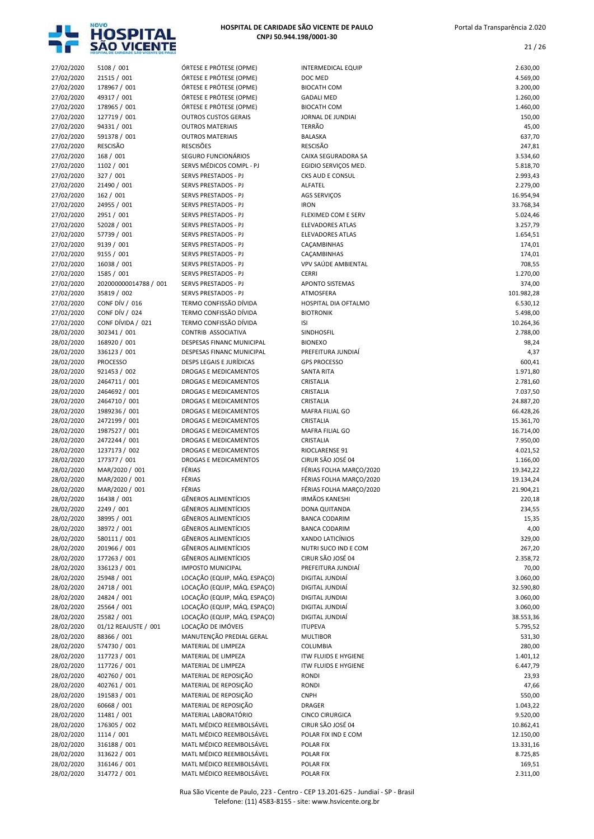

| 27/02/2020 | 5108 / 001            | ÓRTESE E PRÓTESE (OPME)                               | <b>INTERMEDICAL EQUIP</b>    | 2.630,00   |
|------------|-----------------------|-------------------------------------------------------|------------------------------|------------|
| 27/02/2020 | 21515 / 001           | ÓRTESE E PRÓTESE (OPME)                               | DOC MED                      | 4.569,00   |
| 27/02/2020 | 178967 / 001          | ÓRTESE E PRÓTESE (OPME)                               | <b>BIOCATH COM</b>           | 3.200,00   |
| 27/02/2020 | 49317 / 001           | ÓRTESE E PRÓTESE (OPME)                               | <b>GADALI MED</b>            | 1.260,00   |
| 27/02/2020 | 178965 / 001          | ÓRTESE E PRÓTESE (OPME)                               | <b>BIOCATH COM</b>           | 1.460,00   |
| 27/02/2020 | 127719 / 001          | <b>OUTROS CUSTOS GERAIS</b>                           | JORNAL DE JUNDIAI            | 150,00     |
| 27/02/2020 | 94331 / 001           | <b>OUTROS MATERIAIS</b>                               | <b>TERRÃO</b>                | 45,00      |
| 27/02/2020 | 591378 / 001          | <b>OUTROS MATERIAIS</b>                               | BALASKA                      | 637,70     |
| 27/02/2020 | RESCISÃO              | <b>RESCISÕES</b>                                      | <b>RESCISÃO</b>              | 247,81     |
| 27/02/2020 | 168 / 001             | SEGURO FUNCIONÁRIOS                                   | CAIXA SEGURADORA SA          | 3.534,60   |
| 27/02/2020 | 1102 / 001            | SERVS MÉDICOS COMPL - PJ                              | EGIDIO SERVIÇOS MED.         | 5.818,70   |
| 27/02/2020 | 327 / 001             | SERVS PRESTADOS - PJ                                  | CKS AUD E CONSUL             | 2.993,43   |
| 27/02/2020 | 21490 / 001           | SERVS PRESTADOS - PJ                                  | ALFATEL                      | 2.279,00   |
| 27/02/2020 | 162 / 001             | SERVS PRESTADOS - PJ                                  | AGS SERVIÇOS                 | 16.954,94  |
| 27/02/2020 | 24955 / 001           | SERVS PRESTADOS - PJ                                  | <b>IRON</b>                  | 33.768,34  |
| 27/02/2020 | 2951 / 001            | SERVS PRESTADOS - PJ                                  | FLEXIMED COM E SERV          | 5.024,46   |
| 27/02/2020 | 52028 / 001           | SERVS PRESTADOS - PJ                                  | <b>ELEVADORES ATLAS</b>      | 3.257,79   |
| 27/02/2020 | 57739 / 001           | SERVS PRESTADOS - PJ                                  | <b>ELEVADORES ATLAS</b>      | 1.654,51   |
| 27/02/2020 | 9139 / 001            | SERVS PRESTADOS - PJ                                  | CAÇAMBINHAS                  | 174,01     |
| 27/02/2020 | 9155 / 001            | SERVS PRESTADOS - PJ                                  | CAÇAMBINHAS                  | 174,01     |
| 27/02/2020 | 16038 / 001           | SERVS PRESTADOS - PJ                                  | VPV SAÚDE AMBIENTAL          | 708,55     |
| 27/02/2020 | 1585 / 001            | SERVS PRESTADOS - PJ                                  | <b>CERRI</b>                 | 1.270,00   |
| 27/02/2020 | 202000000014788 / 001 | <b>SERVS PRESTADOS - PJ</b>                           | <b>APONTO SISTEMAS</b>       | 374,00     |
| 27/02/2020 | 35819 / 002           | SERVS PRESTADOS - PJ                                  | ATMOSFERA                    | 101.982,28 |
| 27/02/2020 | CONF DÍV / 016        | TERMO CONFISSÃO DÍVIDA                                | HOSPITAL DIA OFTALMO         | 6.530,12   |
| 27/02/2020 | <b>CONF DÍV / 024</b> | TERMO CONFISSÃO DÍVIDA                                | <b>BIOTRONIK</b>             | 5.498,00   |
| 27/02/2020 | CONF DÍVIDA / 021     | TERMO CONFISSÃO DÍVIDA                                | <b>ISI</b>                   | 10.264,36  |
| 28/02/2020 | 302341 / 001          | CONTRIB ASSOCIATIVA                                   | SINDHOSFIL                   | 2.788,00   |
| 28/02/2020 | 168920 / 001          | DESPESAS FINANC MUNICIPAL                             | <b>BIONEXO</b>               | 98,24      |
| 28/02/2020 | 336123 / 001          | DESPESAS FINANC MUNICIPAL                             | PREFEITURA JUNDIAÍ           | 4,37       |
| 28/02/2020 | <b>PROCESSO</b>       | DESPS LEGAIS E JURÍDICAS                              | <b>GPS PROCESSO</b>          | 600,41     |
| 28/02/2020 | 921453 / 002          | DROGAS E MEDICAMENTOS                                 | <b>SANTA RITA</b>            | 1.971,80   |
| 28/02/2020 | 2464711 / 001         | DROGAS E MEDICAMENTOS                                 | CRISTALIA                    | 2.781,60   |
| 28/02/2020 | 2464692 / 001         | DROGAS E MEDICAMENTOS                                 | CRISTALIA                    | 7.037,50   |
| 28/02/2020 | 2464710 / 001         | DROGAS E MEDICAMENTOS                                 | CRISTALIA                    | 24.887,20  |
| 28/02/2020 | 1989236 / 001         | DROGAS E MEDICAMENTOS                                 | MAFRA FILIAL GO              | 66.428,26  |
|            | 2472199 / 001         | DROGAS E MEDICAMENTOS                                 | CRISTALIA                    |            |
| 28/02/2020 |                       |                                                       |                              | 15.361,70  |
| 28/02/2020 | 1987527 / 001         | DROGAS E MEDICAMENTOS                                 | MAFRA FILIAL GO<br>CRISTALIA | 16.714,00  |
| 28/02/2020 | 2472244 / 001         | DROGAS E MEDICAMENTOS                                 |                              | 7.950,00   |
| 28/02/2020 | 1237173 / 002         | DROGAS E MEDICAMENTOS<br><b>DROGAS E MEDICAMENTOS</b> | RIOCLARENSE 91               | 4.021,52   |
| 28/02/2020 | 177377 / 001          |                                                       | CIRUR SÃO JOSÉ 04            | 1.166,00   |
| 28/02/2020 | MAR/2020 / 001        | FÉRIAS                                                | FÉRIAS FOLHA MARÇO/2020      | 19.342,22  |
| 28/02/2020 | MAR/2020 / 001        | FÉRIAS                                                | FÉRIAS FOLHA MARÇO/2020      | 19.134,24  |
| 28/02/2020 | MAR/2020 / 001        | FÉRIAS                                                | FÉRIAS FOLHA MARCO/2020      | 21.904,21  |
| 28/02/2020 | 16438 / 001           | <b>GÊNEROS ALIMENTÍCIOS</b>                           | <b>IRMÃOS KANESHI</b>        | 220,18     |
| 28/02/2020 | 2249 / 001            | <b>GENEROS ALIMENTICIOS</b>                           | DONA QUITANDA                | 234,55     |
| 28/02/2020 | 38995 / 001           | <b>GÊNEROS ALIMENTÍCIOS</b>                           | <b>BANCA CODARIM</b>         | 15,35      |
| 28/02/2020 | 38972 / 001           | <b>GÊNEROS ALIMENTÍCIOS</b>                           | <b>BANCA CODARIM</b>         | 4,00       |
| 28/02/2020 | 580111 / 001          | <b>GÊNEROS ALIMENTÍCIOS</b>                           | XANDO LATICÍNIOS             | 329,00     |
| 28/02/2020 | 201966 / 001          | <b>GÊNEROS ALIMENTÍCIOS</b>                           | NUTRI SUCO IND E COM         | 267,20     |
| 28/02/2020 | 177263 / 001          | <b>GÊNEROS ALIMENTÍCIOS</b>                           | CIRUR SÃO JOSÉ 04            | 2.358,72   |
| 28/02/2020 | 336123 / 001          | <b>IMPOSTO MUNICIPAL</b>                              | PREFEITURA JUNDIAÍ           | 70,00      |
| 28/02/2020 | 25948 / 001           | LOCAÇÃO (EQUIP, MÁQ. ESPAÇO)                          | DIGITAL JUNDIAÍ              | 3.060,00   |
| 28/02/2020 | 24718 / 001           | LOCAÇÃO (EQUIP, MÁQ. ESPAÇO)                          | DIGITAL JUNDIAÍ              | 32.590,80  |
| 28/02/2020 | 24824 / 001           | LOCAÇÃO (EQUIP, MÁQ. ESPAÇO)                          | DIGITAL JUNDIAI              | 3.060,00   |
| 28/02/2020 | 25564 / 001           | LOCAÇÃO (EQUIP, MÁQ. ESPAÇO)                          | DIGITAL JUNDIAÍ              | 3.060,00   |
| 28/02/2020 | 25582 / 001           | LOCAÇÃO (EQUIP, MÁQ. ESPAÇO)                          | DIGITAL JUNDIAÍ              | 38.553,36  |
| 28/02/2020 | 01/12 REAJUSTE / 001  | LOCAÇÃO DE IMÓVEIS                                    | <b>ITUPEVA</b>               | 5.795,52   |
| 28/02/2020 | 88366 / 001           | MANUTENÇÃO PREDIAL GERAL                              | <b>MULTIBOR</b>              | 531,30     |
| 28/02/2020 | 574730 / 001          | MATERIAL DE LIMPEZA                                   | COLUMBIA                     | 280,00     |
| 28/02/2020 | 117723 / 001          | MATERIAL DE LIMPEZA                                   | <b>ITW FLUIDS E HYGIENE</b>  | 1.401,12   |
| 28/02/2020 | 117726 / 001          | MATERIAL DE LIMPEZA                                   | <b>ITW FLUIDS E HYGIENE</b>  | 6.447,79   |
| 28/02/2020 | 402760 / 001          | MATERIAL DE REPOSIÇÃO                                 | <b>RONDI</b>                 | 23,93      |
| 28/02/2020 | 402761 / 001          | MATERIAL DE REPOSIÇÃO                                 | <b>RONDI</b>                 | 47,66      |
| 28/02/2020 | 191583 / 001          | MATERIAL DE REPOSIÇÃO                                 | <b>CNPH</b>                  | 550,00     |
| 28/02/2020 | 60668 / 001           | MATERIAL DE REPOSIÇÃO                                 | <b>DRAGER</b>                | 1.043,22   |
| 28/02/2020 | 11481 / 001           | MATERIAL LABORATÓRIO                                  | <b>CINCO CIRURGICA</b>       | 9.520,00   |
| 28/02/2020 | 176305 / 002          | MATL MÉDICO REEMBOLSÁVEL                              | CIRUR SÃO JOSÉ 04            | 10.862,41  |
| 28/02/2020 | 1114 / 001            | MATL MÉDICO REEMBOLSÁVEL                              | POLAR FIX IND E COM          | 12.150,00  |
| 28/02/2020 | 316188 / 001          | MATL MÉDICO REEMBOLSÁVEL                              | POLAR FIX                    | 13.331,16  |
| 28/02/2020 | 313622 / 001          | MATL MÉDICO REEMBOLSÁVEL                              | POLAR FIX                    | 8.725,85   |
| 28/02/2020 | 316146 / 001          | MATL MÉDICO REEMBOLSÁVEL                              | POLAR FIX                    | 169,51     |
| 28/02/2020 | 314772 / 001          | MATL MÉDICO REEMBOLSÁVEL                              | POLAR FIX                    | 2.311,00   |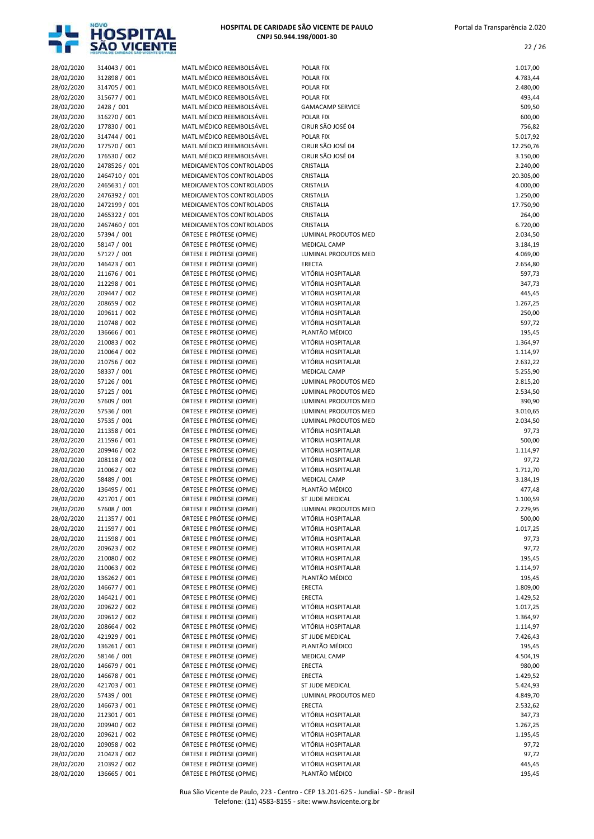

| 28/02/2020 | 314043 / 001  | MATL MÉDICO REEMBOLSÁVEL | <b>POLAR FIX</b>        | 1.017,00  |
|------------|---------------|--------------------------|-------------------------|-----------|
| 28/02/2020 | 312898 / 001  | MATL MÉDICO REEMBOLSÁVEL | POLAR FIX               | 4.783,44  |
| 28/02/2020 | 314705 / 001  | MATL MÉDICO REEMBOLSÁVEL | POLAR FIX               | 2.480,00  |
| 28/02/2020 | 315677 / 001  | MATL MÉDICO REEMBOLSÁVEL | POLAR FIX               | 493,44    |
| 28/02/2020 | 2428 / 001    | MATL MÉDICO REEMBOLSÁVEL | <b>GAMACAMP SERVICE</b> | 509,50    |
| 28/02/2020 | 316270 / 001  | MATL MÉDICO REEMBOLSÁVEL | POLAR FIX               | 600,00    |
| 28/02/2020 | 177830 / 001  | MATL MÉDICO REEMBOLSÁVEL | CIRUR SÃO JOSÉ 04       | 756,82    |
| 28/02/2020 | 314744 / 001  | MATL MÉDICO REEMBOLSÁVEL | POLAR FIX               | 5.017,92  |
| 28/02/2020 | 177570 / 001  | MATL MÉDICO REEMBOLSÁVEL | CIRUR SÃO JOSÉ 04       | 12.250,76 |
| 28/02/2020 | 176530 / 002  | MATL MÉDICO REEMBOLSÁVEL | CIRUR SÃO JOSÉ 04       | 3.150,00  |
| 28/02/2020 | 2478526 / 001 | MEDICAMENTOS CONTROLADOS | CRISTALIA               | 2.240,00  |
| 28/02/2020 | 2464710 / 001 | MEDICAMENTOS CONTROLADOS | CRISTALIA               | 20.305,00 |
| 28/02/2020 | 2465631 / 001 | MEDICAMENTOS CONTROLADOS | CRISTALIA               | 4.000,00  |
| 28/02/2020 | 2476392 / 001 | MEDICAMENTOS CONTROLADOS | CRISTALIA               | 1.250,00  |
| 28/02/2020 | 2472199 / 001 | MEDICAMENTOS CONTROLADOS | CRISTALIA               | 17.750,90 |
| 28/02/2020 | 2465322 / 001 | MEDICAMENTOS CONTROLADOS | CRISTALIA               | 264,00    |
| 28/02/2020 | 2467460 / 001 | MEDICAMENTOS CONTROLADOS | CRISTALIA               | 6.720,00  |
| 28/02/2020 | 57394 / 001   | ÓRTESE E PRÓTESE (OPME)  | LUMINAL PRODUTOS MED    | 2.034,50  |
| 28/02/2020 | 58147 / 001   | ÓRTESE E PRÓTESE (OPME)  | <b>MEDICAL CAMP</b>     | 3.184,19  |
| 28/02/2020 | 57127 / 001   | ÓRTESE E PRÓTESE (OPME)  | LUMINAL PRODUTOS MED    | 4.069,00  |
| 28/02/2020 | 146423 / 001  | ÓRTESE E PRÓTESE (OPME)  | <b>ERECTA</b>           | 2.654,80  |
| 28/02/2020 | 211676 / 001  | ÓRTESE E PRÓTESE (OPME)  | VITÓRIA HOSPITALAR      | 597,73    |
| 28/02/2020 | 212298 / 001  | ÓRTESE E PRÓTESE (OPME)  | VITÓRIA HOSPITALAR      | 347,73    |
| 28/02/2020 | 209447 / 002  | ÓRTESE E PRÓTESE (OPME)  | VITÓRIA HOSPITALAR      | 445,45    |
| 28/02/2020 | 208659 / 002  | ÓRTESE E PRÓTESE (OPME)  | VITÓRIA HOSPITALAR      | 1.267,25  |
| 28/02/2020 | 209611 / 002  | ÓRTESE E PRÓTESE (OPME)  | VITÓRIA HOSPITALAR      | 250,00    |
| 28/02/2020 | 210748 / 002  | ÓRTESE E PRÓTESE (OPME)  | VITÓRIA HOSPITALAR      | 597,72    |
| 28/02/2020 | 136666 / 001  | ÓRTESE E PRÓTESE (OPME)  | PLANTÃO MÉDICO          | 195,45    |
| 28/02/2020 | 210083 / 002  | ÓRTESE E PRÓTESE (OPME)  | VITÓRIA HOSPITALAR      | 1.364,97  |
| 28/02/2020 | 210064 / 002  | ÓRTESE E PRÓTESE (OPME)  | VITÓRIA HOSPITALAR      | 1.114,97  |
| 28/02/2020 | 210756 / 002  | ÓRTESE E PRÓTESE (OPME)  | VITÓRIA HOSPITALAR      | 2.632,22  |
| 28/02/2020 | 58337 / 001   | ÓRTESE E PRÓTESE (OPME)  | MEDICAL CAMP            | 5.255,90  |
| 28/02/2020 | 57126 / 001   | ÓRTESE E PRÓTESE (OPME)  | LUMINAL PRODUTOS MED    | 2.815,20  |
| 28/02/2020 | 57125 / 001   | ÓRTESE E PRÓTESE (OPME)  | LUMINAL PRODUTOS MED    | 2.534,50  |
| 28/02/2020 | 57609 / 001   | ÓRTESE E PRÓTESE (OPME)  | LUMINAL PRODUTOS MED    | 390,90    |
| 28/02/2020 | 57536 / 001   | ÓRTESE E PRÓTESE (OPME)  | LUMINAL PRODUTOS MED    | 3.010,65  |
| 28/02/2020 | 57535 / 001   | ÓRTESE E PRÓTESE (OPME)  | LUMINAL PRODUTOS MED    | 2.034,50  |
| 28/02/2020 | 211358 / 001  | ÓRTESE E PRÓTESE (OPME)  | VITÓRIA HOSPITALAR      | 97,73     |
| 28/02/2020 | 211596 / 001  | ÓRTESE E PRÓTESE (OPME)  | VITÓRIA HOSPITALAR      | 500,00    |
| 28/02/2020 | 209946 / 002  | ÓRTESE E PRÓTESE (OPME)  | VITÓRIA HOSPITALAR      | 1.114,97  |
| 28/02/2020 | 208118 / 002  | ÓRTESE E PRÓTESE (OPME)  | VITÓRIA HOSPITALAR      | 97,72     |
| 28/02/2020 | 210062 / 002  | ÓRTESE E PRÓTESE (OPME)  | VITÓRIA HOSPITALAR      | 1.712,70  |
| 28/02/2020 | 58489 / 001   | ÓRTESE E PRÓTESE (OPME)  | <b>MEDICAL CAMP</b>     | 3.184,19  |
| 28/02/2020 | 136495 / 001  | ÓRTESE E PRÓTESE (OPME)  | PLANTÃO MÉDICO          | 477,48    |
| 28/02/2020 | 421701 / 001  | ÓRTESE E PRÓTESE (OPME)  | ST JUDE MEDICAL         | 1.100,59  |
| 28/02/2020 | 57608 / 001   | ORTESE E PROTESE (OPME)  | LUMINAL PRODUTOS MED    | 2.229,95  |
| 28/02/2020 | 211357 / 001  | ÓRTESE E PRÓTESE (OPME)  | VITÓRIA HOSPITALAR      | 500,00    |
| 28/02/2020 | 211597 / 001  | ÓRTESE E PRÓTESE (OPME)  | VITÓRIA HOSPITALAR      | 1.017,25  |
| 28/02/2020 | 211598 / 001  | ÓRTESE E PRÓTESE (OPME)  | VITÓRIA HOSPITALAR      | 97,73     |
| 28/02/2020 | 209623 / 002  | ÓRTESE E PRÓTESE (OPME)  | VITÓRIA HOSPITALAR      | 97,72     |
| 28/02/2020 | 210080 / 002  | ÓRTESE E PRÓTESE (OPME)  | VITÓRIA HOSPITALAR      | 195,45    |
| 28/02/2020 | 210063 / 002  | ÓRTESE E PRÓTESE (OPME)  | VITÓRIA HOSPITALAR      | 1.114,97  |
| 28/02/2020 | 136262 / 001  | ÓRTESE E PRÓTESE (OPME)  | PLANTÃO MÉDICO          | 195,45    |
| 28/02/2020 | 146677 / 001  | ÓRTESE E PRÓTESE (OPME)  | ERECTA                  | 1.809,00  |
| 28/02/2020 | 146421 / 001  | ÓRTESE E PRÓTESE (OPME)  | ERECTA                  | 1.429,52  |
| 28/02/2020 | 209622 / 002  | ÓRTESE E PRÓTESE (OPME)  | VITÓRIA HOSPITALAR      | 1.017,25  |
| 28/02/2020 | 209612 / 002  | ÓRTESE E PRÓTESE (OPME)  | VITÓRIA HOSPITALAR      | 1.364,97  |
| 28/02/2020 | 208664 / 002  | ÓRTESE E PRÓTESE (OPME)  | VITÓRIA HOSPITALAR      | 1.114,97  |
| 28/02/2020 | 421929 / 001  | ÓRTESE E PRÓTESE (OPME)  | ST JUDE MEDICAL         | 7.426,43  |
| 28/02/2020 | 136261 / 001  | ÓRTESE E PRÓTESE (OPME)  | PLANTÃO MÉDICO          | 195,45    |
| 28/02/2020 | 58146 / 001   | ÓRTESE E PRÓTESE (OPME)  | MEDICAL CAMP            | 4.504,19  |
| 28/02/2020 | 146679 / 001  | ÓRTESE E PRÓTESE (OPME)  | ERECTA                  | 980,00    |
| 28/02/2020 | 146678 / 001  | ÓRTESE E PRÓTESE (OPME)  | ERECTA                  | 1.429,52  |
| 28/02/2020 | 421703 / 001  | ÓRTESE E PRÓTESE (OPME)  | ST JUDE MEDICAL         | 5.424,93  |
| 28/02/2020 | 57439 / 001   | ÓRTESE E PRÓTESE (OPME)  | LUMINAL PRODUTOS MED    | 4.849,70  |
| 28/02/2020 | 146673 / 001  | ÓRTESE E PRÓTESE (OPME)  | ERECTA                  | 2.532,62  |
| 28/02/2020 | 212301 / 001  | ÓRTESE E PRÓTESE (OPME)  | VITÓRIA HOSPITALAR      | 347,73    |
| 28/02/2020 | 209940 / 002  | ÓRTESE E PRÓTESE (OPME)  | VITÓRIA HOSPITALAR      | 1.267,25  |
| 28/02/2020 | 209621 / 002  | ÓRTESE E PRÓTESE (OPME)  | VITÓRIA HOSPITALAR      | 1.195,45  |
| 28/02/2020 | 209058 / 002  | ÓRTESE E PRÓTESE (OPME)  | VITÓRIA HOSPITALAR      | 97,72     |
| 28/02/2020 | 210423 / 002  | ÓRTESE E PRÓTESE (OPME)  | VITÓRIA HOSPITALAR      | 97,72     |
| 28/02/2020 | 210392 / 002  | ÓRTESE E PRÓTESE (OPME)  | VITÓRIA HOSPITALAR      | 445,45    |
| 28/02/2020 | 136665 / 001  | ÓRTESE E PRÓTESE (OPME)  | PLANTÃO MÉDICO          | 195,45    |
|            |               |                          |                         |           |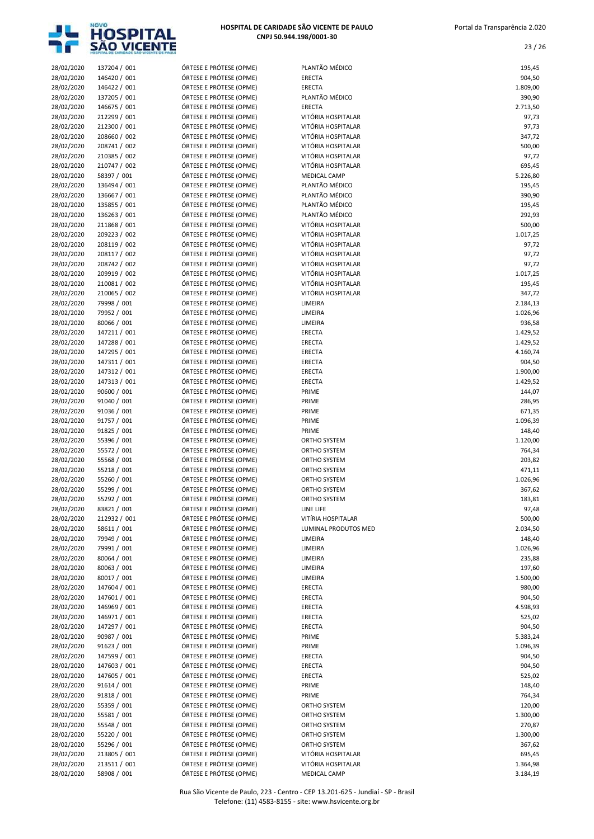

| 28/02/2020 | 137204 / 001 | ÓRTESE E PRÓTESE (OPME) | PLANTÃO MÉDICO       | 195,45   |
|------------|--------------|-------------------------|----------------------|----------|
| 28/02/2020 | 146420 / 001 | ÓRTESE E PRÓTESE (OPME) | <b>ERECTA</b>        | 904,50   |
| 28/02/2020 | 146422 / 001 | ÓRTESE E PRÓTESE (OPME) | ERECTA               | 1.809,00 |
| 28/02/2020 | 137205 / 001 | ÓRTESE E PRÓTESE (OPME) | PLANTÃO MÉDICO       | 390,90   |
| 28/02/2020 | 146675 / 001 | ÓRTESE E PRÓTESE (OPME) | ERECTA               | 2.713,50 |
| 28/02/2020 | 212299 / 001 | ÓRTESE E PRÓTESE (OPME) | VITÓRIA HOSPITALAR   | 97,73    |
| 28/02/2020 | 212300 / 001 | ÓRTESE E PRÓTESE (OPME) | VITÓRIA HOSPITALAR   | 97,73    |
| 28/02/2020 | 208660 / 002 | ÓRTESE E PRÓTESE (OPME) | VITÓRIA HOSPITALAR   | 347,72   |
| 28/02/2020 | 208741 / 002 | ÓRTESE E PRÓTESE (OPME) | VITÓRIA HOSPITALAR   | 500,00   |
| 28/02/2020 | 210385 / 002 | ÓRTESE E PRÓTESE (OPME) | VITÓRIA HOSPITALAR   | 97,72    |
| 28/02/2020 | 210747 / 002 | ÓRTESE E PRÓTESE (OPME) | VITÓRIA HOSPITALAR   | 695,45   |
| 28/02/2020 | 58397 / 001  | ÓRTESE E PRÓTESE (OPME) | MEDICAL CAMP         | 5.226,80 |
| 28/02/2020 | 136494 / 001 | ÓRTESE E PRÓTESE (OPME) | PLANTÃO MÉDICO       | 195,45   |
|            |              | ÓRTESE E PRÓTESE (OPME) | PLANTÃO MÉDICO       |          |
| 28/02/2020 | 136667 / 001 |                         |                      | 390,90   |
| 28/02/2020 | 135855 / 001 | ÓRTESE E PRÓTESE (OPME) | PLANTÃO MÉDICO       | 195,45   |
| 28/02/2020 | 136263 / 001 | ÓRTESE E PRÓTESE (OPME) | PLANTÃO MÉDICO       | 292,93   |
| 28/02/2020 | 211868 / 001 | ÓRTESE E PRÓTESE (OPME) | VITÓRIA HOSPITALAR   | 500,00   |
| 28/02/2020 | 209223 / 002 | ÓRTESE E PRÓTESE (OPME) | VITÓRIA HOSPITALAR   | 1.017,25 |
| 28/02/2020 | 208119 / 002 | ÓRTESE E PRÓTESE (OPME) | VITÓRIA HOSPITALAR   | 97,72    |
| 28/02/2020 | 208117 / 002 | ÓRTESE E PRÓTESE (OPME) | VITÓRIA HOSPITALAR   | 97,72    |
| 28/02/2020 | 208742 / 002 | ÓRTESE E PRÓTESE (OPME) | VITÓRIA HOSPITALAR   | 97,72    |
| 28/02/2020 | 209919 / 002 | ÓRTESE E PRÓTESE (OPME) | VITÓRIA HOSPITALAR   | 1.017,25 |
| 28/02/2020 | 210081 / 002 | ÓRTESE E PRÓTESE (OPME) | VITÓRIA HOSPITALAR   | 195,45   |
| 28/02/2020 | 210065 / 002 | ÓRTESE E PRÓTESE (OPME) | VITÓRIA HOSPITALAR   | 347,72   |
|            |              |                         |                      |          |
| 28/02/2020 | 79998 / 001  | ÓRTESE E PRÓTESE (OPME) | LIMEIRA              | 2.184,13 |
| 28/02/2020 | 79952 / 001  | ÓRTESE E PRÓTESE (OPME) | LIMEIRA              | 1.026,96 |
| 28/02/2020 | 80066 / 001  | ÓRTESE E PRÓTESE (OPME) | LIMEIRA              | 936,58   |
| 28/02/2020 | 147211 / 001 | ÓRTESE E PRÓTESE (OPME) | ERECTA               | 1.429,52 |
| 28/02/2020 | 147288 / 001 | ÓRTESE E PRÓTESE (OPME) | ERECTA               | 1.429,52 |
| 28/02/2020 | 147295 / 001 | ÓRTESE E PRÓTESE (OPME) | ERECTA               | 4.160,74 |
| 28/02/2020 | 147311 / 001 | ÓRTESE E PRÓTESE (OPME) | ERECTA               | 904,50   |
| 28/02/2020 | 147312 / 001 | ÓRTESE E PRÓTESE (OPME) | <b>ERECTA</b>        | 1.900,00 |
| 28/02/2020 | 147313 / 001 | ÓRTESE E PRÓTESE (OPME) | ERECTA               | 1.429,52 |
| 28/02/2020 | 90600 / 001  | ÓRTESE E PRÓTESE (OPME) | PRIME                | 144,07   |
|            |              | ÓRTESE E PRÓTESE (OPME) |                      |          |
| 28/02/2020 | 91040 / 001  |                         | PRIME                | 286,95   |
| 28/02/2020 | 91036 / 001  | ÓRTESE E PRÓTESE (OPME) | PRIME                | 671,35   |
| 28/02/2020 | 91757 / 001  | ÓRTESE E PRÓTESE (OPME) | PRIME                | 1.096,39 |
| 28/02/2020 | 91825 / 001  | ÓRTESE E PRÓTESE (OPME) | PRIME                | 148,40   |
| 28/02/2020 | 55396 / 001  | ÓRTESE E PRÓTESE (OPME) | ORTHO SYSTEM         | 1.120,00 |
| 28/02/2020 | 55572 / 001  | ÓRTESE E PRÓTESE (OPME) | ORTHO SYSTEM         | 764,34   |
| 28/02/2020 | 55568 / 001  | ÓRTESE E PRÓTESE (OPME) | <b>ORTHO SYSTEM</b>  | 203,82   |
| 28/02/2020 | 55218 / 001  | ÓRTESE E PRÓTESE (OPME) | ORTHO SYSTEM         | 471,11   |
| 28/02/2020 | 55260 / 001  | ÓRTESE E PRÓTESE (OPME) | ORTHO SYSTEM         | 1.026,96 |
| 28/02/2020 | 55299 / 001  | ÓRTESE E PRÓTESE (OPME) | <b>ORTHO SYSTEM</b>  | 367,62   |
| 28/02/2020 | 55292 / 001  | ÓRTESE E PRÓTESE (OPME) | ORTHO SYSTEM         | 183,81   |
|            |              |                         |                      |          |
| 28/02/2020 | 83821 / 001  | ORTESE E PROTESE (OPME) | LINE LIFE            | 97,48    |
| 28/02/2020 | 212932 / 001 | ÓRTESE E PRÓTESE (OPME) | VITÍRIA HOSPITALAR   | 500,00   |
| 28/02/2020 | 58611 / 001  | ÓRTESE E PRÓTESE (OPME) | LUMINAL PRODUTOS MED | 2.034,50 |
| 28/02/2020 | 79949 / 001  | ÓRTESE E PRÓTESE (OPME) | LIMEIRA              | 148,40   |
| 28/02/2020 | 79991 / 001  | ÓRTESE E PRÓTESE (OPME) | LIMEIRA              | 1.026,96 |
| 28/02/2020 | 80064 / 001  | ÓRTESE E PRÓTESE (OPME) | LIMEIRA              | 235,88   |
| 28/02/2020 | 80063 / 001  | ÓRTESE E PRÓTESE (OPME) | LIMEIRA              | 197,60   |
| 28/02/2020 | 80017 / 001  | ÓRTESE E PRÓTESE (OPME) | LIMEIRA              | 1.500,00 |
| 28/02/2020 | 147604 / 001 | ÓRTESE E PRÓTESE (OPME) | ERECTA               | 980,00   |
| 28/02/2020 | 147601 / 001 | ÓRTESE E PRÓTESE (OPME) | ERECTA               | 904,50   |
| 28/02/2020 | 146969 / 001 | ÓRTESE E PRÓTESE (OPME) | ERECTA               | 4.598,93 |
|            |              |                         |                      |          |
| 28/02/2020 | 146971 / 001 | ÓRTESE E PRÓTESE (OPME) | ERECTA               | 525,02   |
| 28/02/2020 | 147297 / 001 | ÓRTESE E PRÓTESE (OPME) | ERECTA               | 904,50   |
| 28/02/2020 | 90987 / 001  | ÓRTESE E PRÓTESE (OPME) | PRIME                | 5.383,24 |
| 28/02/2020 | 91623 / 001  | ÓRTESE E PRÓTESE (OPME) | PRIME                | 1.096,39 |
| 28/02/2020 | 147599 / 001 | ÓRTESE E PRÓTESE (OPME) | ERECTA               | 904,50   |
| 28/02/2020 | 147603 / 001 | ÓRTESE E PRÓTESE (OPME) | ERECTA               | 904,50   |
| 28/02/2020 | 147605 / 001 | ÓRTESE E PRÓTESE (OPME) | ERECTA               | 525,02   |
| 28/02/2020 | 91614 / 001  | ÓRTESE E PRÓTESE (OPME) | PRIME                | 148,40   |
| 28/02/2020 | 91818 / 001  | ÓRTESE E PRÓTESE (OPME) | PRIME                | 764,34   |
| 28/02/2020 | 55359 / 001  | ÓRTESE E PRÓTESE (OPME) | ORTHO SYSTEM         | 120,00   |
| 28/02/2020 | 55581 / 001  | ÓRTESE E PRÓTESE (OPME) | ORTHO SYSTEM         | 1.300,00 |
|            |              |                         |                      |          |
| 28/02/2020 | 55548 / 001  | ÓRTESE E PRÓTESE (OPME) | ORTHO SYSTEM         | 270,87   |
| 28/02/2020 | 55220 / 001  | ÓRTESE E PRÓTESE (OPME) | ORTHO SYSTEM         | 1.300,00 |
| 28/02/2020 | 55296 / 001  | ÓRTESE E PRÓTESE (OPME) | ORTHO SYSTEM         | 367,62   |
| 28/02/2020 | 213805 / 001 | ÓRTESE E PRÓTESE (OPME) | VITÓRIA HOSPITALAR   | 695,45   |
| 28/02/2020 | 213511 / 001 | ÓRTESE E PRÓTESE (OPME) | VITÓRIA HOSPITALAR   | 1.364,98 |
| 28/02/2020 | 58908 / 001  | ÓRTESE E PRÓTESE (OPME) | MEDICAL CAMP         | 3.184,19 |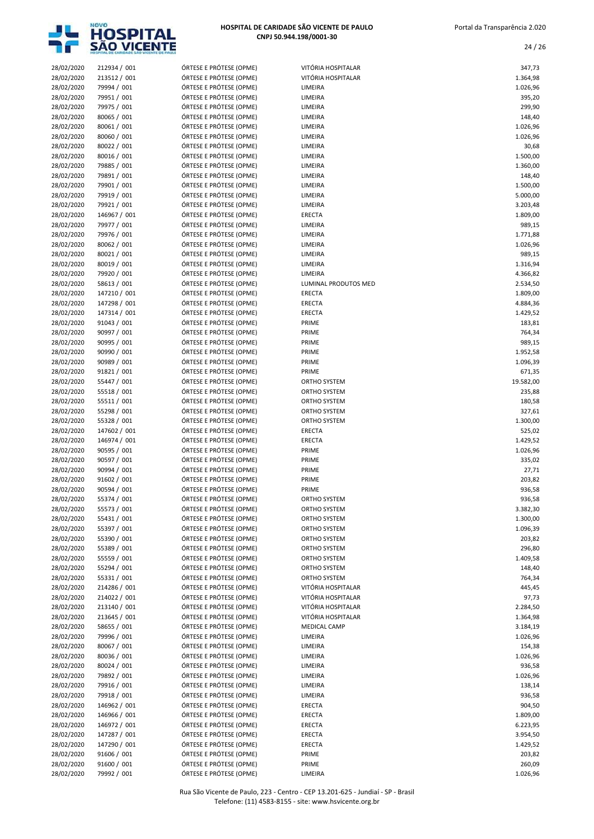

| 28/02/2020 | 212934 / 001 | ÓRTESE E PRÓTESE (OPME) | VITÓRIA HOSPITALAR   | 347,73    |
|------------|--------------|-------------------------|----------------------|-----------|
| 28/02/2020 | 213512 / 001 | ÓRTESE E PRÓTESE (OPME) | VITÓRIA HOSPITALAR   | 1.364,98  |
| 28/02/2020 | 79994 / 001  | ÓRTESE E PRÓTESE (OPME) | LIMEIRA              | 1.026,96  |
| 28/02/2020 | 79951 / 001  | ÓRTESE E PRÓTESE (OPME) | LIMEIRA              | 395,20    |
| 28/02/2020 | 79975 / 001  | ÓRTESE E PRÓTESE (OPME) | LIMEIRA              | 299,90    |
| 28/02/2020 | 80065 / 001  | ÓRTESE E PRÓTESE (OPME) | LIMEIRA              | 148,40    |
| 28/02/2020 | 80061 / 001  | ÓRTESE E PRÓTESE (OPME) | LIMEIRA              | 1.026,96  |
| 28/02/2020 | 80060 / 001  | ÓRTESE E PRÓTESE (OPME) | LIMEIRA              | 1.026,96  |
| 28/02/2020 | 80022 / 001  | ÓRTESE E PRÓTESE (OPME) | LIMEIRA              | 30,68     |
| 28/02/2020 | 80016 / 001  | ÓRTESE E PRÓTESE (OPME) | LIMEIRA              | 1.500,00  |
| 28/02/2020 | 79885 / 001  | ÓRTESE E PRÓTESE (OPME) | LIMEIRA              | 1.360,00  |
| 28/02/2020 | 79891 / 001  | ÓRTESE E PRÓTESE (OPME) | LIMEIRA              | 148,40    |
|            |              | ÓRTESE E PRÓTESE (OPME) | LIMEIRA              |           |
| 28/02/2020 | 79901 / 001  | ÓRTESE E PRÓTESE (OPME) |                      | 1.500,00  |
| 28/02/2020 | 79919 / 001  |                         | LIMEIRA              | 5.000,00  |
| 28/02/2020 | 79921 / 001  | ÓRTESE E PRÓTESE (OPME) | LIMEIRA              | 3.203,48  |
| 28/02/2020 | 146967 / 001 | ÓRTESE E PRÓTESE (OPME) | ERECTA               | 1.809,00  |
| 28/02/2020 | 79977 / 001  | ÓRTESE E PRÓTESE (OPME) | LIMEIRA              | 989,15    |
| 28/02/2020 | 79976 / 001  | ÓRTESE E PRÓTESE (OPME) | LIMEIRA              | 1.771,88  |
| 28/02/2020 | 80062 / 001  | ÓRTESE E PRÓTESE (OPME) | LIMEIRA              | 1.026,96  |
| 28/02/2020 | 80021 / 001  | ÓRTESE E PRÓTESE (OPME) | LIMEIRA              | 989,15    |
| 28/02/2020 | 80019 / 001  | ÓRTESE E PRÓTESE (OPME) | LIMEIRA              | 1.316,94  |
| 28/02/2020 | 79920 / 001  | ÓRTESE E PRÓTESE (OPME) | LIMEIRA              | 4.366,82  |
| 28/02/2020 | 58613 / 001  | ÓRTESE E PRÓTESE (OPME) | LUMINAL PRODUTOS MED | 2.534,50  |
| 28/02/2020 | 147210 / 001 | ÓRTESE E PRÓTESE (OPME) | ERECTA               | 1.809,00  |
| 28/02/2020 | 147298 / 001 | ÓRTESE E PRÓTESE (OPME) | ERECTA               | 4.884,36  |
| 28/02/2020 | 147314 / 001 | ÓRTESE E PRÓTESE (OPME) | ERECTA               | 1.429,52  |
| 28/02/2020 | 91043 / 001  | ÓRTESE E PRÓTESE (OPME) | PRIME                | 183,81    |
| 28/02/2020 | 90997 / 001  | ÓRTESE E PRÓTESE (OPME) | PRIME                | 764,34    |
| 28/02/2020 | 90995 / 001  | ÓRTESE E PRÓTESE (OPME) | PRIME                | 989,15    |
| 28/02/2020 | 90990 / 001  | ÓRTESE E PRÓTESE (OPME) | PRIME                | 1.952,58  |
| 28/02/2020 | 90989 / 001  | ÓRTESE E PRÓTESE (OPME) | PRIME                | 1.096,39  |
| 28/02/2020 | 91821 / 001  | ÓRTESE E PRÓTESE (OPME) | PRIME                | 671,35    |
| 28/02/2020 | 55447 / 001  | ÓRTESE E PRÓTESE (OPME) | ORTHO SYSTEM         | 19.582,00 |
| 28/02/2020 | 55518 / 001  | ÓRTESE E PRÓTESE (OPME) | ORTHO SYSTEM         |           |
|            |              |                         |                      | 235,88    |
| 28/02/2020 | 55511 / 001  | ÓRTESE E PRÓTESE (OPME) | ORTHO SYSTEM         | 180,58    |
| 28/02/2020 | 55298 / 001  | ÓRTESE E PRÓTESE (OPME) | ORTHO SYSTEM         | 327,61    |
| 28/02/2020 | 55328 / 001  | ÓRTESE E PRÓTESE (OPME) | <b>ORTHO SYSTEM</b>  | 1.300,00  |
| 28/02/2020 | 147602 / 001 | ÓRTESE E PRÓTESE (OPME) | ERECTA               | 525,02    |
| 28/02/2020 | 146974 / 001 | ÓRTESE E PRÓTESE (OPME) | ERECTA               | 1.429,52  |
| 28/02/2020 | 90595 / 001  | ÓRTESE E PRÓTESE (OPME) | PRIME                | 1.026,96  |
| 28/02/2020 | 90597 / 001  | ÓRTESE E PRÓTESE (OPME) | PRIME                | 335,02    |
| 28/02/2020 | 90994 / 001  | ÓRTESE E PRÓTESE (OPME) | PRIME                | 27,71     |
| 28/02/2020 | 91602 / 001  | ÓRTESE E PRÓTESE (OPME) | PRIME                | 203,82    |
| 28/02/2020 | 90594 / 001  | ÓRTESE E PRÓTESE (OPME) | PRIME                | 936,58    |
| 28/02/2020 | 55374 / 001  | ÓRTESE E PRÓTESE (OPME) | <b>ORTHO SYSTEM</b>  | 936,58    |
| 28/02/2020 | 55573 / 001  | ÓRTESE E PRÓTESE (OPME) | ORTHO SYSTEM         | 3.382,30  |
| 28/02/2020 | 55431 / 001  | ÓRTESE E PRÓTESE (OPME) | ORTHO SYSTEM         | 1.300,00  |
| 28/02/2020 | 55397 / 001  | ÓRTESE E PRÓTESE (OPME) | ORTHO SYSTEM         | 1.096,39  |
| 28/02/2020 | 55390 / 001  | ÓRTESE E PRÓTESE (OPME) | ORTHO SYSTEM         | 203,82    |
| 28/02/2020 | 55389 / 001  | ÓRTESE E PRÓTESE (OPME) | ORTHO SYSTEM         | 296,80    |
| 28/02/2020 | 55559 / 001  | ÓRTESE E PRÓTESE (OPME) | ORTHO SYSTEM         | 1.409,58  |
| 28/02/2020 | 55294 / 001  | ÓRTESE E PRÓTESE (OPME) | ORTHO SYSTEM         | 148,40    |
| 28/02/2020 | 55331 / 001  | ÓRTESE E PRÓTESE (OPME) | ORTHO SYSTEM         | 764,34    |
| 28/02/2020 | 214286 / 001 | ÓRTESE E PRÓTESE (OPME) | VITÓRIA HOSPITALAR   | 445,45    |
| 28/02/2020 | 214022 / 001 | ÓRTESE E PRÓTESE (OPME) | VITÓRIA HOSPITALAR   | 97,73     |
| 28/02/2020 | 213140 / 001 | ÓRTESE E PRÓTESE (OPME) | VITÓRIA HOSPITALAR   | 2.284,50  |
| 28/02/2020 | 213645 / 001 | ÓRTESE E PRÓTESE (OPME) | VITÓRIA HOSPITALAR   | 1.364,98  |
| 28/02/2020 | 58655 / 001  | ÓRTESE E PRÓTESE (OPME) | <b>MEDICAL CAMP</b>  | 3.184,19  |
| 28/02/2020 | 79996 / 001  | ÓRTESE E PRÓTESE (OPME) | LIMEIRA              | 1.026,96  |
|            |              | ÓRTESE E PRÓTESE (OPME) |                      |           |
| 28/02/2020 | 80067 / 001  |                         | LIMEIRA              | 154,38    |
| 28/02/2020 | 80036 / 001  | ÓRTESE E PRÓTESE (OPME) | LIMEIRA              | 1.026,96  |
| 28/02/2020 | 80024 / 001  | ÓRTESE E PRÓTESE (OPME) | LIMEIRA              | 936,58    |
| 28/02/2020 | 79892 / 001  | ÓRTESE E PRÓTESE (OPME) | LIMEIRA              | 1.026,96  |
| 28/02/2020 | 79916 / 001  | ÓRTESE E PRÓTESE (OPME) | LIMEIRA              | 138,14    |
| 28/02/2020 | 79918 / 001  | ÓRTESE E PRÓTESE (OPME) | LIMEIRA              | 936,58    |
| 28/02/2020 | 146962 / 001 | ÓRTESE E PRÓTESE (OPME) | ERECTA               | 904,50    |
| 28/02/2020 | 146966 / 001 | ÓRTESE E PRÓTESE (OPME) | ERECTA               | 1.809,00  |
| 28/02/2020 | 146972 / 001 | ÓRTESE E PRÓTESE (OPME) | ERECTA               | 6.223,95  |
| 28/02/2020 | 147287 / 001 | ÓRTESE E PRÓTESE (OPME) | ERECTA               | 3.954,50  |
| 28/02/2020 | 147290 / 001 | ÓRTESE E PRÓTESE (OPME) | ERECTA               | 1.429,52  |
| 28/02/2020 | 91606 / 001  | ÓRTESE E PRÓTESE (OPME) | PRIME                | 203,82    |
| 28/02/2020 | 91600 / 001  | ÓRTESE E PRÓTESE (OPME) | PRIME                | 260,09    |
| 28/02/2020 | 79992 / 001  | ÓRTESE E PRÓTESE (OPME) | LIMEIRA              | 1.026,96  |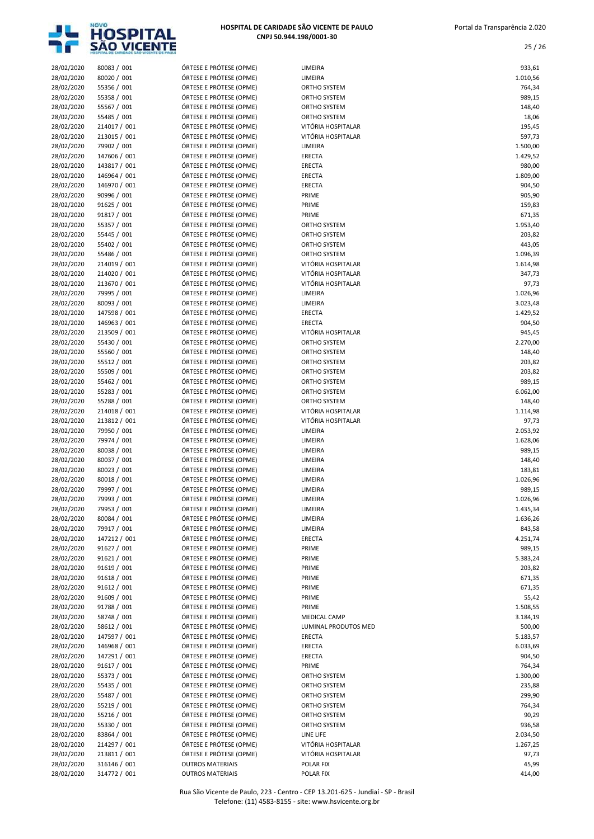

| 28/02/2020 | 80083 / 001  | ÓRTESE E PRÓTESE (OPME) | LIMEIRA              |                    |
|------------|--------------|-------------------------|----------------------|--------------------|
| 28/02/2020 |              | ÓRTESE E PRÓTESE (OPME) | LIMEIRA              | 933,61<br>1.010,56 |
|            | 80020 / 001  | ÓRTESE E PRÓTESE (OPME) |                      |                    |
| 28/02/2020 | 55356 / 001  |                         | ORTHO SYSTEM         | 764,34             |
| 28/02/2020 | 55358 / 001  | ÓRTESE E PRÓTESE (OPME) | ORTHO SYSTEM         | 989,15             |
| 28/02/2020 | 55567 / 001  | ÓRTESE E PRÓTESE (OPME) | ORTHO SYSTEM         | 148,40             |
| 28/02/2020 | 55485 / 001  | ÓRTESE E PRÓTESE (OPME) | ORTHO SYSTEM         | 18,06              |
| 28/02/2020 | 214017 / 001 | ÓRTESE E PRÓTESE (OPME) | VITÓRIA HOSPITALAR   | 195,45             |
| 28/02/2020 | 213015 / 001 | ÓRTESE E PRÓTESE (OPME) | VITÓRIA HOSPITALAR   | 597,73             |
| 28/02/2020 | 79902 / 001  | ÓRTESE E PRÓTESE (OPME) | LIMEIRA              | 1.500,00           |
| 28/02/2020 | 147606 / 001 | ÓRTESE E PRÓTESE (OPME) | <b>ERECTA</b>        | 1.429,52           |
| 28/02/2020 | 143817 / 001 | ÓRTESE E PRÓTESE (OPME) | <b>ERECTA</b>        | 980,00             |
| 28/02/2020 | 146964 / 001 | ÓRTESE E PRÓTESE (OPME) | ERECTA               | 1.809,00           |
| 28/02/2020 | 146970 / 001 | ÓRTESE E PRÓTESE (OPME) | ERECTA               | 904,50             |
| 28/02/2020 | 90996 / 001  | ÓRTESE E PRÓTESE (OPME) | PRIME                | 905,90             |
| 28/02/2020 | 91625 / 001  | ÓRTESE E PRÓTESE (OPME) | PRIME                | 159,83             |
| 28/02/2020 | 91817 / 001  | ÓRTESE E PRÓTESE (OPME) | PRIME                | 671,35             |
| 28/02/2020 | 55357 / 001  | ÓRTESE E PRÓTESE (OPME) | ORTHO SYSTEM         | 1.953,40           |
| 28/02/2020 | 55445 / 001  | ÓRTESE E PRÓTESE (OPME) | ORTHO SYSTEM         | 203,82             |
| 28/02/2020 | 55402 / 001  | ÓRTESE E PRÓTESE (OPME) | ORTHO SYSTEM         | 443,05             |
| 28/02/2020 | 55486 / 001  | ÓRTESE E PRÓTESE (OPME) | ORTHO SYSTEM         | 1.096,39           |
| 28/02/2020 | 214019 / 001 | ÓRTESE E PRÓTESE (OPME) | VITÓRIA HOSPITALAR   | 1.614,98           |
| 28/02/2020 | 214020 / 001 | ÓRTESE E PRÓTESE (OPME) | VITÓRIA HOSPITALAR   | 347,73             |
| 28/02/2020 | 213670 / 001 | ÓRTESE E PRÓTESE (OPME) | VITÓRIA HOSPITALAR   | 97,73              |
| 28/02/2020 | 79995 / 001  | ÓRTESE E PRÓTESE (OPME) | LIMEIRA              | 1.026,96           |
| 28/02/2020 | 80093 / 001  | ÓRTESE E PRÓTESE (OPME) | LIMEIRA              | 3.023,48           |
|            |              | ÓRTESE E PRÓTESE (OPME) |                      |                    |
| 28/02/2020 | 147598 / 001 |                         | <b>ERECTA</b>        | 1.429,52           |
| 28/02/2020 | 146963 / 001 | ÓRTESE E PRÓTESE (OPME) | <b>ERECTA</b>        | 904,50             |
| 28/02/2020 | 213509 / 001 | ÓRTESE E PRÓTESE (OPME) | VITÓRIA HOSPITALAR   | 945,45             |
| 28/02/2020 | 55430 / 001  | ÓRTESE E PRÓTESE (OPME) | ORTHO SYSTEM         | 2.270,00           |
| 28/02/2020 | 55560 / 001  | ÓRTESE E PRÓTESE (OPME) | ORTHO SYSTEM         | 148,40             |
| 28/02/2020 | 55512 / 001  | ÓRTESE E PRÓTESE (OPME) | ORTHO SYSTEM         | 203,82             |
| 28/02/2020 | 55509 / 001  | ÓRTESE E PRÓTESE (OPME) | ORTHO SYSTEM         | 203,82             |
| 28/02/2020 | 55462 / 001  | ÓRTESE E PRÓTESE (OPME) | ORTHO SYSTEM         | 989,15             |
| 28/02/2020 | 55283 / 001  | ÓRTESE E PRÓTESE (OPME) | ORTHO SYSTEM         | 6.062,00           |
| 28/02/2020 | 55288 / 001  | ÓRTESE E PRÓTESE (OPME) | ORTHO SYSTEM         | 148,40             |
| 28/02/2020 | 214018 / 001 | ÓRTESE E PRÓTESE (OPME) | VITÓRIA HOSPITALAR   | 1.114,98           |
| 28/02/2020 | 213812 / 001 | ÓRTESE E PRÓTESE (OPME) | VITÓRIA HOSPITALAR   | 97,73              |
| 28/02/2020 | 79950 / 001  | ÓRTESE E PRÓTESE (OPME) | LIMEIRA              | 2.053,92           |
| 28/02/2020 | 79974 / 001  | ÓRTESE E PRÓTESE (OPME) | LIMEIRA              | 1.628,06           |
| 28/02/2020 | 80038 / 001  | ÓRTESE E PRÓTESE (OPME) | LIMEIRA              | 989,15             |
| 28/02/2020 | 80037 / 001  | ÓRTESE E PRÓTESE (OPME) | LIMEIRA              | 148,40             |
| 28/02/2020 | 80023 / 001  | ÓRTESE E PRÓTESE (OPME) | LIMEIRA              | 183,81             |
| 28/02/2020 | 80018 / 001  | ÓRTESE E PRÓTESE (OPME) | LIMEIRA              | 1.026,96           |
| 28/02/2020 | 79997 / 001  | ÓRTESE E PRÓTESE (OPME) | LIMEIRA              | 989,15             |
| 28/02/2020 | 79993 / 001  | ÓRTESE E PRÓTESE (OPME) | LIMEIRA              | 1.026,96           |
| 28/02/2020 | 79953 / 001  | ORTESE E PROTESE (OPME) | LIMEIRA              | 1.435,34           |
| 28/02/2020 | 80084 / 001  | ÓRTESE E PRÓTESE (OPME) | LIMEIRA              | 1.636,26           |
|            |              | ÓRTESE E PRÓTESE (OPME) |                      |                    |
| 28/02/2020 | 79917 / 001  |                         | LIMEIRA              | 843,58             |
| 28/02/2020 | 147212 / 001 | ÓRTESE E PRÓTESE (OPME) | <b>ERECTA</b>        | 4.251,74           |
| 28/02/2020 | 91627 / 001  | ÓRTESE E PRÓTESE (OPME) | PRIME                | 989,15             |
| 28/02/2020 | 91621 / 001  | ÓRTESE E PRÓTESE (OPME) | PRIME                | 5.383,24           |
| 28/02/2020 | 91619 / 001  | ÓRTESE E PRÓTESE (OPME) | PRIME                | 203,82             |
| 28/02/2020 | 91618 / 001  | ÓRTESE E PRÓTESE (OPME) | PRIME                | 671,35             |
| 28/02/2020 | 91612 / 001  | ÓRTESE E PRÓTESE (OPME) | PRIME                | 671,35             |
| 28/02/2020 | 91609 / 001  | ÓRTESE E PRÓTESE (OPME) | PRIME                | 55,42              |
| 28/02/2020 | 91788 / 001  | ÓRTESE E PRÓTESE (OPME) | PRIME                | 1.508,55           |
| 28/02/2020 | 58748 / 001  | ÓRTESE E PRÓTESE (OPME) | MEDICAL CAMP         | 3.184,19           |
| 28/02/2020 | 58612 / 001  | ÓRTESE E PRÓTESE (OPME) | LUMINAL PRODUTOS MED | 500,00             |
| 28/02/2020 | 147597 / 001 | ÓRTESE E PRÓTESE (OPME) | ERECTA               | 5.183,57           |
| 28/02/2020 | 146968 / 001 | ÓRTESE E PRÓTESE (OPME) | <b>ERECTA</b>        | 6.033,69           |
| 28/02/2020 | 147291 / 001 | ÓRTESE E PRÓTESE (OPME) | <b>ERECTA</b>        | 904,50             |
| 28/02/2020 | 91617 / 001  | ÓRTESE E PRÓTESE (OPME) | PRIME                | 764,34             |
| 28/02/2020 | 55373 / 001  | ÓRTESE E PRÓTESE (OPME) | ORTHO SYSTEM         | 1.300,00           |
| 28/02/2020 | 55435 / 001  | ÓRTESE E PRÓTESE (OPME) | ORTHO SYSTEM         | 235,88             |
| 28/02/2020 | 55487 / 001  | ÓRTESE E PRÓTESE (OPME) | ORTHO SYSTEM         | 299,90             |
| 28/02/2020 | 55219 / 001  | ÓRTESE E PRÓTESE (OPME) | ORTHO SYSTEM         | 764,34             |
| 28/02/2020 | 55216 / 001  | ÓRTESE E PRÓTESE (OPME) | ORTHO SYSTEM         | 90,29              |
| 28/02/2020 | 55330 / 001  | ÓRTESE E PRÓTESE (OPME) | ORTHO SYSTEM         | 936,58             |
| 28/02/2020 | 83864 / 001  | ÓRTESE E PRÓTESE (OPME) | LINE LIFE            | 2.034,50           |
| 28/02/2020 | 214297 / 001 | ÓRTESE E PRÓTESE (OPME) | VITÓRIA HOSPITALAR   | 1.267,25           |
| 28/02/2020 | 213811 / 001 | ÓRTESE E PRÓTESE (OPME) | VITÓRIA HOSPITALAR   | 97,73              |
|            | 316146 / 001 |                         |                      |                    |
| 28/02/2020 |              | <b>OUTROS MATERIAIS</b> | POLAR FIX            | 45,99              |
| 28/02/2020 | 314772 / 001 | <b>OUTROS MATERIAIS</b> | POLAR FIX            | 414,00             |